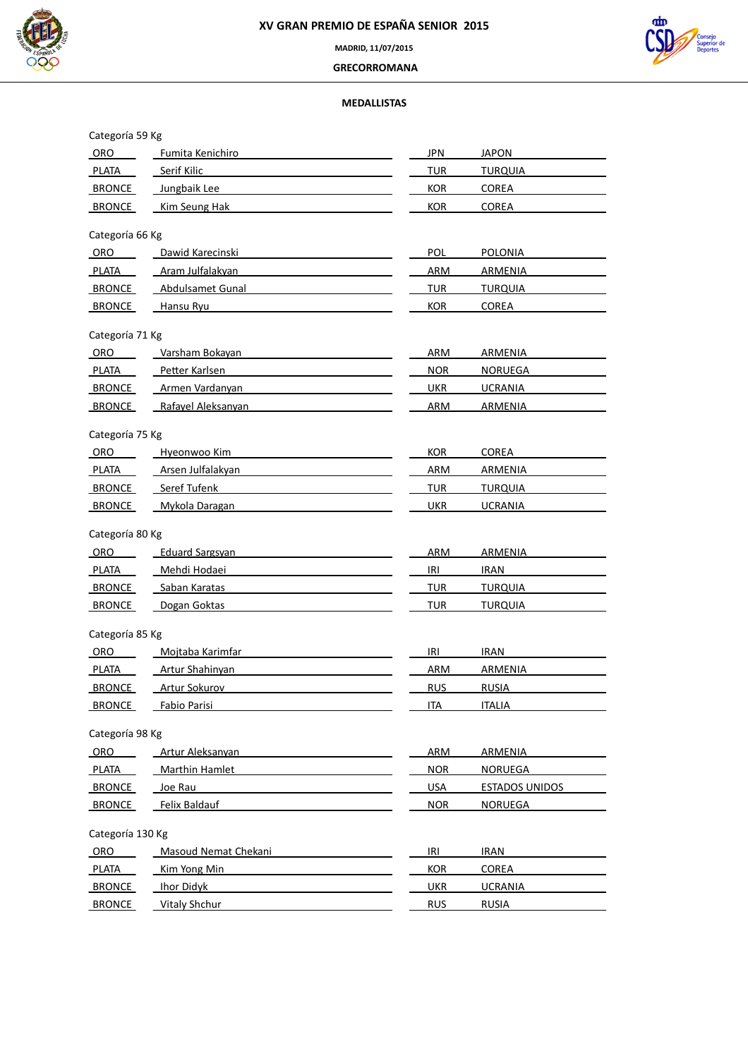



**MADRID, 11/07/2015**

 **GRECORROMANA**

# **MEDALLISTAS**

| Categoría 59 Kg  |                             |            |                       |
|------------------|-----------------------------|------------|-----------------------|
| ORO              | Fumita Kenichiro            | <b>JPN</b> | <b>JAPON</b>          |
| <b>PLATA</b>     | Serif Kilic                 | TUR        | <b>TURQUIA</b>        |
| BRONCE           | Jungbaik Lee                | <b>KOR</b> | <b>COREA</b>          |
| <b>BRONCE</b>    | Kim Seung Hak               | <b>KOR</b> | <b>COREA</b>          |
| Categoría 66 Kg  |                             |            |                       |
| ORO              | Dawid Karecinski            | POL        | <b>POLONIA</b>        |
| PLATA            | Aram Julfalakyan            | <b>ARM</b> | <b>ARMENIA</b>        |
| <b>BRONCE</b>    | Abdulsamet Gunal            | TUR        | <b>TURQUIA</b>        |
| <b>BRONCE</b>    | Hansu Ryu                   | <b>KOR</b> | <b>COREA</b>          |
|                  |                             |            |                       |
| Categoría 71 Kg  |                             |            |                       |
| <b>ORO</b>       | Varsham Bokayan             | ARM        | <b>ARMENIA</b>        |
| <b>PLATA</b>     | Petter Karlsen              | <b>NOR</b> | <b>NORUEGA</b>        |
| <b>BRONCE</b>    | Armen Vardanyan             | <b>UKR</b> | <b>UCRANIA</b>        |
| <b>BRONCE</b>    | Rafayel Aleksanyan          | <b>ARM</b> | ARMENIA               |
| Categoría 75 Kg  |                             |            |                       |
| ORO              | Hyeonwoo Kim                | <b>KOR</b> | <b>COREA</b>          |
| <b>PLATA</b>     | Arsen Julfalakyan           | ARM        | ARMENIA               |
| <b>BRONCE</b>    | Seref Tufenk                | <b>TUR</b> | <b>TURQUIA</b>        |
| <b>BRONCE</b>    | Mykola Daragan              | <b>UKR</b> | <b>UCRANIA</b>        |
|                  |                             |            |                       |
| Categoría 80 Kg  |                             |            |                       |
| ORO              | <b>Eduard Sargsyan</b>      | ARM        | ARMENIA               |
| <b>PLATA</b>     | Mehdi Hodaei                | IRI        | <b>IRAN</b>           |
| <b>BRONCE</b>    | Saban Karatas               | TUR        | <b>TURQUIA</b>        |
| <b>BRONCE</b>    | Dogan Goktas                | <b>TUR</b> | <b>TURQUIA</b>        |
| Categoría 85 Kg  |                             |            |                       |
| ORO              | Mojtaba Karimfar            | IRI        | <b>IRAN</b>           |
| <b>PLATA</b>     | Artur Shahinyan             | <b>ARM</b> | ARMENIA               |
| <b>BRONCE</b>    | Artur Sokurov               | <b>RUS</b> | <b>RUSIA</b>          |
| <b>BRONCE</b>    | Fabio Parisi                | <b>ITA</b> | <b>ITALIA</b>         |
|                  |                             |            |                       |
| Categoría 98 Kg  |                             |            |                       |
| ORO              | Artur Aleksanyan            | <b>ARM</b> | ARMENIA               |
| <b>PLATA</b>     | <b>Marthin Hamlet</b>       | <b>NOR</b> | <b>NORUEGA</b>        |
| <b>BRONCE</b>    | Joe Rau                     | <b>USA</b> | <b>ESTADOS UNIDOS</b> |
| <b>BRONCE</b>    | Felix Baldauf               | <b>NOR</b> | <b>NORUEGA</b>        |
| Categoría 130 Kg |                             |            |                       |
| ORO              | <b>Masoud Nemat Chekani</b> | IRI        | <b>IRAN</b>           |
| <b>PLATA</b>     | Kim Yong Min                | <b>KOR</b> | <b>COREA</b>          |
| <b>BRONCE</b>    | <b>Ihor Didyk</b>           | UKR        | <b>UCRANIA</b>        |
| <b>BRONCE</b>    | <b>Vitaly Shchur</b>        | <b>RUS</b> | <b>RUSIA</b>          |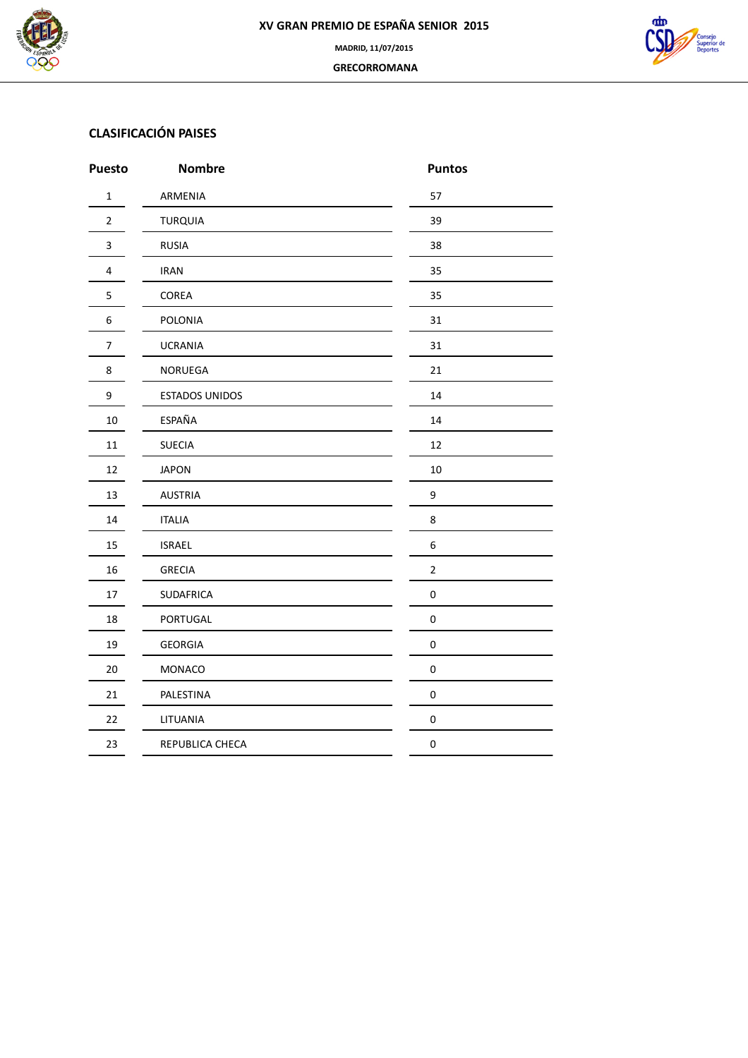



# **CLASIFICACIÓN PAISES**

| <b>Puesto</b>    | <b>Nombre</b>    | <b>Puntos</b>    |
|------------------|------------------|------------------|
| $\mathbf 1$      | ARMENIA          | 57               |
| $\overline{2}$   | <b>TURQUIA</b>   | 39               |
| $\mathbf{3}$     | <b>RUSIA</b>     | 38               |
| 4                | <b>IRAN</b>      | 35               |
| 5                | COREA            | 35               |
| 6                | POLONIA          | 31               |
| $\boldsymbol{7}$ | <b>UCRANIA</b>   | 31               |
| 8                | NORUEGA          | 21               |
| 9                | ESTADOS UNIDOS   | 14               |
| $10\,$           | ESPAÑA           | 14               |
| $11\,$           | <b>SUECIA</b>    | 12               |
| 12               | <b>JAPON</b>     | $10\,$           |
| 13               | <b>AUSTRIA</b>   | 9                |
| 14               | <b>ITALIA</b>    | 8                |
| 15               | <b>ISRAEL</b>    | $\boldsymbol{6}$ |
| 16               | <b>GRECIA</b>    | $\mathbf 2$      |
| $17\,$           | <b>SUDAFRICA</b> | $\boldsymbol{0}$ |
| 18               | PORTUGAL         | $\pmb{0}$        |
| 19               | <b>GEORGIA</b>   | $\pmb{0}$        |
| 20               | MONACO           | $\pmb{0}$        |
| 21               | PALESTINA        | $\pmb{0}$        |
| 22               | LITUANIA         | $\boldsymbol{0}$ |
| 23               | REPUBLICA CHECA  | $\pmb{0}$        |
|                  |                  |                  |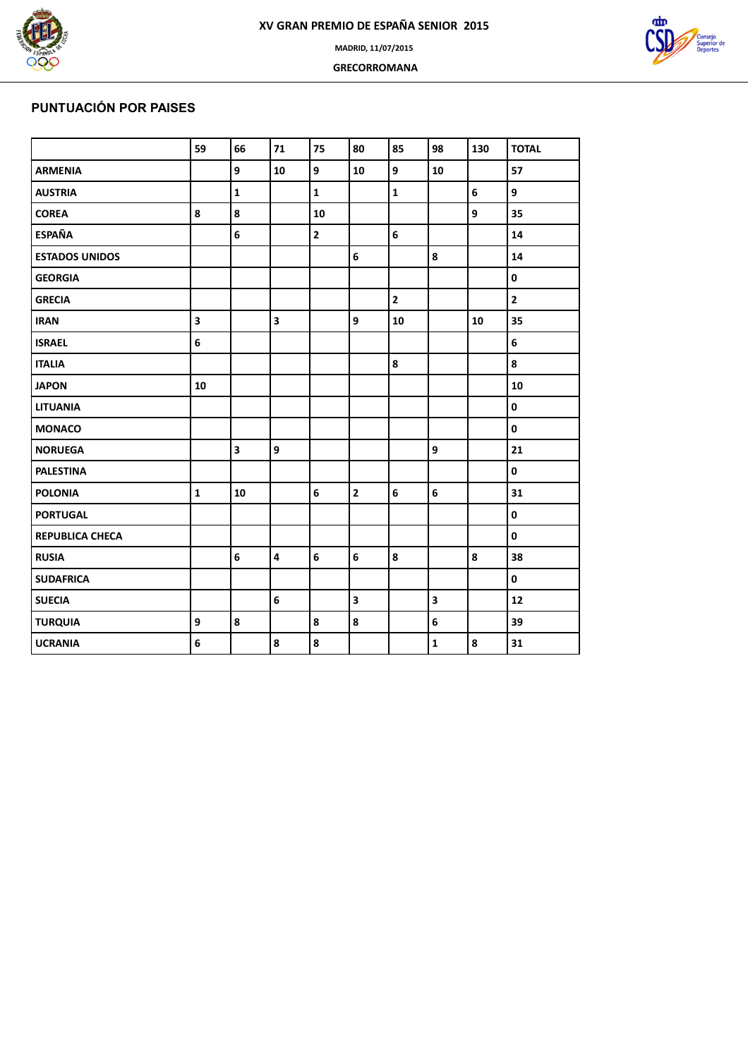

 **GRECORROMANA**



# **PUNTUACIÓN POR PAISES**

| <b>TOTAL</b><br>57<br>9<br>35 |
|-------------------------------|
|                               |
|                               |
|                               |
|                               |
| 14                            |
| 14                            |
| $\pmb{0}$                     |
| $\overline{2}$                |
| 35                            |
| 6                             |
| 8                             |
| 10                            |
| $\pmb{0}$                     |
| $\pmb{0}$                     |
| 21                            |
| $\mathbf 0$                   |
| 31                            |
| $\pmb{0}$                     |
| $\pmb{0}$                     |
| 38                            |
| $\pmb{0}$                     |
| 12                            |
| 39                            |
| 31                            |
|                               |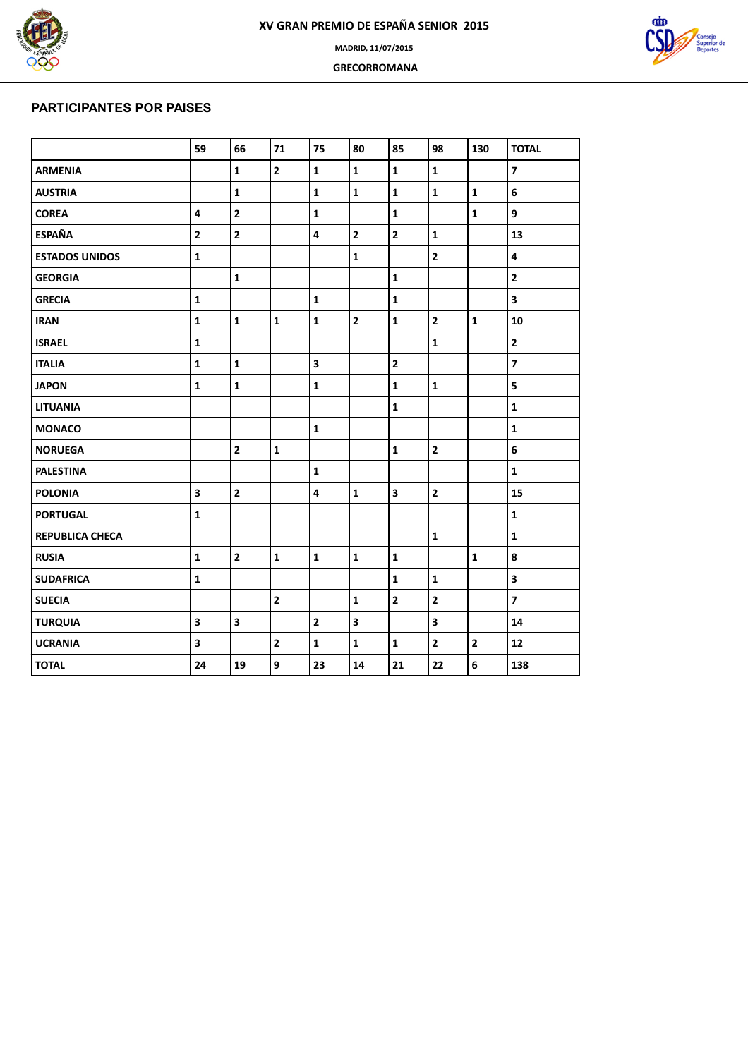

 **GRECORROMANA**



### **PARTICIPANTES POR PAISES**

|                       | 59                      | 66                      | 71             | 75                      | 80                      | 85                      | 98                      | 130                     | <b>TOTAL</b>            |
|-----------------------|-------------------------|-------------------------|----------------|-------------------------|-------------------------|-------------------------|-------------------------|-------------------------|-------------------------|
| <b>ARMENIA</b>        |                         | $\mathbf 1$             | $\overline{2}$ | $\mathbf{1}$            | $\mathbf{1}$            | $\mathbf{1}$            | $\mathbf{1}$            |                         | $\overline{\mathbf{z}}$ |
| <b>AUSTRIA</b>        |                         | $\mathbf{1}$            |                | $\mathbf 1$             | $\mathbf 1$             | $\mathbf{1}$            | $\mathbf{1}$            | $\mathbf{1}$            | 6                       |
| <b>COREA</b>          | $\overline{\mathbf{4}}$ | $\overline{\mathbf{2}}$ |                | $\mathbf 1$             |                         | $\mathbf{1}$            |                         | $\mathbf{1}$            | 9                       |
| <b>ESPAÑA</b>         | $\overline{2}$          | $\overline{2}$          |                | $\overline{\mathbf{4}}$ | $\overline{\mathbf{2}}$ | $\overline{2}$          | $\mathbf{1}$            |                         | 13                      |
| <b>ESTADOS UNIDOS</b> | $\mathbf{1}$            |                         |                |                         | $\mathbf{1}$            |                         | $\overline{\mathbf{c}}$ |                         | $\overline{\mathbf{4}}$ |
| <b>GEORGIA</b>        |                         | $\mathbf{1}$            |                |                         |                         | $\mathbf{1}$            |                         |                         | $\mathbf{2}$            |
| <b>GRECIA</b>         | $\mathbf{1}$            |                         |                | $\mathbf 1$             |                         | $\mathbf{1}$            |                         |                         | 3                       |
| <b>IRAN</b>           | $\mathbf{1}$            | $\mathbf{1}$            | $\mathbf{1}$   | $\mathbf{1}$            | $\mathbf{2}$            | $\mathbf{1}$            | $\mathbf{2}$            | $\mathbf{1}$            | 10                      |
| <b>ISRAEL</b>         | $\mathbf 1$             |                         |                |                         |                         |                         | $\mathbf{1}$            |                         | $\mathbf{2}$            |
| <b>ITALIA</b>         | $\mathbf 1$             | $\mathbf{1}$            |                | 3                       |                         | $\overline{\mathbf{2}}$ |                         |                         | $\overline{\mathbf{z}}$ |
| <b>JAPON</b>          | $\mathbf{1}$            | $\mathbf 1$             |                | $\mathbf 1$             |                         | $\mathbf{1}$            | $\mathbf{1}$            |                         | 5                       |
| <b>LITUANIA</b>       |                         |                         |                |                         |                         | $\mathbf{1}$            |                         |                         | $\mathbf{1}$            |
| <b>MONACO</b>         |                         |                         |                | $\mathbf{1}$            |                         |                         |                         |                         | $\mathbf 1$             |
| <b>NORUEGA</b>        |                         | $\overline{\mathbf{2}}$ | $\mathbf{1}$   |                         |                         | $\mathbf 1$             | $\mathbf{2}$            |                         | 6                       |
| <b>PALESTINA</b>      |                         |                         |                | $\mathbf{1}$            |                         |                         |                         |                         | $\mathbf{1}$            |
| <b>POLONIA</b>        | $\overline{\mathbf{3}}$ | $\mathbf{2}$            |                | $\overline{\mathbf{4}}$ | $\mathbf 1$             | $\overline{\mathbf{3}}$ | $\mathbf{2}$            |                         | 15                      |
| <b>PORTUGAL</b>       | $\mathbf 1$             |                         |                |                         |                         |                         |                         |                         | $\mathbf 1$             |
| REPUBLICA CHECA       |                         |                         |                |                         |                         |                         | $\mathbf{1}$            |                         | $\mathbf 1$             |
| <b>RUSIA</b>          | $\mathbf{1}$            | $\mathbf{2}$            | $\mathbf{1}$   | $\mathbf{1}$            | $\mathbf 1$             | $\mathbf{1}$            |                         | $\mathbf{1}$            | 8                       |
| <b>SUDAFRICA</b>      | $\mathbf{1}$            |                         |                |                         |                         | $\mathbf{1}$            | $\mathbf{1}$            |                         | 3                       |
| <b>SUECIA</b>         |                         |                         | $\overline{2}$ |                         | $\mathbf 1$             | $\overline{\mathbf{2}}$ | $\overline{\mathbf{2}}$ |                         | $\overline{7}$          |
| <b>TURQUIA</b>        | $\overline{\mathbf{3}}$ | $\overline{\mathbf{3}}$ |                | $\mathbf{2}$            | 3                       |                         | $\overline{\mathbf{3}}$ |                         | 14                      |
| <b>UCRANIA</b>        | $\overline{\mathbf{3}}$ |                         | $\overline{2}$ | $\mathbf{1}$            | $\mathbf{1}$            | $\mathbf{1}$            | $\overline{\mathbf{2}}$ | $\overline{\mathbf{2}}$ | 12                      |
| <b>TOTAL</b>          | 24                      | 19                      | 9              | 23                      | 14                      | 21                      | 22                      | 6                       | 138                     |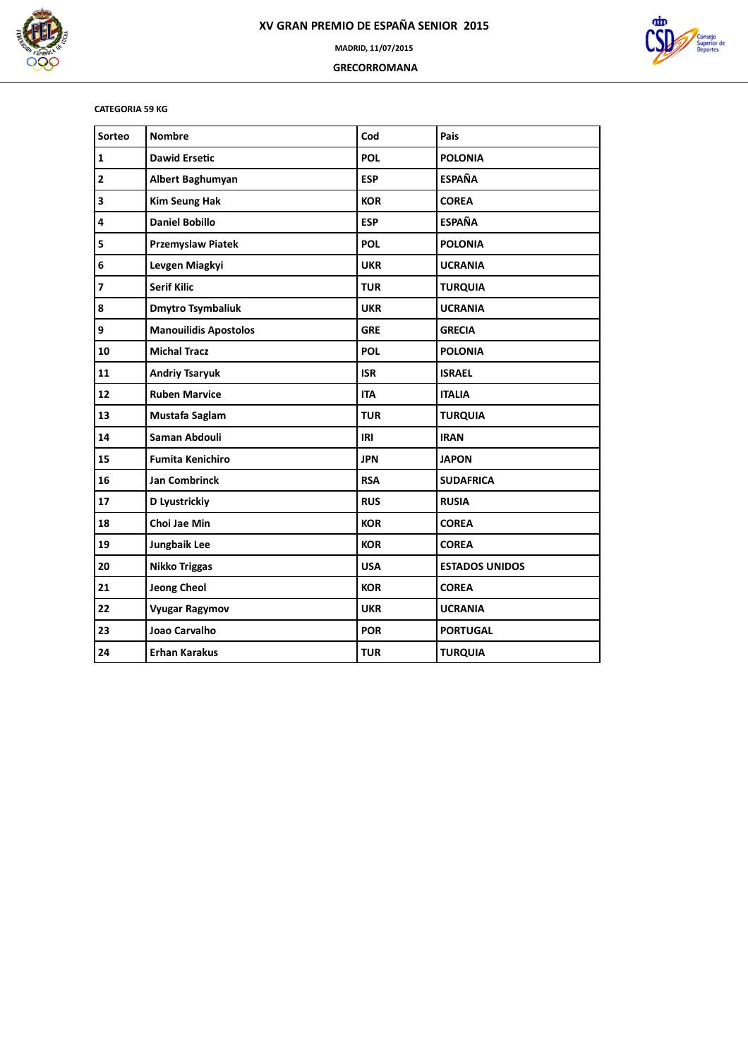

 **GRECORROMANA**



### **CATEGORIA 59 KG**

| Sorteo                   | <b>Nombre</b>                | Cod        | Pais                  |
|--------------------------|------------------------------|------------|-----------------------|
| $\mathbf 1$              | <b>Dawid Ersetic</b>         | <b>POL</b> | <b>POLONIA</b>        |
| $\overline{\mathbf{2}}$  | Albert Baghumyan             | <b>ESP</b> | <b>ESPAÑA</b>         |
| 3                        | <b>Kim Seung Hak</b>         | <b>KOR</b> | <b>COREA</b>          |
| 4                        | <b>Daniel Bobillo</b>        | <b>ESP</b> | <b>ESPAÑA</b>         |
| 5                        | <b>Przemyslaw Piatek</b>     | <b>POL</b> | <b>POLONIA</b>        |
| 6                        | Levgen Miagkyi               | <b>UKR</b> | <b>UCRANIA</b>        |
| $\overline{\phantom{a}}$ | <b>Serif Kilic</b>           | <b>TUR</b> | <b>TURQUIA</b>        |
| 8                        | <b>Dmytro Tsymbaliuk</b>     | <b>UKR</b> | <b>UCRANIA</b>        |
| 9                        | <b>Manouilidis Apostolos</b> | <b>GRE</b> | <b>GRECIA</b>         |
| 10                       | <b>Michal Tracz</b>          | <b>POL</b> | <b>POLONIA</b>        |
| 11                       | <b>Andriy Tsaryuk</b>        | <b>ISR</b> | <b>ISRAEL</b>         |
| 12                       | <b>Ruben Marvice</b>         | <b>ITA</b> | <b>ITALIA</b>         |
| 13                       | Mustafa Saglam               | <b>TUR</b> | <b>TURQUIA</b>        |
| 14                       | Saman Abdouli                | IRI        | <b>IRAN</b>           |
| 15                       | <b>Fumita Kenichiro</b>      | <b>JPN</b> | <b>JAPON</b>          |
| 16                       | <b>Jan Combrinck</b>         | <b>RSA</b> | <b>SUDAFRICA</b>      |
| 17                       | D Lyustrickiy                | <b>RUS</b> | <b>RUSIA</b>          |
| 18                       | Choi Jae Min                 | <b>KOR</b> | <b>COREA</b>          |
| 19                       | Jungbaik Lee                 | <b>KOR</b> | <b>COREA</b>          |
| 20                       | <b>Nikko Triggas</b>         | <b>USA</b> | <b>ESTADOS UNIDOS</b> |
| 21                       | <b>Jeong Cheol</b>           | <b>KOR</b> | <b>COREA</b>          |
| 22                       | <b>Vyugar Ragymov</b>        | <b>UKR</b> | <b>UCRANIA</b>        |
| 23                       | Joao Carvalho                | <b>POR</b> | <b>PORTUGAL</b>       |
| 24                       | <b>Erhan Karakus</b>         | <b>TUR</b> | <b>TURQUIA</b>        |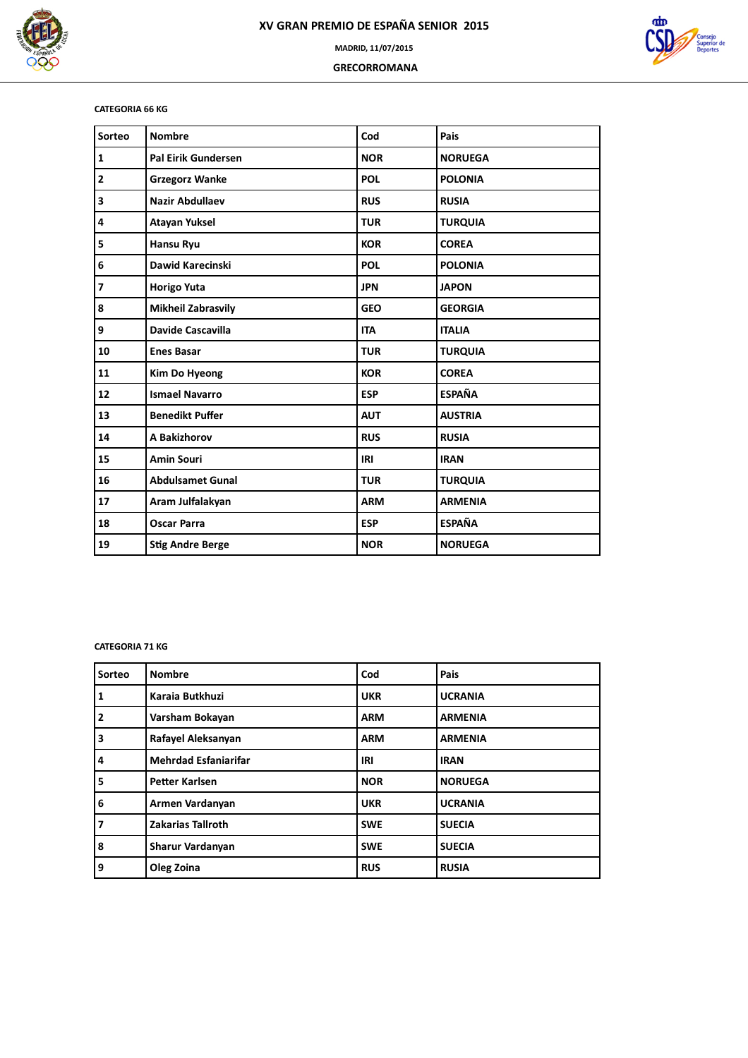



 **GRECORROMANA**

### **CATEGORIA 66 KG**

| Sorteo                  | <b>Nombre</b>             | Cod        | Pais           |
|-------------------------|---------------------------|------------|----------------|
| $\mathbf 1$             | Pal Eirik Gundersen       | <b>NOR</b> | <b>NORUEGA</b> |
| $\mathbf{2}$            | <b>Grzegorz Wanke</b>     | <b>POL</b> | <b>POLONIA</b> |
| 3                       | <b>Nazir Abdullaev</b>    | <b>RUS</b> | <b>RUSIA</b>   |
| $\overline{\mathbf{4}}$ | <b>Atayan Yuksel</b>      | <b>TUR</b> | <b>TURQUIA</b> |
| 5                       | <b>Hansu Ryu</b>          | <b>KOR</b> | <b>COREA</b>   |
| 6                       | Dawid Karecinski          | <b>POL</b> | <b>POLONIA</b> |
| $\overline{7}$          | <b>Horigo Yuta</b>        | <b>JPN</b> | <b>JAPON</b>   |
| 8                       | <b>Mikheil Zabrasvily</b> | <b>GEO</b> | <b>GEORGIA</b> |
| 9                       | Davide Cascavilla         | <b>ITA</b> | <b>ITALIA</b>  |
| 10                      | <b>Enes Basar</b>         | <b>TUR</b> | <b>TURQUIA</b> |
| 11                      | <b>Kim Do Hyeong</b>      | <b>KOR</b> | <b>COREA</b>   |
| 12                      | <b>Ismael Navarro</b>     | <b>ESP</b> | <b>ESPAÑA</b>  |
| 13                      | <b>Benedikt Puffer</b>    | <b>AUT</b> | <b>AUSTRIA</b> |
| 14                      | A Bakizhorov              | <b>RUS</b> | <b>RUSIA</b>   |
| 15                      | <b>Amin Souri</b>         | IRI        | <b>IRAN</b>    |
| 16                      | <b>Abdulsamet Gunal</b>   | <b>TUR</b> | <b>TURQUIA</b> |
| 17                      | Aram Julfalakyan          | <b>ARM</b> | <b>ARMENIA</b> |
| 18                      | <b>Oscar Parra</b>        | <b>ESP</b> | <b>ESPAÑA</b>  |
| 19                      | <b>Stig Andre Berge</b>   | <b>NOR</b> | <b>NORUEGA</b> |

### **CATEGORIA 71 KG**

| Sorteo         | <b>Nombre</b>               | Cod        | Pais           |
|----------------|-----------------------------|------------|----------------|
| 1              | Karaia Butkhuzi             | <b>UKR</b> | <b>UCRANIA</b> |
| $\overline{2}$ | Varsham Bokayan             | <b>ARM</b> | <b>ARMENIA</b> |
| 3              | Rafayel Aleksanyan          | <b>ARM</b> | <b>ARMENIA</b> |
| 4              | <b>Mehrdad Esfaniarifar</b> | IRI        | <b>IRAN</b>    |
| 5              | <b>Petter Karlsen</b>       | <b>NOR</b> | <b>NORUEGA</b> |
| 6              | Armen Vardanyan             | <b>UKR</b> | <b>UCRANIA</b> |
| 7              | <b>Zakarias Tallroth</b>    | <b>SWE</b> | <b>SUECIA</b>  |
| 8              | Sharur Vardanyan            | <b>SWE</b> | <b>SUECIA</b>  |
| 9              | Oleg Zoina                  | <b>RUS</b> | <b>RUSIA</b>   |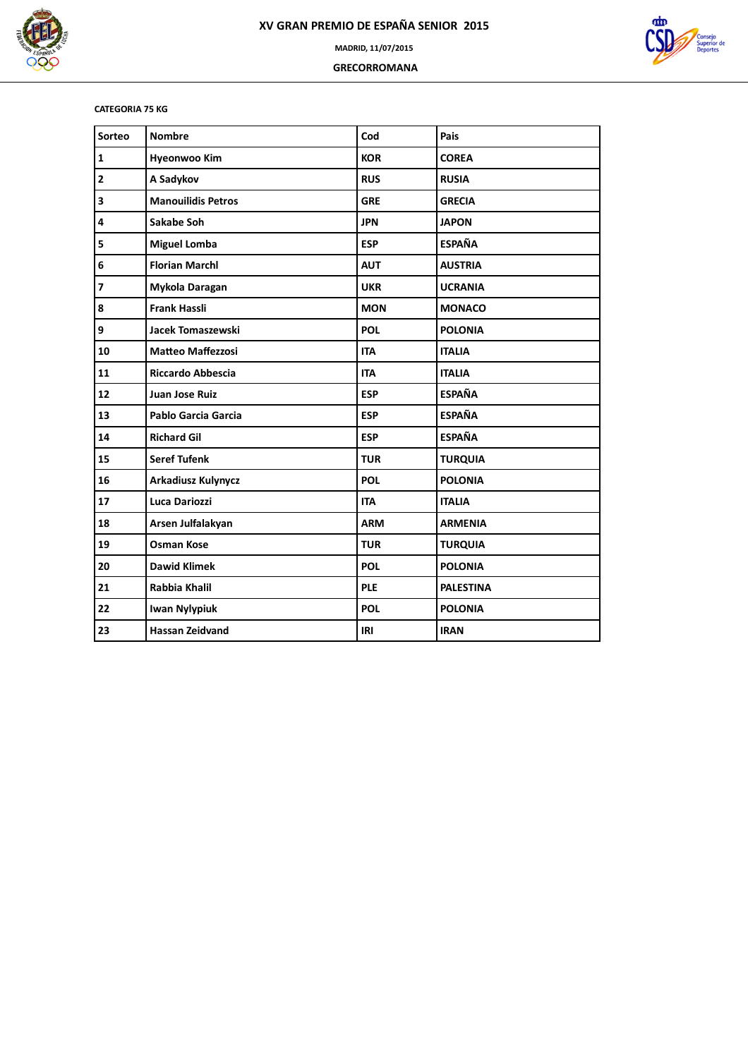

 **GRECORROMANA**



### **CATEGORIA 75 KG**

| Sorteo                   | <b>Nombre</b>             | Cod        | Pais             |
|--------------------------|---------------------------|------------|------------------|
| $\mathbf 1$              | <b>Hyeonwoo Kim</b>       | <b>KOR</b> | <b>COREA</b>     |
| $\overline{\mathbf{c}}$  | A Sadykov                 | <b>RUS</b> | <b>RUSIA</b>     |
| 3                        | <b>Manouilidis Petros</b> | <b>GRE</b> | <b>GRECIA</b>    |
| 4                        | Sakabe Soh                | <b>JPN</b> | <b>JAPON</b>     |
| 5                        | <b>Miguel Lomba</b>       | <b>ESP</b> | <b>ESPAÑA</b>    |
| 6                        | <b>Florian Marchl</b>     | <b>AUT</b> | <b>AUSTRIA</b>   |
| $\overline{\phantom{a}}$ | Mykola Daragan            | <b>UKR</b> | <b>UCRANIA</b>   |
| 8                        | <b>Frank Hassli</b>       | <b>MON</b> | <b>MONACO</b>    |
| 9                        | Jacek Tomaszewski         | <b>POL</b> | <b>POLONIA</b>   |
| 10                       | <b>Matteo Maffezzosi</b>  | <b>ITA</b> | <b>ITALIA</b>    |
| 11                       | <b>Riccardo Abbescia</b>  | <b>ITA</b> | <b>ITALIA</b>    |
| 12                       | Juan Jose Ruiz            | <b>ESP</b> | <b>ESPAÑA</b>    |
| 13                       | Pablo Garcia Garcia       | <b>ESP</b> | <b>ESPAÑA</b>    |
| 14                       | <b>Richard Gil</b>        | <b>ESP</b> | <b>ESPAÑA</b>    |
| 15                       | <b>Seref Tufenk</b>       | <b>TUR</b> | <b>TURQUIA</b>   |
| 16                       | <b>Arkadiusz Kulynycz</b> | <b>POL</b> | <b>POLONIA</b>   |
| 17                       | Luca Dariozzi             | <b>ITA</b> | <b>ITALIA</b>    |
| 18                       | Arsen Julfalakyan         | <b>ARM</b> | <b>ARMENIA</b>   |
| 19                       | <b>Osman Kose</b>         | <b>TUR</b> | <b>TURQUIA</b>   |
| 20                       | <b>Dawid Klimek</b>       | <b>POL</b> | <b>POLONIA</b>   |
| 21                       | <b>Rabbia Khalil</b>      | <b>PLE</b> | <b>PALESTINA</b> |
| 22                       | <b>Iwan Nylypiuk</b>      | <b>POL</b> | <b>POLONIA</b>   |
| 23                       | <b>Hassan Zeidvand</b>    | IRI        | <b>IRAN</b>      |
|                          |                           |            |                  |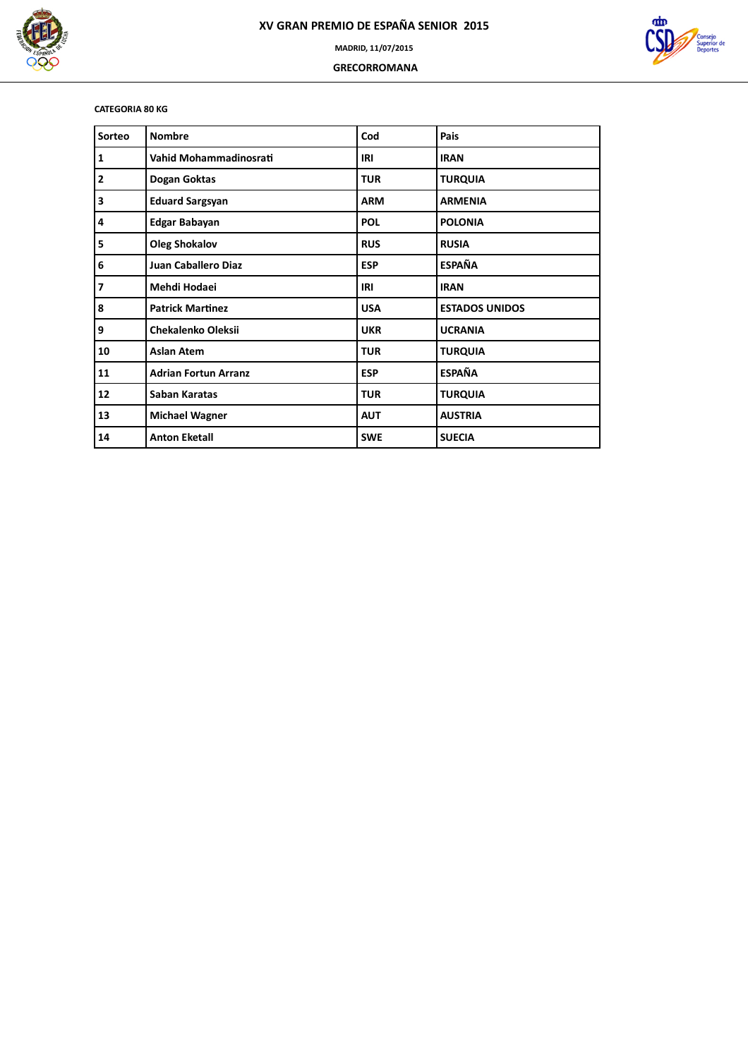

 **GRECORROMANA**



### **CATEGORIA 80 KG**

| Sorteo                   | <b>Nombre</b>               | Cod        | Pais                  |
|--------------------------|-----------------------------|------------|-----------------------|
| $\mathbf{1}$             | Vahid Mohammadinosrati      | IRI        | <b>IRAN</b>           |
| $\overline{\mathbf{2}}$  | Dogan Goktas                | <b>TUR</b> | <b>TURQUIA</b>        |
| 3                        | <b>Eduard Sargsyan</b>      | <b>ARM</b> | <b>ARMENIA</b>        |
| 4                        | <b>Edgar Babayan</b>        | <b>POL</b> | <b>POLONIA</b>        |
| 5                        | <b>Oleg Shokalov</b>        | <b>RUS</b> | <b>RUSIA</b>          |
| 6                        | <b>Juan Caballero Diaz</b>  | <b>ESP</b> | <b>ESPAÑA</b>         |
| $\overline{\phantom{a}}$ | Mehdi Hodaei                | IRI        | <b>IRAN</b>           |
| 8                        | <b>Patrick Martinez</b>     | <b>USA</b> | <b>ESTADOS UNIDOS</b> |
| 9                        | <b>Chekalenko Oleksii</b>   | <b>UKR</b> | <b>UCRANIA</b>        |
| 10                       | <b>Aslan Atem</b>           | <b>TUR</b> | <b>TURQUIA</b>        |
| 11                       | <b>Adrian Fortun Arranz</b> | <b>ESP</b> | <b>ESPAÑA</b>         |
| 12                       | Saban Karatas               | <b>TUR</b> | <b>TURQUIA</b>        |
| 13                       | <b>Michael Wagner</b>       | <b>AUT</b> | <b>AUSTRIA</b>        |
| 14                       | <b>Anton Eketall</b>        | <b>SWE</b> | <b>SUECIA</b>         |
|                          |                             |            |                       |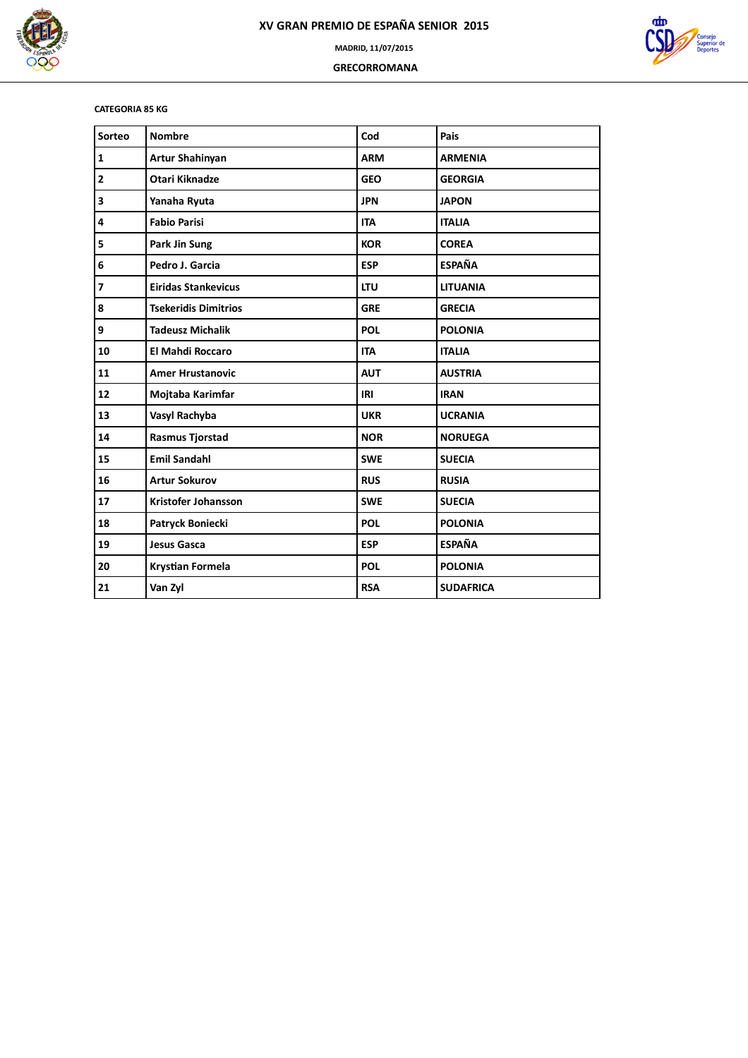

 **GRECORROMANA**



### **CATEGORIA 85 KG**

| Sorteo         | <b>Nombre</b>               | Cod        | Pais             |
|----------------|-----------------------------|------------|------------------|
| $\mathbf 1$    | Artur Shahinyan             | <b>ARM</b> | <b>ARMENIA</b>   |
| $\mathbf{2}$   | <b>Otari Kiknadze</b>       | <b>GEO</b> | <b>GEORGIA</b>   |
| 3              | Yanaha Ryuta                | <b>JPN</b> | <b>JAPON</b>     |
| 4              | <b>Fabio Parisi</b>         | <b>ITA</b> | <b>ITALIA</b>    |
| 5              | Park Jin Sung               | <b>KOR</b> | <b>COREA</b>     |
| 6              | Pedro J. Garcia             | <b>ESP</b> | <b>ESPAÑA</b>    |
| $\overline{7}$ | <b>Eiridas Stankevicus</b>  | <b>LTU</b> | <b>LITUANIA</b>  |
| 8              | <b>Tsekeridis Dimitrios</b> | <b>GRE</b> | <b>GRECIA</b>    |
| 9              | <b>Tadeusz Michalik</b>     | <b>POL</b> | <b>POLONIA</b>   |
| 10             | <b>El Mahdi Roccaro</b>     | <b>ITA</b> | <b>ITALIA</b>    |
| 11             | <b>Amer Hrustanovic</b>     | <b>AUT</b> | <b>AUSTRIA</b>   |
| 12             | Mojtaba Karimfar            | IRI        | <b>IRAN</b>      |
| 13             | Vasyl Rachyba               | <b>UKR</b> | <b>UCRANIA</b>   |
| 14             | <b>Rasmus Tjorstad</b>      | <b>NOR</b> | <b>NORUEGA</b>   |
| 15             | <b>Emil Sandahl</b>         | <b>SWE</b> | <b>SUECIA</b>    |
| 16             | <b>Artur Sokurov</b>        | <b>RUS</b> | <b>RUSIA</b>     |
| 17             | <b>Kristofer Johansson</b>  | <b>SWE</b> | <b>SUECIA</b>    |
| 18             | Patryck Boniecki            | <b>POL</b> | <b>POLONIA</b>   |
| 19             | <b>Jesus Gasca</b>          | <b>ESP</b> | <b>ESPAÑA</b>    |
| 20             | <b>Krystian Formela</b>     | <b>POL</b> | <b>POLONIA</b>   |
| 21             | Van Zyl                     | <b>RSA</b> | <b>SUDAFRICA</b> |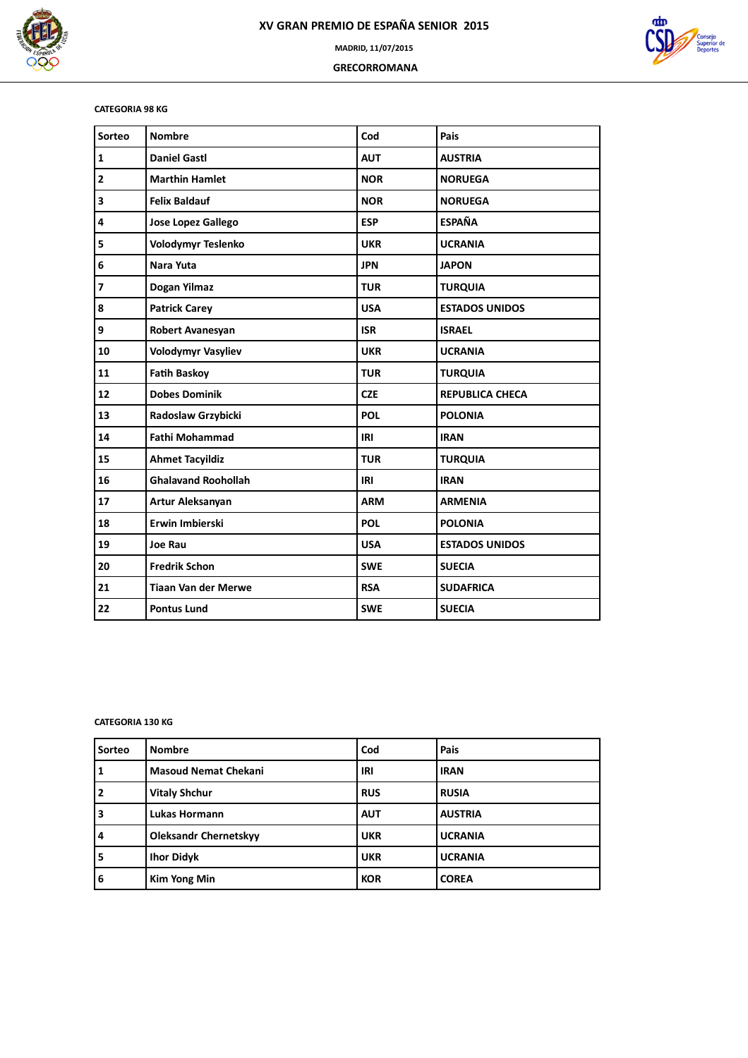

 **GRECORROMANA**



### **CATEGORIA 98 KG**

| Sorteo       | <b>Nombre</b>              | Cod        | Pais                   |
|--------------|----------------------------|------------|------------------------|
| $\mathbf{1}$ | <b>Daniel Gastl</b>        | <b>AUT</b> | <b>AUSTRIA</b>         |
| 2            | <b>Marthin Hamlet</b>      | <b>NOR</b> | <b>NORUEGA</b>         |
| 3            | <b>Felix Baldauf</b>       | <b>NOR</b> | <b>NORUEGA</b>         |
| 4            | <b>Jose Lopez Gallego</b>  | <b>ESP</b> | <b>ESPAÑA</b>          |
| 5            | <b>Volodymyr Teslenko</b>  | <b>UKR</b> | <b>UCRANIA</b>         |
| 6            | Nara Yuta                  | <b>JPN</b> | <b>JAPON</b>           |
| 7            | Dogan Yilmaz               | <b>TUR</b> | <b>TURQUIA</b>         |
| 8            | <b>Patrick Carey</b>       | <b>USA</b> | <b>ESTADOS UNIDOS</b>  |
| 9            | Robert Avanesyan           | <b>ISR</b> | <b>ISRAEL</b>          |
| 10           | <b>Volodymyr Vasyliev</b>  | <b>UKR</b> | <b>UCRANIA</b>         |
| 11           | <b>Fatih Baskoy</b>        | <b>TUR</b> | <b>TURQUIA</b>         |
| 12           | <b>Dobes Dominik</b>       | <b>CZE</b> | <b>REPUBLICA CHECA</b> |
| 13           | <b>Radoslaw Grzybicki</b>  | <b>POL</b> | <b>POLONIA</b>         |
| 14           | <b>Fathi Mohammad</b>      | IRI        | <b>IRAN</b>            |
| 15           | <b>Ahmet Tacyildiz</b>     | <b>TUR</b> | <b>TURQUIA</b>         |
| 16           | <b>Ghalavand Roohollah</b> | IRI        | <b>IRAN</b>            |
| 17           | Artur Aleksanyan           | <b>ARM</b> | <b>ARMENIA</b>         |
| 18           | Erwin Imbierski            | <b>POL</b> | <b>POLONIA</b>         |
| 19           | Joe Rau                    | <b>USA</b> | <b>ESTADOS UNIDOS</b>  |
| 20           | <b>Fredrik Schon</b>       | <b>SWE</b> | <b>SUECIA</b>          |
| 21           | <b>Tiaan Van der Merwe</b> | <b>RSA</b> | <b>SUDAFRICA</b>       |
| 22           | <b>Pontus Lund</b>         | <b>SWE</b> | <b>SUECIA</b>          |

### **CATEGORIA 130 KG**

| Sorteo | <b>Nombre</b>                | Cod        | Pais           |
|--------|------------------------------|------------|----------------|
|        | <b>Masoud Nemat Chekani</b>  | IRI        | <b>IRAN</b>    |
| 2      | <b>Vitaly Shchur</b>         | <b>RUS</b> | <b>RUSIA</b>   |
| 3      | <b>Lukas Hormann</b>         | <b>AUT</b> | <b>AUSTRIA</b> |
| 4      | <b>Oleksandr Chernetskyy</b> | <b>UKR</b> | <b>UCRANIA</b> |
| 5      | <b>Ihor Didyk</b>            | <b>UKR</b> | <b>UCRANIA</b> |
| 6      | <b>Kim Yong Min</b>          | <b>KOR</b> | <b>COREA</b>   |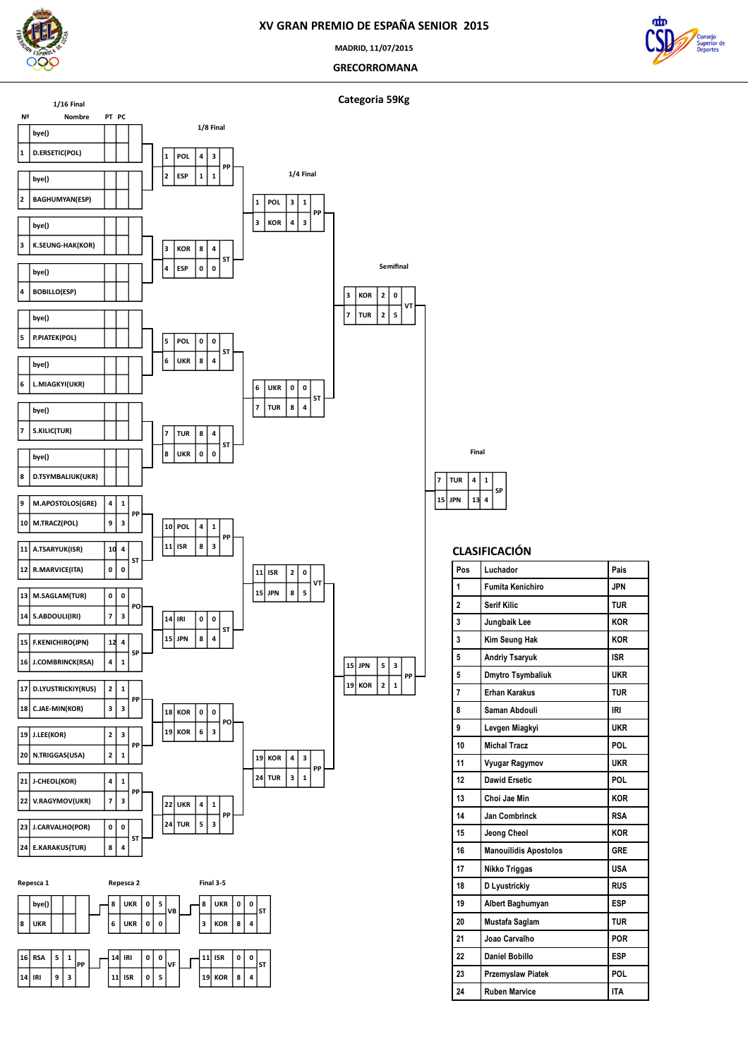

**MADRID, 11/07/2015**

 **GRECORROMANA**





|   | emifinal |   |  |  |
|---|----------|---|--|--|
| l | O        |   |  |  |
| l | 5        | T |  |  |
|   |          |   |  |  |



| Pos | Luchador                     | Pais       |
|-----|------------------------------|------------|
| 1   | <b>Fumita Kenichiro</b>      | <b>JPN</b> |
| 2   | <b>Serif Kilic</b>           | <b>TUR</b> |
| 3   | Jungbaik Lee                 | <b>KOR</b> |
| 3   | Kim Seung Hak                | <b>KOR</b> |
| 5   | <b>Andriy Tsaryuk</b>        | <b>ISR</b> |
| 5   | Dmytro Tsymbaliuk            | UKR        |
| 7   | <b>Erhan Karakus</b>         | <b>TUR</b> |
| 8   | Saman Abdouli                | <b>IRI</b> |
| 9   | Levgen Miagkyi               | <b>UKR</b> |
| 10  | <b>Michal Tracz</b>          | POL        |
| 11  | Vyugar Ragymov               | <b>UKR</b> |
| 12  | <b>Dawid Ersetic</b>         | POL        |
| 13  | Choi Jae Min                 | <b>KOR</b> |
| 14  | Jan Combrinck                | <b>RSA</b> |
| 15  | Jeong Cheol                  | <b>KOR</b> |
| 16  | <b>Manouilidis Apostolos</b> | GRE        |
| 17  | Nikko Triggas                | <b>USA</b> |
| 18  | <b>D</b> Lyustrickiy         | <b>RUS</b> |
| 19  | Albert Baghumyan             | <b>ESP</b> |
| 20  | Mustafa Saglam               | <b>TUR</b> |
| 21  | Joao Carvalho                | POR        |
| 22  | <b>Daniel Bobillo</b>        | <b>ESP</b> |
| 23  | <b>Przemyslaw Piatek</b>     | POL        |
| 24  | <b>Ruben Marvice</b>         | <b>ITA</b> |
|     |                              |            |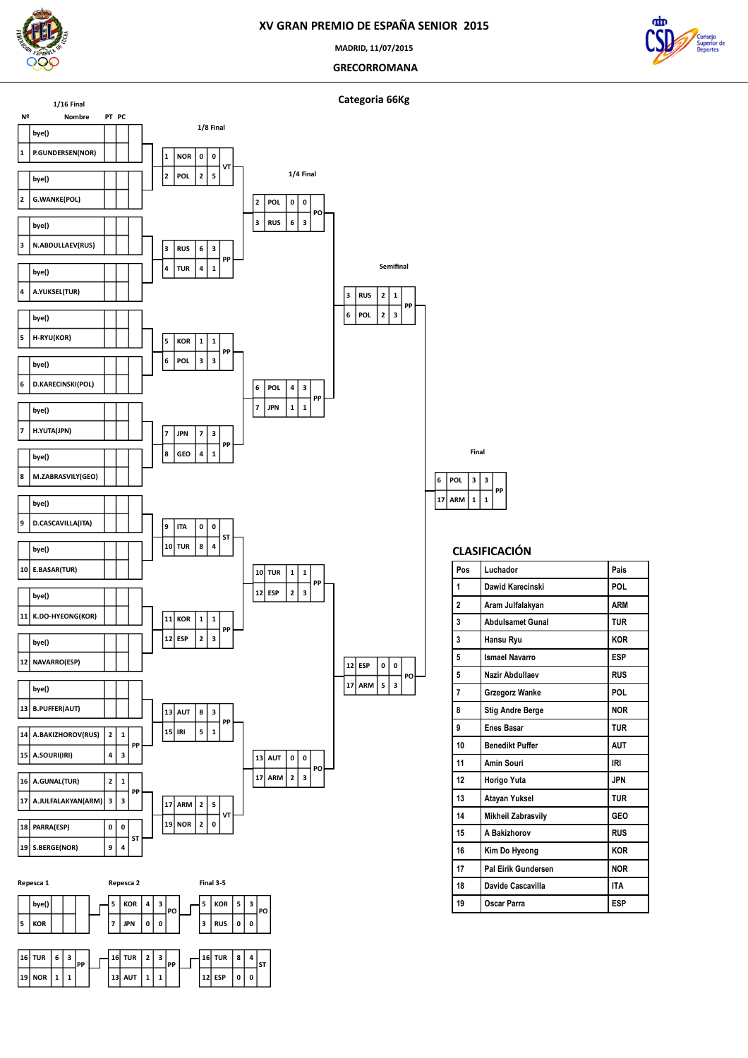

**MADRID, 11/07/2015**

 **GRECORROMANA**







# **ARM**  $1 \mid 1$ **PP**

**3**

**Final**

**POL**

| Pos            | Luchador                | Pais       |
|----------------|-------------------------|------------|
| 1              | Dawid Karecinski        | <b>POL</b> |
| $\overline{a}$ | Aram Julfalakyan        | <b>ARM</b> |
| 3              | <b>Abdulsamet Gunal</b> | <b>TUR</b> |
| 3              | Hansu Ryu               | <b>KOR</b> |
| 5              | <b>Ismael Navarro</b>   | <b>ESP</b> |
| 5              | Nazir Abdullaev         | <b>RUS</b> |
| 7              | Grzegorz Wanke          | <b>POL</b> |
| 8              | <b>Stig Andre Berge</b> | <b>NOR</b> |
| 9              | <b>Enes Basar</b>       | <b>TUR</b> |
| 10             | <b>Benedikt Puffer</b>  | <b>AUT</b> |
| 11             | Amin Souri              | <b>IRI</b> |
| 12             | Horigo Yuta             | <b>JPN</b> |
| 13             | Atayan Yuksel           | <b>TUR</b> |
| 14             | Mikheil Zabrasvily      | GEO        |
| 15             | A Bakizhorov            | <b>RUS</b> |
| 16             | Kim Do Hyeong           | <b>KOR</b> |
| 17             | Pal Eirik Gundersen     | <b>NOR</b> |
| 18             | Davide Cascavilla       | <b>ITA</b> |
| 19             | Oscar Parra             | <b>ESP</b> |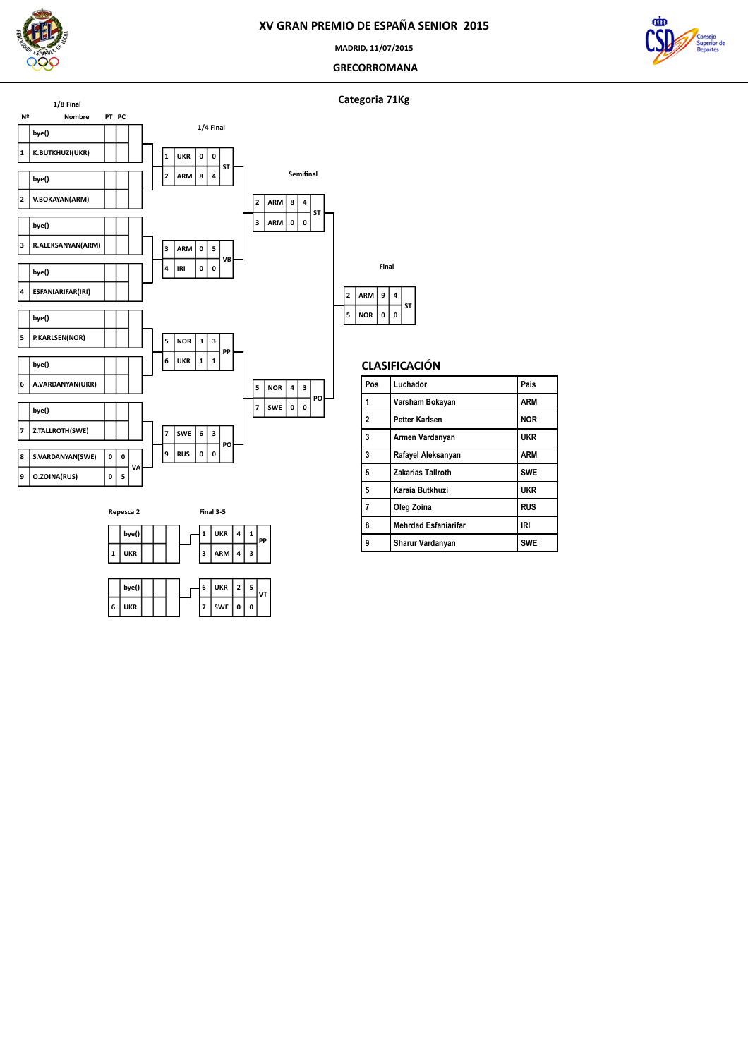

**MADRID, 11/07/2015**

### **GRECORROMANA**



### **Categoria 71Kg**





|   | bve() |  |  | UKR     | $\overline{2}$ |   |  |
|---|-------|--|--|---------|----------------|---|--|
| 6 | JKR   |  |  | SWE   0 |                | 0 |  |

|   | Final      |   |   |    |  |  |  |
|---|------------|---|---|----|--|--|--|
| 2 | ARM        | 9 | 4 | ST |  |  |  |
| 5 | <b>NOR</b> | 0 | 0 |    |  |  |  |

| Pos                      | Luchador                    | Pais       |
|--------------------------|-----------------------------|------------|
| 1                        | Varsham Bokayan             | <b>ARM</b> |
| $\overline{\phantom{a}}$ | Petter Karlsen              | <b>NOR</b> |
| 3                        | Armen Vardanyan             | <b>UKR</b> |
| $\overline{3}$           | Rafayel Aleksanyan          | <b>ARM</b> |
| 5                        | <b>Zakarias Tallroth</b>    | <b>SWE</b> |
| 5                        | Karaia Butkhuzi             | <b>UKR</b> |
| $\overline{7}$           | Oleg Zoina                  | <b>RUS</b> |
| 8                        | <b>Mehrdad Esfaniarifar</b> | IRI        |
| 9                        | Sharur Vardanyan            | <b>SWE</b> |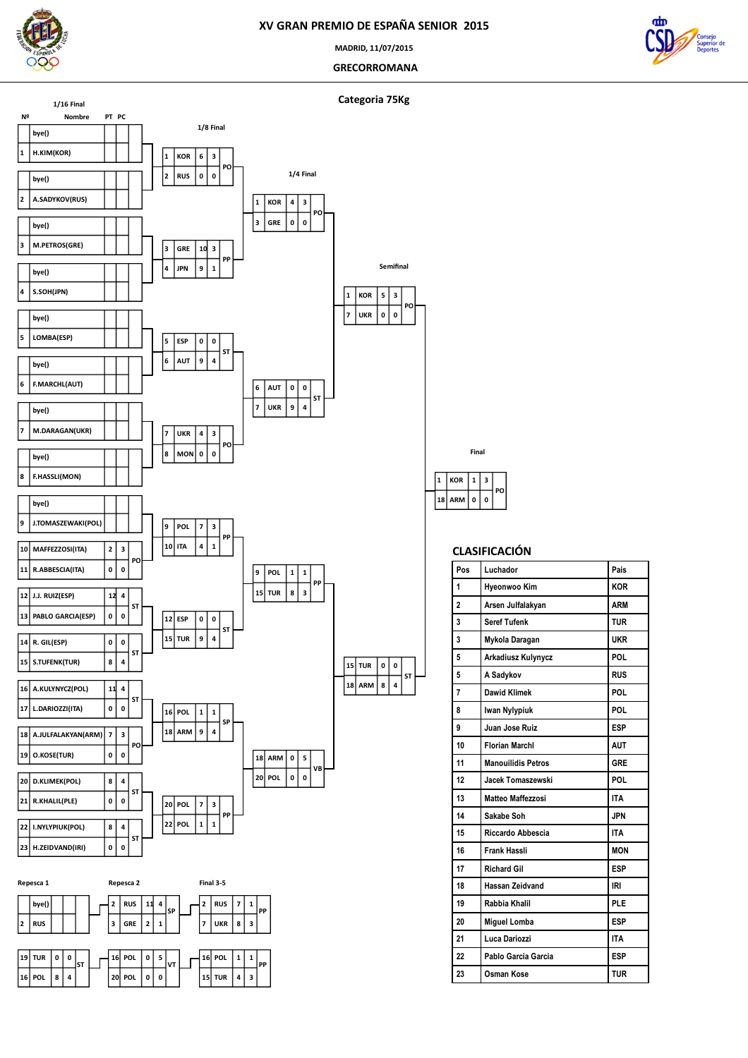

**MADRID, 11/07/2015**

 **GRECORROMANA**



**Categoria 75Kg**



|    |            | Final |   |    |
|----|------------|-------|---|----|
| 1  | KOR        | 1     | 3 |    |
| 18 | <b>ARM</b> | 0     | 0 | PO |

| Pos            | Luchador                  | Pais       |
|----------------|---------------------------|------------|
| 1              | Hyeonwoo Kim              | <b>KOR</b> |
| 2              | Arsen Julfalakyan         | <b>ARM</b> |
| 3              | <b>Seref Tufenk</b>       | <b>TUR</b> |
| 3              | Mykola Daragan            | <b>UKR</b> |
| 5              | Arkadiusz Kulynycz        | POL        |
| 5              | A Sadykov                 | <b>RUS</b> |
| $\overline{7}$ | <b>Dawid Klimek</b>       | POL        |
| 8              | Iwan Nylypiuk             | POL        |
| 9              | Juan Jose Ruiz            | <b>ESP</b> |
| 10             | <b>Florian Marchl</b>     | <b>AUT</b> |
| 11             | <b>Manouilidis Petros</b> | <b>GRE</b> |
| 12             | Jacek Tomaszewski         | POL        |
| 13             | Matteo Maffezzosi         | <b>ITA</b> |
| 14             | Sakabe Soh                | <b>JPN</b> |
| 15             | Riccardo Abbescia         | <b>ITA</b> |
| 16             | <b>Frank Hassli</b>       | <b>MON</b> |
| 17             | <b>Richard Gil</b>        | <b>ESP</b> |
| 18             | Hassan Zeidvand           | <b>IRI</b> |
| 19             | Rabbia Khalil             | PLE        |
| 20             | <b>Miguel Lomba</b>       | <b>ESP</b> |
| 21             | Luca Dariozzi             | <b>ITA</b> |
| 22             | Pablo Garcia Garcia       | <b>ESP</b> |
| 23             | Osman Kose                | <b>TUR</b> |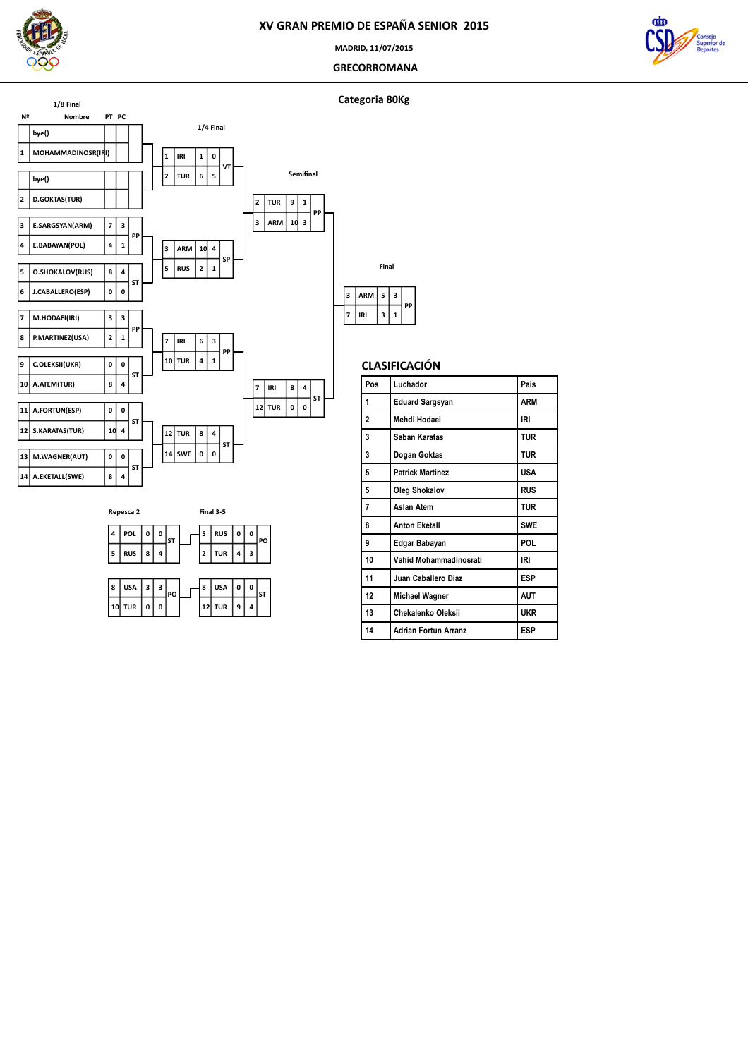

**MADRID, 11/07/2015**

 **GRECORROMANA**



### **Categoria 80Kg**





|   | Final      |   |   |    |  |  |
|---|------------|---|---|----|--|--|
| ٦ | <b>ARM</b> | 5 | 3 | PP |  |  |
|   | IRI        | 3 | 1 |    |  |  |
|   |            |   |   |    |  |  |

| Pos            | Luchador                    | Pais       |
|----------------|-----------------------------|------------|
| 1              | <b>Eduard Sargsyan</b>      | ARM        |
| $\overline{2}$ | Mehdi Hodaei                | IRI        |
| 3              | Saban Karatas               | <b>TUR</b> |
| 3              | Dogan Goktas                | TUR        |
| 5              | <b>Patrick Martinez</b>     | USA        |
| 5              | <b>Oleg Shokalov</b>        | <b>RUS</b> |
| $\overline{7}$ | Aslan Atem                  | <b>TUR</b> |
| 8              | <b>Anton Eketall</b>        | <b>SWE</b> |
| 9              | Edgar Babayan               | POL        |
| 10             | Vahid Mohammadinosrati      | IRI        |
| 11             | Juan Caballero Diaz         | <b>ESP</b> |
| 12             | <b>Michael Wagner</b>       | <b>AUT</b> |
| 13             | Chekalenko Oleksii          | <b>UKR</b> |
| 14             | <b>Adrian Fortun Arranz</b> | ESP        |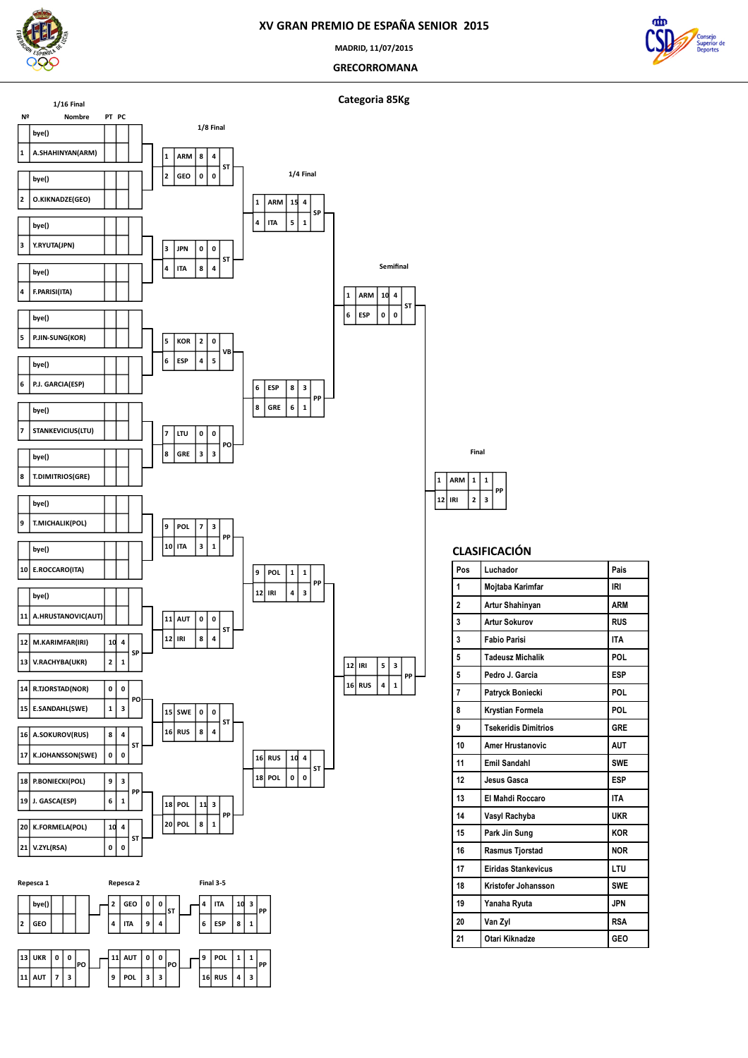

 **V.ZYL(RSA) K.FORMELA(POL)**

**Repesca 1 bye() GEO**

 **UKR**  $\begin{bmatrix} 11 \end{bmatrix}$  AUT  $\begin{bmatrix} 7 \end{bmatrix}$  3

 **0 PO**  **0 4 ST**

**Repesca 2 GEO ITA 9 4**

 **AUT POL 3 3**

 **0 ST**

 **0 PO**

**POL**

**1**

**Final 3-5 ITA ESP 8 1**

 **POL RUS**  $|4|3$ 

**PP**

 **3 PP**

 **1 PP**

### **XV GRAN PREMIO DE ESPAÑA SENIOR 2015**

**MADRID, 11/07/2015**

 **GRECORROMANA**







**PP**

### **CLASIFICACIÓN**

**PP**

| Pos            | Luchador                    | Pais       |
|----------------|-----------------------------|------------|
| 1              | Mojtaba Karimfar            | <b>IRI</b> |
| $\overline{a}$ | Artur Shahinyan             | <b>ARM</b> |
| 3              | <b>Artur Sokurov</b>        | <b>RUS</b> |
| 3              | <b>Fabio Parisi</b>         | <b>ITA</b> |
| 5              | <b>Tadeusz Michalik</b>     | POL        |
| 5              | Pedro J. Garcia             | <b>ESP</b> |
| 7              | Patryck Boniecki            | POL        |
| 8              | Krystian Formela            | POL        |
| 9              | <b>Tsekeridis Dimitrios</b> | <b>GRE</b> |
| 10             | <b>Amer Hrustanovic</b>     | <b>AUT</b> |
| 11             | <b>Emil Sandahl</b>         | <b>SWE</b> |
| 12             | Jesus Gasca                 | <b>ESP</b> |
| 13             | El Mahdi Roccaro            | <b>ITA</b> |
| 14             | Vasyl Rachyba               | <b>UKR</b> |
| 15             | Park Jin Sung               | <b>KOR</b> |
| 16             | Rasmus Tjorstad             | <b>NOR</b> |
| 17             | <b>Eiridas Stankevicus</b>  | LTU        |
| 18             | Kristofer Johansson         | <b>SWE</b> |
| 19             | Yanaha Ryuta                | <b>JPN</b> |
| 20             | Van Zyl                     | <b>RSA</b> |
| 21             | Otari Kiknadze              | <b>GEO</b> |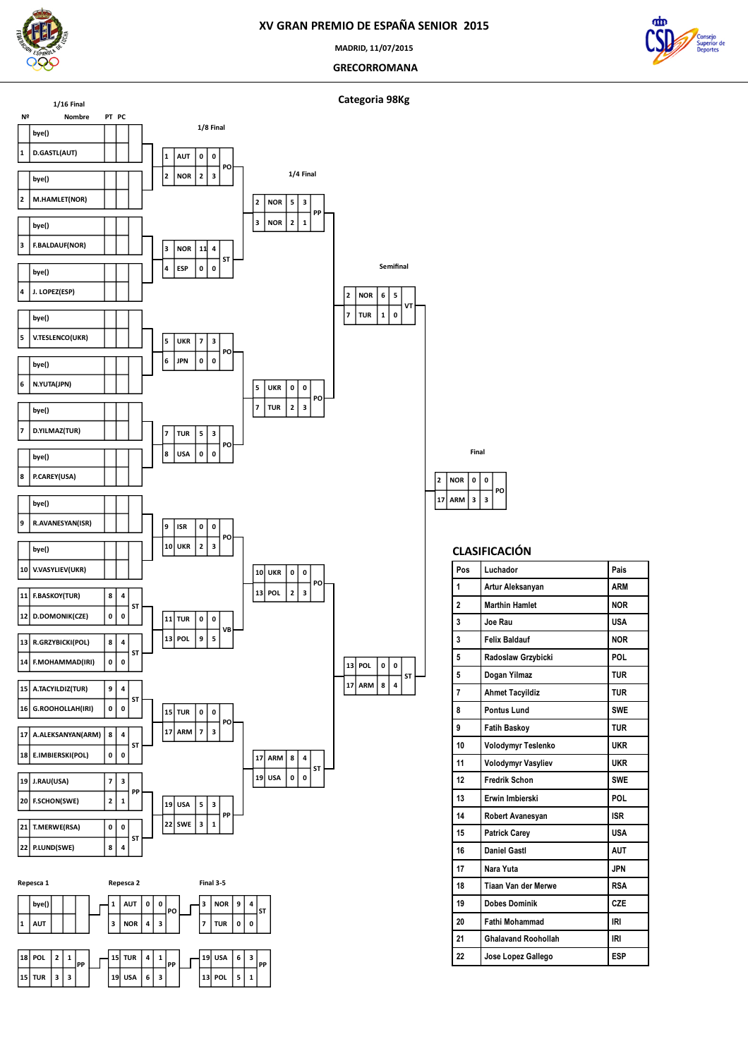

 **POL TUR 3 3**

 $2 \mid 1$ **PP**  **TUR USA 6 3**

 **1 PP**  **USA**  $\begin{array}{|c|c|c|c|}\n\hline\n13 & \text{POL} & \text{5}\n\end{array}$ 

 **3 PP**

### **XV GRAN PREMIO DE ESPAÑA SENIOR 2015**

**MADRID, 11/07/2015**

 **GRECORROMANA**



**Categoria 98Kg**



 **ARM**  $|2|$  **NOR 3 0 PO**

**Final**

| Pos            | Luchador                   | Pais       |
|----------------|----------------------------|------------|
| 1              | Artur Aleksanyan           | <b>ARM</b> |
| $\overline{a}$ | <b>Marthin Hamlet</b>      | <b>NOR</b> |
| 3              | Joe Rau                    | <b>USA</b> |
| 3              | <b>Felix Baldauf</b>       | <b>NOR</b> |
| 5              | Radoslaw Grzybicki         | <b>POL</b> |
| 5              | Dogan Yilmaz               | <b>TUR</b> |
| 7              | <b>Ahmet Tacyildiz</b>     | <b>TUR</b> |
| 8              | <b>Pontus Lund</b>         | <b>SWE</b> |
| 9              | <b>Fatih Baskov</b>        | <b>TUR</b> |
| 10             | Volodymyr Teslenko         | <b>UKR</b> |
| 11             | Volodymyr Vasyliev         | <b>UKR</b> |
| 12             | <b>Fredrik Schon</b>       | <b>SWE</b> |
| 13             | Erwin Imbierski            | POL        |
| 14             | Robert Avanesyan           | <b>ISR</b> |
| 15             | <b>Patrick Carey</b>       | <b>USA</b> |
| 16             | <b>Daniel Gastl</b>        | <b>AUT</b> |
| 17             | Nara Yuta                  | <b>JPN</b> |
| 18             | Tiaan Van der Merwe        | <b>RSA</b> |
| 19             | <b>Dobes Dominik</b>       | CZE        |
| 20             | <b>Fathi Mohammad</b>      | IRI        |
| 21             | <b>Ghalavand Roohollah</b> | <b>IRI</b> |
| 22             | Jose Lopez Gallego         | <b>ESP</b> |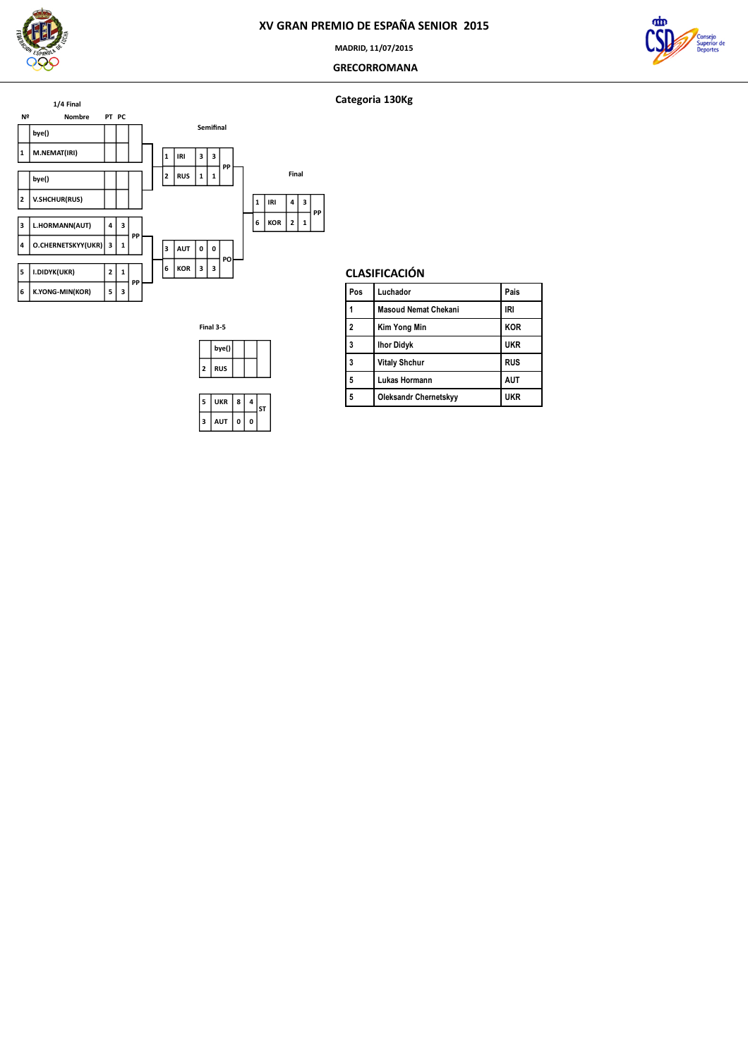

### **MADRID, 11/07/2015**

### **GRECORROMANA**





**Categoria 130Kg**

# **CLASIFICACIÓN**

| Pos            | Luchador                    | Pais       |
|----------------|-----------------------------|------------|
|                | <b>Masoud Nemat Chekani</b> | IRI        |
| $\overline{a}$ | <b>Kim Yong Min</b>         | <b>KOR</b> |
| 3              | <b>Ihor Didyk</b>           | <b>UKR</b> |
| 3              | <b>Vitaly Shchur</b>        | <b>RUS</b> |
| 5              | Lukas Hormann               | <b>AUT</b> |
| 5              | Oleksandr Chernetskyy       | ukr        |
|                |                             |            |

**Final 3-5 bye() RUS UKR AUT 0 0 4 ST**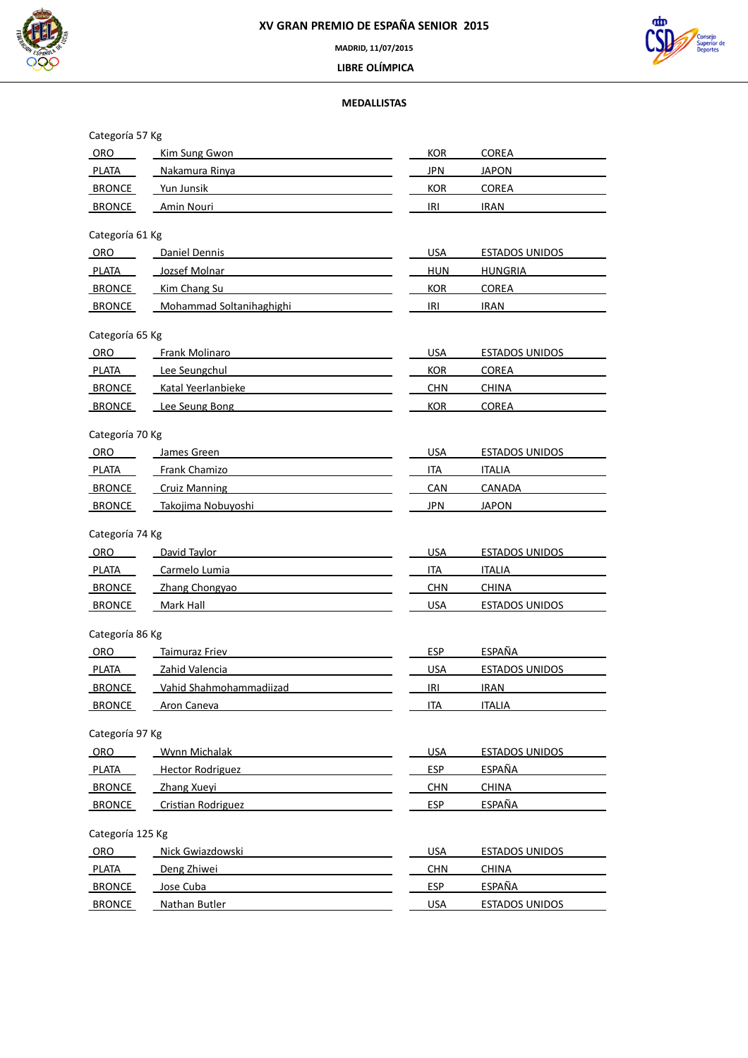



 **LIBRE OLÍMPICA**

# **MEDALLISTAS**

| Categoría 57 Kg  |                           |            |                       |
|------------------|---------------------------|------------|-----------------------|
| ORO              | Kim Sung Gwon             | <b>KOR</b> | COREA                 |
| <b>PLATA</b>     | Nakamura Rinya            | <b>JPN</b> | <b>JAPON</b>          |
| BRONCE           | Yun Junsik                | <b>KOR</b> | COREA                 |
| <b>BRONCE</b>    | Amin Nouri                | IRI        | <b>IRAN</b>           |
| Categoría 61 Kg  |                           |            |                       |
| ORO              | Daniel Dennis             | <b>USA</b> | <b>ESTADOS UNIDOS</b> |
| PLATA            | Jozsef Molnar             | <b>HUN</b> | <b>HUNGRIA</b>        |
| <b>BRONCE</b>    | Kim Chang Su              | <b>KOR</b> | <b>COREA</b>          |
| BRONCE           | Mohammad Soltanihaghighi  | IRI        | <b>IRAN</b>           |
| Categoría 65 Kg  |                           |            |                       |
| <b>ORO</b>       | <b>Frank Molinaro</b>     | <b>USA</b> | ESTADOS UNIDOS        |
| <b>PLATA</b>     | Lee Seungchul             | <b>KOR</b> | <b>COREA</b>          |
| <b>BRONCE</b>    | Katal Yeerlanbieke        | <b>CHN</b> | <b>CHINA</b>          |
| <b>BRONCE</b>    | Lee Seung Bong            | <b>KOR</b> | COREA                 |
|                  |                           |            |                       |
| Categoría 70 Kg  |                           |            |                       |
| <b>ORO</b>       | James Green               | <b>USA</b> | <b>ESTADOS UNIDOS</b> |
| PLATA            | Frank Chamizo             | ITA        | <b>ITALIA</b>         |
| <b>BRONCE</b>    | <b>Cruiz Manning</b>      | CAN        | CANADA                |
| <b>BRONCE</b>    | Takojima Nobuyoshi        | JPN        | <b>JAPON</b>          |
| Categoría 74 Kg  |                           |            |                       |
| ORO              | David Taylor              | <b>USA</b> | <b>ESTADOS UNIDOS</b> |
| PLATA            | Carmelo Lumia             | <b>ITA</b> | <b>ITALIA</b>         |
| <b>BRONCE</b>    | Zhang Chongyao            | <b>CHN</b> | <b>CHINA</b>          |
| <b>BRONCE</b>    | Mark Hall                 | <b>USA</b> | <b>ESTADOS UNIDOS</b> |
| Categoría 86 Kg  |                           |            |                       |
| ORO              | Taimuraz Friev            | <b>ESP</b> | ESPAÑA                |
| PLATA            | Zahid Valencia            | <b>USA</b> | <b>ESTADOS UNIDOS</b> |
| <b>BRONCE</b>    | Vahid Shahmohammadiizad   | IRI        | <b>IRAN</b>           |
| <b>BRONCE</b>    | Aron Caneva               | <b>ITA</b> | <b>ITALIA</b>         |
| Categoría 97 Kg  |                           |            |                       |
| ORO              | Wynn Michalak             | <b>USA</b> | <b>ESTADOS UNIDOS</b> |
| <b>PLATA</b>     | <b>Hector Rodriguez</b>   | <b>ESP</b> | <u>ESPAÑA</u>         |
| <b>BRONCE</b>    | Zhang Xueyi               | <b>CHN</b> | <b>CHINA</b>          |
| <b>BRONCE</b>    | <b>Cristian Rodriguez</b> | <b>ESP</b> | <b>ESPAÑA</b>         |
|                  |                           |            |                       |
| Categoría 125 Kg |                           |            |                       |
| ORO              | Nick Gwiazdowski          | <b>USA</b> | <b>ESTADOS UNIDOS</b> |
| <b>PLATA</b>     | Deng Zhiwei               | <b>CHN</b> | <b>CHINA</b>          |
| <b>BRONCE</b>    | Jose Cuba                 | <b>ESP</b> | <b>ESPAÑA</b>         |
| <b>BRONCE</b>    | <b>Nathan Butler</b>      | <b>USA</b> | <b>ESTADOS UNIDOS</b> |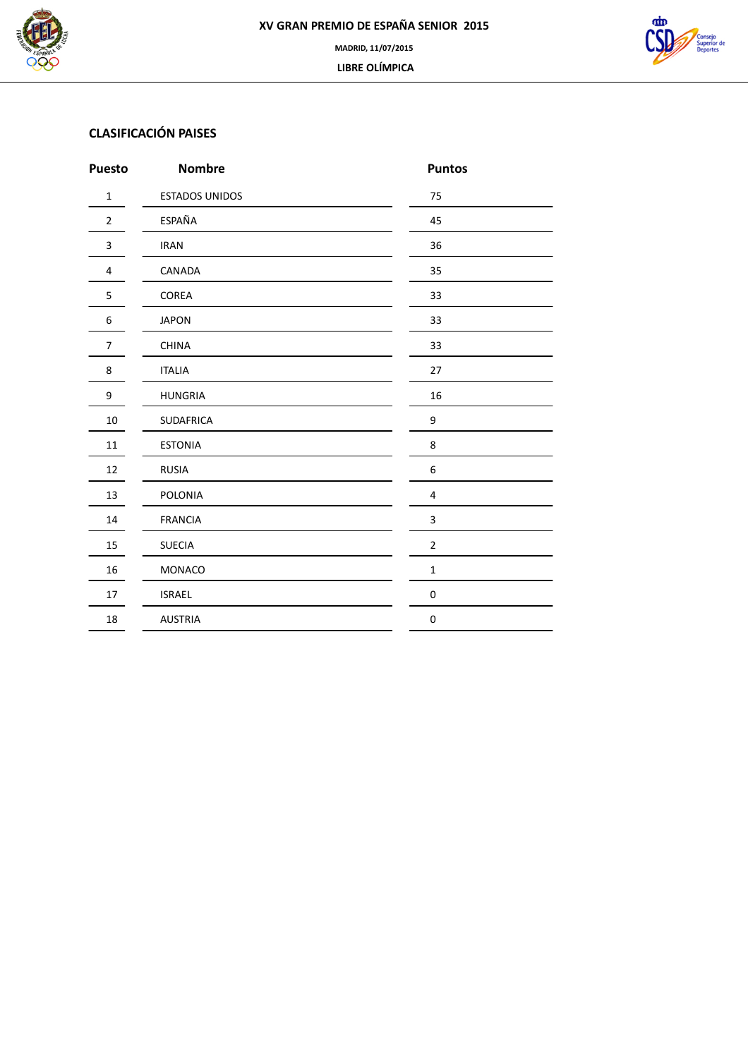



# **CLASIFICACIÓN PAISES**

| <b>Puesto</b>  | <b>Nombre</b>         | <b>Puntos</b>    |
|----------------|-----------------------|------------------|
| $\mathbf 1$    | <b>ESTADOS UNIDOS</b> | 75               |
| $\overline{2}$ | ESPAÑA                | 45               |
| 3              | <b>IRAN</b>           | 36               |
| $\overline{4}$ | CANADA                | 35               |
| 5              | COREA                 | 33               |
| 6              | <b>JAPON</b>          | 33               |
| $\overline{7}$ | <b>CHINA</b>          | 33               |
| 8              | <b>ITALIA</b>         | 27               |
| 9              | <b>HUNGRIA</b>        | 16               |
| $10\,$         | SUDAFRICA             | 9                |
| $11\,$         | <b>ESTONIA</b>        | 8                |
| 12             | <b>RUSIA</b>          | $\,6\,$          |
| 13             | POLONIA               | $\sqrt{4}$       |
| 14             | <b>FRANCIA</b>        | $\mathsf 3$      |
| 15             | <b>SUECIA</b>         | $\overline{2}$   |
| 16             | MONACO                | $\mathbf 1$      |
| 17             | <b>ISRAEL</b>         | $\boldsymbol{0}$ |
| 18             | <b>AUSTRIA</b>        | $\pmb{0}$        |
|                |                       |                  |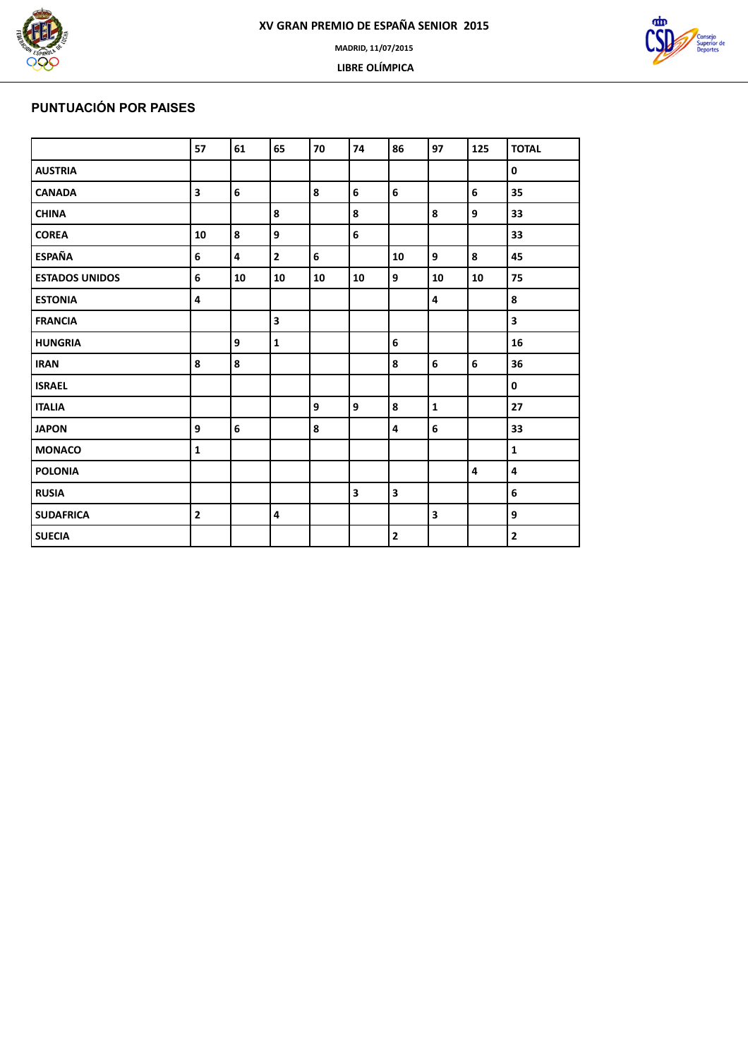





# **PUNTUACIÓN POR PAISES**

|                       | 57                      | 61                      | 65                      | 70 | 74                      | 86                      | 97          | 125 | <b>TOTAL</b> |
|-----------------------|-------------------------|-------------------------|-------------------------|----|-------------------------|-------------------------|-------------|-----|--------------|
| <b>AUSTRIA</b>        |                         |                         |                         |    |                         |                         |             |     | 0            |
| <b>CANADA</b>         | $\overline{\mathbf{3}}$ | 6                       |                         | 8  | 6                       | $6\phantom{a}$          |             | 6   | 35           |
| <b>CHINA</b>          |                         |                         | 8                       |    | 8                       |                         | 8           | 9   | 33           |
| <b>COREA</b>          | 10                      | 8                       | 9                       |    | 6                       |                         |             |     | 33           |
| <b>ESPAÑA</b>         | 6                       | $\overline{\mathbf{4}}$ | $\overline{\mathbf{2}}$ | 6  |                         | 10                      | 9           | 8   | 45           |
| <b>ESTADOS UNIDOS</b> | 6                       | 10                      | 10                      | 10 | 10                      | 9                       | 10          | 10  | 75           |
| <b>ESTONIA</b>        | 4                       |                         |                         |    |                         |                         | 4           |     | 8            |
| <b>FRANCIA</b>        |                         |                         | $\overline{\mathbf{3}}$ |    |                         |                         |             |     | 3            |
| <b>HUNGRIA</b>        |                         | 9                       | $\mathbf{1}$            |    |                         | 6                       |             |     | 16           |
| <b>IRAN</b>           | 8                       | 8                       |                         |    |                         | 8                       | 6           | 6   | 36           |
| <b>ISRAEL</b>         |                         |                         |                         |    |                         |                         |             |     | $\pmb{0}$    |
| <b>ITALIA</b>         |                         |                         |                         | 9  | 9                       | 8                       | $\mathbf 1$ |     | 27           |
| <b>JAPON</b>          | 9                       | 6                       |                         | 8  |                         | $\overline{\mathbf{4}}$ | 6           |     | 33           |
| <b>MONACO</b>         | $\mathbf{1}$            |                         |                         |    |                         |                         |             |     | $\mathbf{1}$ |
| <b>POLONIA</b>        |                         |                         |                         |    |                         |                         |             | 4   | 4            |
| <b>RUSIA</b>          |                         |                         |                         |    | $\overline{\mathbf{3}}$ | $\overline{\mathbf{3}}$ |             |     | 6            |
| <b>SUDAFRICA</b>      | $\overline{\mathbf{2}}$ |                         | $\overline{4}$          |    |                         |                         | 3           |     | 9            |
| <b>SUECIA</b>         |                         |                         |                         |    |                         | $\overline{\mathbf{2}}$ |             |     | $\mathbf 2$  |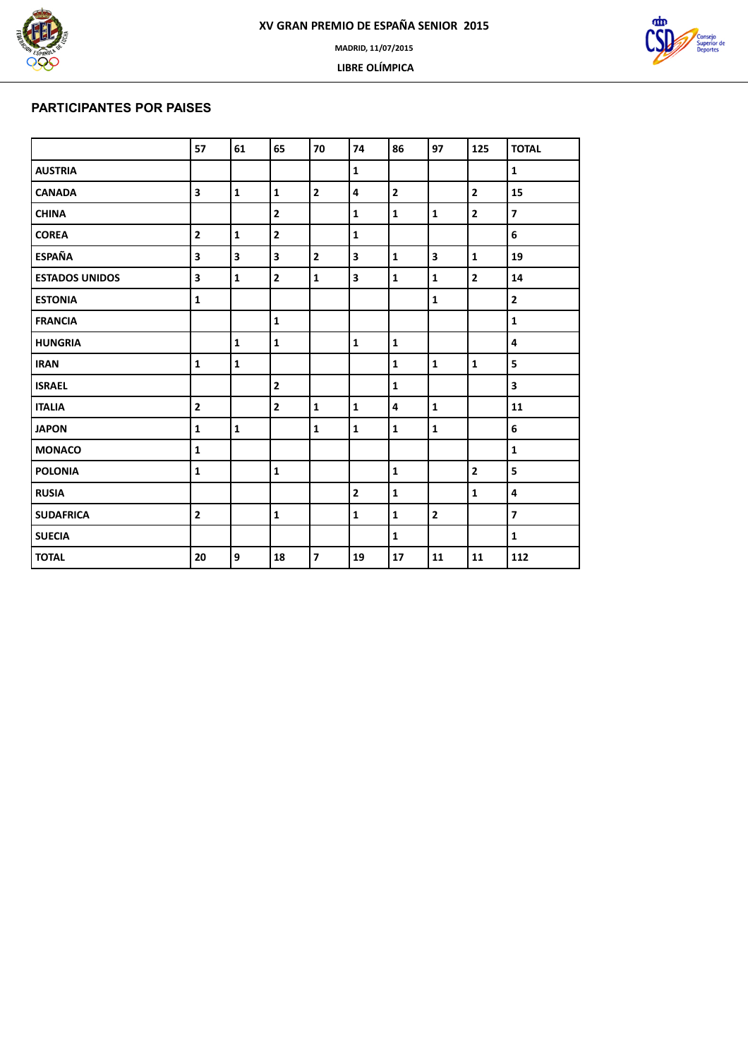





### **PARTICIPANTES POR PAISES**

|                       | 57                      | 61           | 65             | 70             | 74                      | 86                      | 97           | 125            | <b>TOTAL</b>            |
|-----------------------|-------------------------|--------------|----------------|----------------|-------------------------|-------------------------|--------------|----------------|-------------------------|
| <b>AUSTRIA</b>        |                         |              |                |                | $\mathbf{1}$            |                         |              |                | $\mathbf{1}$            |
| <b>CANADA</b>         | $\overline{\mathbf{3}}$ | $\mathbf{1}$ | $\mathbf{1}$   | $\overline{2}$ | 4                       | $\overline{\mathbf{2}}$ |              | $\overline{2}$ | 15                      |
| <b>CHINA</b>          |                         |              | $\overline{2}$ |                | $\mathbf{1}$            | $\mathbf{1}$            | $\mathbf{1}$ | $\overline{2}$ | $\overline{\mathbf{z}}$ |
| <b>COREA</b>          | $\overline{2}$          | $\mathbf{1}$ | $\overline{2}$ |                | $\mathbf{1}$            |                         |              |                | 6                       |
| <b>ESPAÑA</b>         | $\overline{\mathbf{3}}$ | 3            | 3              | $\overline{2}$ | $\overline{\mathbf{3}}$ | $\mathbf{1}$            | 3            | $\mathbf{1}$   | 19                      |
| <b>ESTADOS UNIDOS</b> | $\overline{\mathbf{3}}$ | $\mathbf{1}$ | $\overline{2}$ | $\mathbf{1}$   | $\overline{\mathbf{3}}$ | $\mathbf{1}$            | $\mathbf{1}$ | $\overline{2}$ | 14                      |
| <b>ESTONIA</b>        | $\mathbf 1$             |              |                |                |                         |                         | $\mathbf 1$  |                | $\mathbf{2}$            |
| <b>FRANCIA</b>        |                         |              | $\mathbf{1}$   |                |                         |                         |              |                | $\mathbf{1}$            |
| <b>HUNGRIA</b>        |                         | $\mathbf 1$  | $\mathbf{1}$   |                | $\mathbf{1}$            | $\mathbf{1}$            |              |                | $\overline{\mathbf{4}}$ |
| <b>IRAN</b>           | $\mathbf{1}$            | $\mathbf{1}$ |                |                |                         | $\mathbf{1}$            | $\mathbf{1}$ | $\mathbf{1}$   | 5                       |
| <b>ISRAEL</b>         |                         |              | $\overline{2}$ |                |                         | ${\bf 1}$               |              |                | 3                       |
| <b>ITALIA</b>         | $\overline{\mathbf{2}}$ |              | $\overline{2}$ | $\mathbf{1}$   | $\mathbf{1}$            | $\overline{\mathbf{4}}$ | $\mathbf{1}$ |                | 11                      |
| <b>JAPON</b>          | $\mathbf{1}$            | $\mathbf 1$  |                | $\mathbf{1}$   | $\mathbf{1}$            | $\mathbf{1}$            | $\mathbf{1}$ |                | 6                       |
| <b>MONACO</b>         | $\mathbf{1}$            |              |                |                |                         |                         |              |                | $\mathbf{1}$            |
| <b>POLONIA</b>        | $\mathbf 1$             |              | $\mathbf{1}$   |                |                         | $\mathbf{1}$            |              | $\mathbf{2}$   | 5                       |
| <b>RUSIA</b>          |                         |              |                |                | $\overline{2}$          | $\mathbf{1}$            |              | $\mathbf{1}$   | 4                       |
| <b>SUDAFRICA</b>      | $\overline{2}$          |              | $\mathbf{1}$   |                | $\mathbf{1}$            | $\mathbf{1}$            | $\mathbf{2}$ |                | $\overline{\mathbf{z}}$ |
| <b>SUECIA</b>         |                         |              |                |                |                         | $\mathbf{1}$            |              |                | $\mathbf{1}$            |
| <b>TOTAL</b>          | 20                      | 9            | 18             | $\overline{7}$ | 19                      | 17                      | 11           | 11             | 112                     |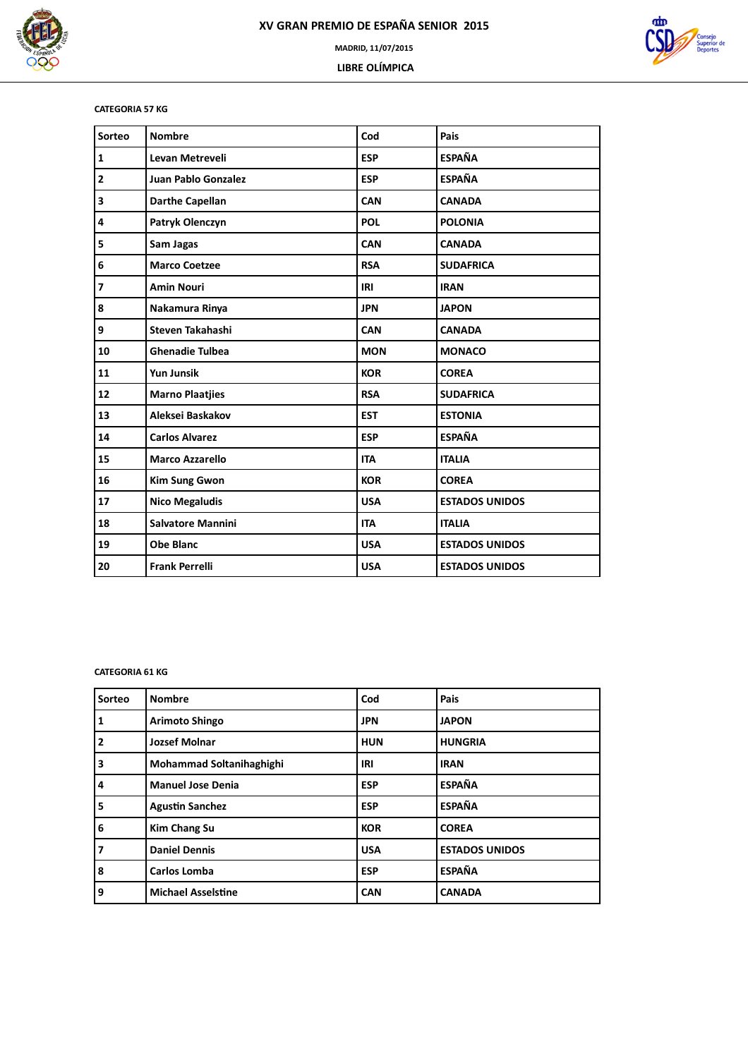



### **CATEGORIA 57 KG**

| Sorteo                  | <b>Nombre</b>            | Cod        | Pais                  |
|-------------------------|--------------------------|------------|-----------------------|
| $\mathbf 1$             | Levan Metreveli          | <b>ESP</b> | <b>ESPAÑA</b>         |
| $\mathbf{2}$            | Juan Pablo Gonzalez      | <b>ESP</b> | <b>ESPAÑA</b>         |
| $\overline{\mathbf{3}}$ | <b>Darthe Capellan</b>   | CAN        | <b>CANADA</b>         |
| 4                       | Patryk Olenczyn          | <b>POL</b> | <b>POLONIA</b>        |
| 5                       | Sam Jagas                | <b>CAN</b> | <b>CANADA</b>         |
| 6                       | <b>Marco Coetzee</b>     | <b>RSA</b> | <b>SUDAFRICA</b>      |
| $\overline{\mathbf{z}}$ | <b>Amin Nouri</b>        | IRI        | <b>IRAN</b>           |
| 8                       | Nakamura Rinya           | <b>JPN</b> | <b>JAPON</b>          |
| 9                       | Steven Takahashi         | <b>CAN</b> | <b>CANADA</b>         |
| 10                      | <b>Ghenadie Tulbea</b>   | <b>MON</b> | <b>MONACO</b>         |
| 11                      | <b>Yun Junsik</b>        | <b>KOR</b> | <b>COREA</b>          |
| 12                      | <b>Marno Plaatjies</b>   | <b>RSA</b> | <b>SUDAFRICA</b>      |
| 13                      | Aleksei Baskakov         | <b>EST</b> | <b>ESTONIA</b>        |
| 14                      | <b>Carlos Alvarez</b>    | <b>ESP</b> | <b>ESPAÑA</b>         |
| 15                      | <b>Marco Azzarello</b>   | <b>ITA</b> | <b>ITALIA</b>         |
| 16                      | <b>Kim Sung Gwon</b>     | <b>KOR</b> | <b>COREA</b>          |
| 17                      | <b>Nico Megaludis</b>    | <b>USA</b> | <b>ESTADOS UNIDOS</b> |
| 18                      | <b>Salvatore Mannini</b> | <b>ITA</b> | <b>ITALIA</b>         |
| 19                      | <b>Obe Blanc</b>         | <b>USA</b> | <b>ESTADOS UNIDOS</b> |
| 20                      | <b>Frank Perrelli</b>    | <b>USA</b> | <b>ESTADOS UNIDOS</b> |

### **CATEGORIA 61 KG**

| Sorteo | <b>Nombre</b>             | Cod        | Pais                  |
|--------|---------------------------|------------|-----------------------|
| 1      | Arimoto Shingo            | <b>JPN</b> | <b>JAPON</b>          |
| 2      | <b>Jozsef Molnar</b>      | <b>HUN</b> | <b>HUNGRIA</b>        |
| 3      | Mohammad Soltanihaghighi  | IRI        | <b>IRAN</b>           |
| 4      | <b>Manuel Jose Denia</b>  | <b>ESP</b> | <b>ESPAÑA</b>         |
| 5      | <b>Agustin Sanchez</b>    | <b>ESP</b> | <b>ESPAÑA</b>         |
| 6      | <b>Kim Chang Su</b>       | <b>KOR</b> | <b>COREA</b>          |
| 7      | <b>Daniel Dennis</b>      | <b>USA</b> | <b>ESTADOS UNIDOS</b> |
| 8      | <b>Carlos Lomba</b>       | <b>ESP</b> | <b>ESPAÑA</b>         |
| 9      | <b>Michael Asselstine</b> | <b>CAN</b> | <b>CANADA</b>         |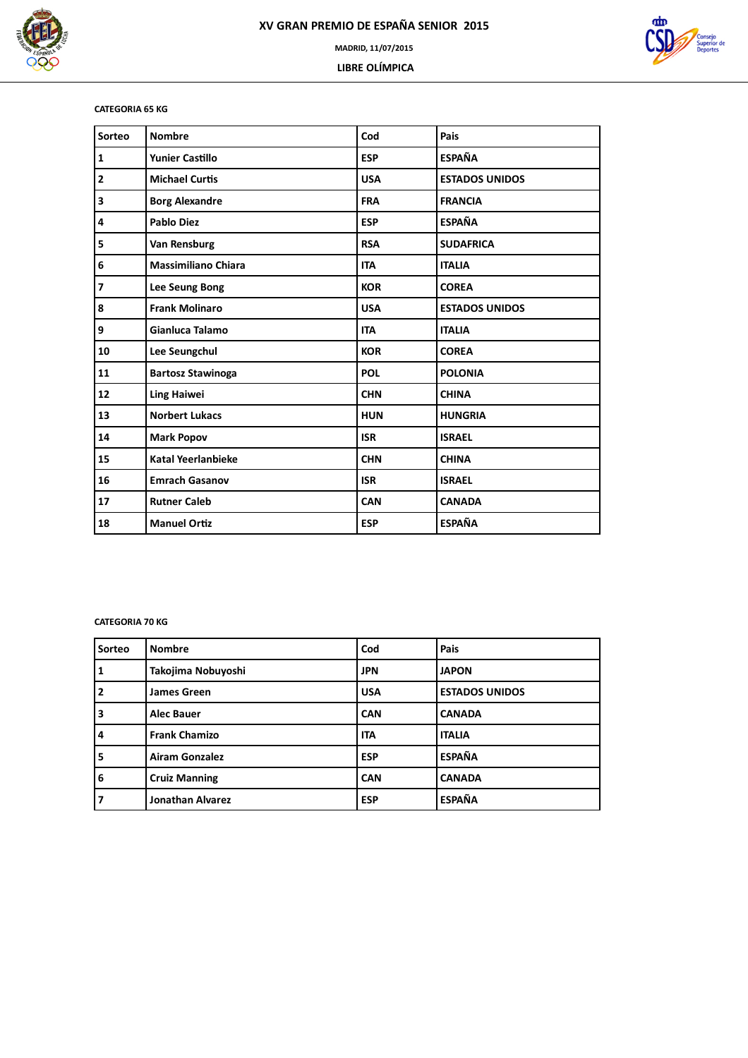

ത്ര

### **CATEGORIA 65 KG**

| Sorteo                   | <b>Nombre</b>              | Cod        | Pais                  |
|--------------------------|----------------------------|------------|-----------------------|
| $\mathbf 1$              | <b>Yunier Castillo</b>     | <b>ESP</b> | <b>ESPAÑA</b>         |
| $\overline{2}$           | <b>Michael Curtis</b>      | <b>USA</b> | <b>ESTADOS UNIDOS</b> |
| 3                        | <b>Borg Alexandre</b>      | <b>FRA</b> | <b>FRANCIA</b>        |
| 4                        | <b>Pablo Diez</b>          | <b>ESP</b> | <b>ESPAÑA</b>         |
| 5                        | Van Rensburg               | <b>RSA</b> | <b>SUDAFRICA</b>      |
| 6                        | <b>Massimiliano Chiara</b> | <b>ITA</b> | <b>ITALIA</b>         |
| $\overline{\phantom{a}}$ | Lee Seung Bong             | <b>KOR</b> | <b>COREA</b>          |
| 8                        | <b>Frank Molinaro</b>      | <b>USA</b> | <b>ESTADOS UNIDOS</b> |
| 9                        | Gianluca Talamo            | <b>ITA</b> | <b>ITALIA</b>         |
| 10                       | Lee Seungchul              | <b>KOR</b> | <b>COREA</b>          |
| 11                       | <b>Bartosz Stawinoga</b>   | <b>POL</b> | <b>POLONIA</b>        |
| 12                       | <b>Ling Haiwei</b>         | <b>CHN</b> | <b>CHINA</b>          |
| 13                       | <b>Norbert Lukacs</b>      | <b>HUN</b> | <b>HUNGRIA</b>        |
| 14                       | <b>Mark Popov</b>          | <b>ISR</b> | <b>ISRAEL</b>         |
| 15                       | <b>Katal Yeerlanbieke</b>  | <b>CHN</b> | <b>CHINA</b>          |
| 16                       | <b>Emrach Gasanov</b>      | <b>ISR</b> | <b>ISRAEL</b>         |
| 17                       | <b>Rutner Caleb</b>        | <b>CAN</b> | <b>CANADA</b>         |
| 18                       | <b>Manuel Ortiz</b>        | <b>ESP</b> | <b>ESPAÑA</b>         |

### **CATEGORIA 70 KG**

| Sorteo                  | <b>Nombre</b>           | Cod        | Pais                  |
|-------------------------|-------------------------|------------|-----------------------|
| 1                       | Takojima Nobuyoshi      | <b>JPN</b> | <b>JAPON</b>          |
| $\overline{\mathbf{2}}$ | <b>James Green</b>      | <b>USA</b> | <b>ESTADOS UNIDOS</b> |
| 3                       | <b>Alec Bauer</b>       | <b>CAN</b> | <b>CANADA</b>         |
| 4                       | <b>Frank Chamizo</b>    | <b>ITA</b> | <b>ITALIA</b>         |
| 5                       | <b>Airam Gonzalez</b>   | <b>ESP</b> | <b>ESPAÑA</b>         |
| 6                       | <b>Cruiz Manning</b>    | <b>CAN</b> | <b>CANADA</b>         |
| 7                       | <b>Jonathan Alvarez</b> | <b>ESP</b> | <b>ESPAÑA</b>         |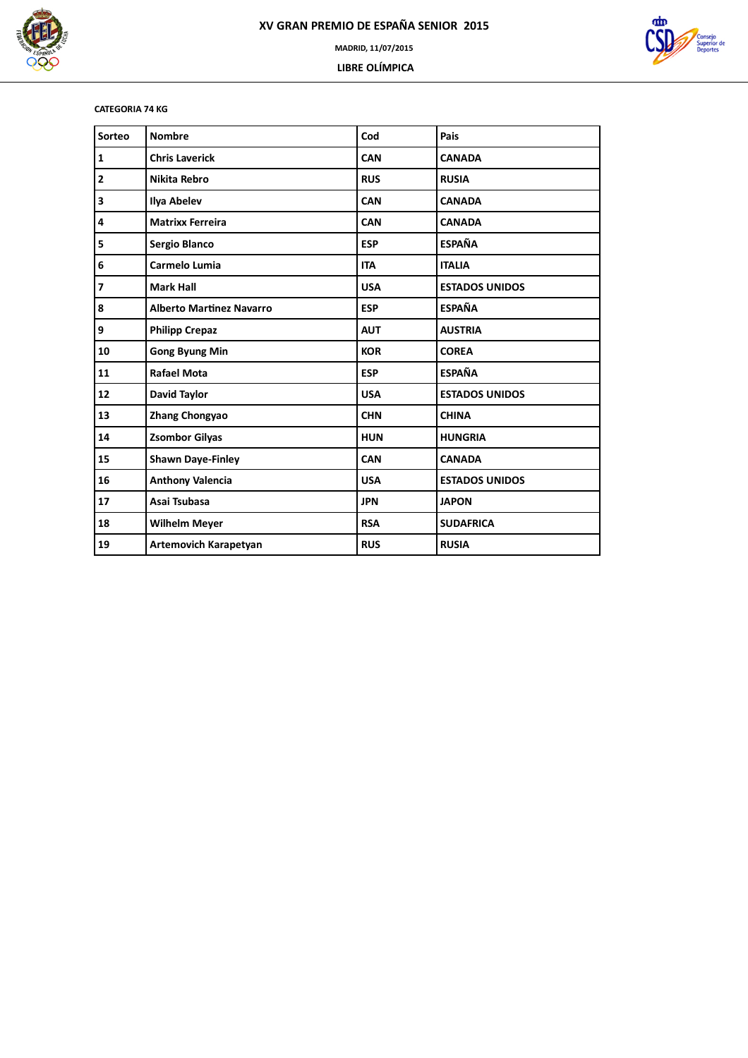



### **CATEGORIA 74 KG**

| Sorteo                  | <b>Nombre</b>                   | Cod        | Pais                  |
|-------------------------|---------------------------------|------------|-----------------------|
| 1                       | <b>Chris Laverick</b>           | CAN        | <b>CANADA</b>         |
| 2                       | <b>Nikita Rebro</b>             | <b>RUS</b> | <b>RUSIA</b>          |
| 3                       | Ilya Abelev                     | <b>CAN</b> | <b>CANADA</b>         |
| 4                       | <b>Matrixx Ferreira</b>         | <b>CAN</b> | <b>CANADA</b>         |
| 5                       | Sergio Blanco                   | <b>ESP</b> | <b>ESPAÑA</b>         |
| 6                       | Carmelo Lumia                   | <b>ITA</b> | <b>ITALIA</b>         |
| $\overline{\mathbf{z}}$ | <b>Mark Hall</b>                | <b>USA</b> | <b>ESTADOS UNIDOS</b> |
| 8                       | <b>Alberto Martinez Navarro</b> | <b>ESP</b> | <b>ESPAÑA</b>         |
| 9                       | <b>Philipp Crepaz</b>           | <b>AUT</b> | <b>AUSTRIA</b>        |
| 10                      | <b>Gong Byung Min</b>           | <b>KOR</b> | <b>COREA</b>          |
| 11                      | <b>Rafael Mota</b>              | <b>ESP</b> | <b>ESPAÑA</b>         |
| 12                      | David Taylor                    | <b>USA</b> | <b>ESTADOS UNIDOS</b> |
| 13                      | <b>Zhang Chongyao</b>           | <b>CHN</b> | <b>CHINA</b>          |
| 14                      | <b>Zsombor Gilyas</b>           | <b>HUN</b> | <b>HUNGRIA</b>        |
| 15                      | <b>Shawn Daye-Finley</b>        | <b>CAN</b> | <b>CANADA</b>         |
| 16                      | <b>Anthony Valencia</b>         | <b>USA</b> | <b>ESTADOS UNIDOS</b> |
| 17                      | Asai Tsubasa                    | <b>JPN</b> | <b>JAPON</b>          |
| 18                      | <b>Wilhelm Meyer</b>            | <b>RSA</b> | <b>SUDAFRICA</b>      |
| 19                      | <b>Artemovich Karapetyan</b>    | <b>RUS</b> | <b>RUSIA</b>          |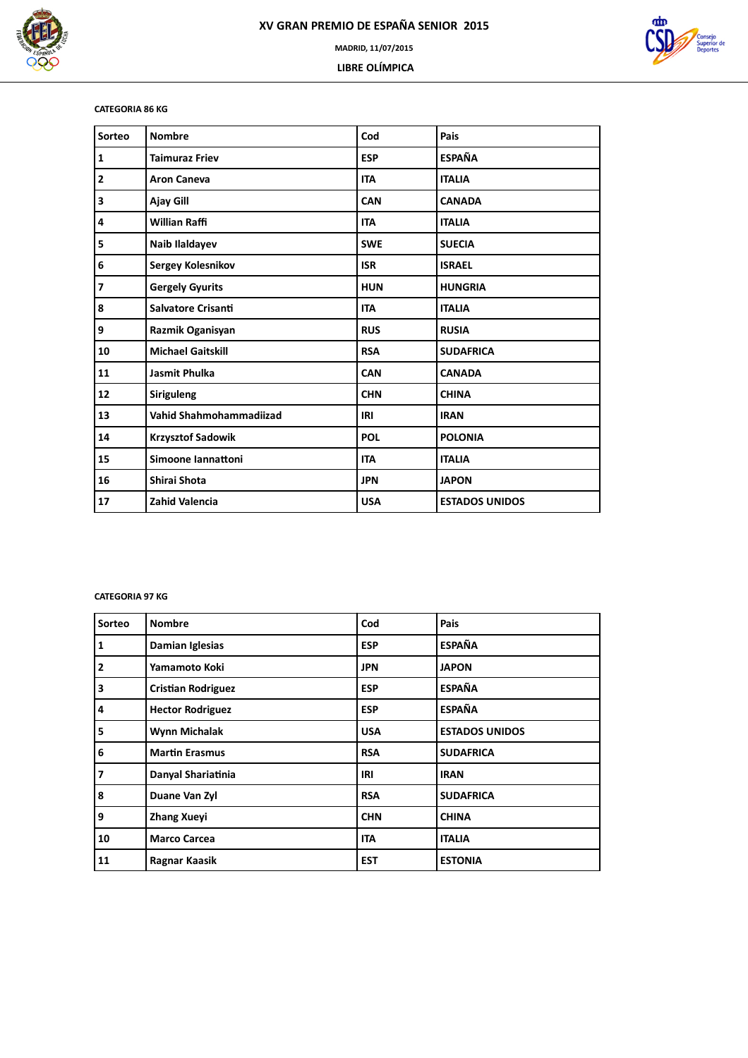



### **CATEGORIA 86 KG**

| Sorteo                   | <b>Nombre</b>             | Cod        | Pais                  |
|--------------------------|---------------------------|------------|-----------------------|
| $\mathbf{1}$             | <b>Taimuraz Friev</b>     | <b>ESP</b> | <b>ESPAÑA</b>         |
| $\overline{2}$           | <b>Aron Caneva</b>        | <b>ITA</b> | <b>ITALIA</b>         |
| 3                        | Ajay Gill                 | <b>CAN</b> | <b>CANADA</b>         |
| 4                        | <b>Willian Raffi</b>      | <b>ITA</b> | <b>ITALIA</b>         |
| 5                        | Naib Ilaldayev            | <b>SWE</b> | <b>SUECIA</b>         |
| 6                        | Sergey Kolesnikov         | <b>ISR</b> | <b>ISRAEL</b>         |
| $\overline{\phantom{a}}$ | <b>Gergely Gyurits</b>    | <b>HUN</b> | <b>HUNGRIA</b>        |
| 8                        | <b>Salvatore Crisanti</b> | <b>ITA</b> | <b>ITALIA</b>         |
| 9                        | Razmik Oganisyan          | <b>RUS</b> | <b>RUSIA</b>          |
| 10                       | <b>Michael Gaitskill</b>  | <b>RSA</b> | <b>SUDAFRICA</b>      |
| 11                       | <b>Jasmit Phulka</b>      | <b>CAN</b> | <b>CANADA</b>         |
| 12                       | <b>Siriguleng</b>         | <b>CHN</b> | <b>CHINA</b>          |
| 13                       | Vahid Shahmohammadiizad   | IRI        | <b>IRAN</b>           |
| 14                       | <b>Krzysztof Sadowik</b>  | POL        | <b>POLONIA</b>        |
| 15                       | Simoone Iannattoni        | <b>ITA</b> | <b>ITALIA</b>         |
| 16                       | Shirai Shota              | <b>JPN</b> | <b>JAPON</b>          |
| 17                       | <b>Zahid Valencia</b>     | <b>USA</b> | <b>ESTADOS UNIDOS</b> |

### **CATEGORIA 97 KG**

| Sorteo         | <b>Nombre</b>             | Cod        | Pais                  |
|----------------|---------------------------|------------|-----------------------|
| $\mathbf{1}$   | Damian Iglesias           | <b>ESP</b> | <b>ESPAÑA</b>         |
| $\mathbf{2}$   | Yamamoto Koki             | <b>JPN</b> | <b>JAPON</b>          |
| 3              | <b>Cristian Rodriguez</b> | <b>ESP</b> | <b>ESPAÑA</b>         |
| 4              | <b>Hector Rodriguez</b>   | <b>ESP</b> | <b>ESPAÑA</b>         |
| 5              | Wynn Michalak             | <b>USA</b> | <b>ESTADOS UNIDOS</b> |
| 6              | <b>Martin Erasmus</b>     | <b>RSA</b> | <b>SUDAFRICA</b>      |
| $\overline{7}$ | Danyal Shariatinia        | IRI        | <b>IRAN</b>           |
| 8              | Duane Van Zyl             | <b>RSA</b> | <b>SUDAFRICA</b>      |
| 9              | <b>Zhang Xueyi</b>        | <b>CHN</b> | <b>CHINA</b>          |
| 10             | <b>Marco Carcea</b>       | <b>ITA</b> | <b>ITALIA</b>         |
| 11             | Ragnar Kaasik             | <b>EST</b> | <b>ESTONIA</b>        |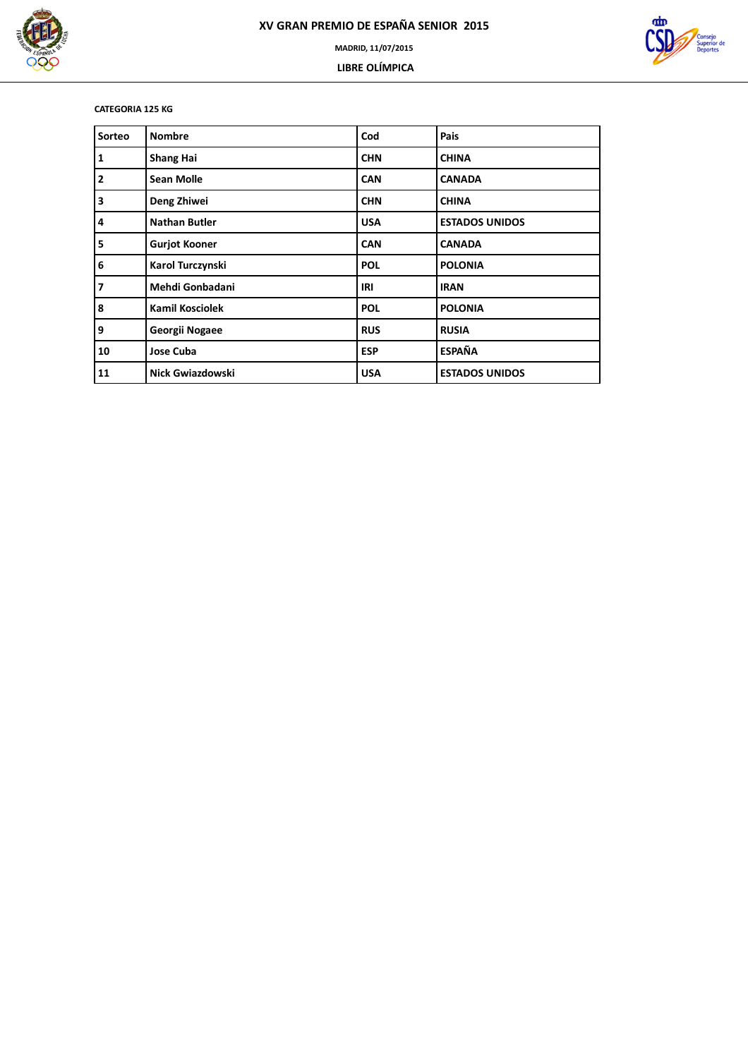

 **LIBRE OLÍMPICA**



**CATEGORIA 125 KG**

| Sorteo | <b>Nombre</b>           | Cod        | Pais                  |
|--------|-------------------------|------------|-----------------------|
| 1      | <b>Shang Hai</b>        | <b>CHN</b> | <b>CHINA</b>          |
| 2      | <b>Sean Molle</b>       | <b>CAN</b> | <b>CANADA</b>         |
| 3      | Deng Zhiwei             | <b>CHN</b> | <b>CHINA</b>          |
| 14     | <b>Nathan Butler</b>    | <b>USA</b> | <b>ESTADOS UNIDOS</b> |
| 5      | <b>Gurjot Kooner</b>    | <b>CAN</b> | <b>CANADA</b>         |
| 6      | Karol Turczynski        | <b>POL</b> | <b>POLONIA</b>        |
| 7      | Mehdi Gonbadani         | IRI        | <b>IRAN</b>           |
| 8      | <b>Kamil Kosciolek</b>  | <b>POL</b> | <b>POLONIA</b>        |
| 9      | Georgii Nogaee          | <b>RUS</b> | <b>RUSIA</b>          |
| 10     | Jose Cuba               | <b>ESP</b> | <b>ESPAÑA</b>         |
| 11     | <b>Nick Gwiazdowski</b> | <b>USA</b> | <b>ESTADOS UNIDOS</b> |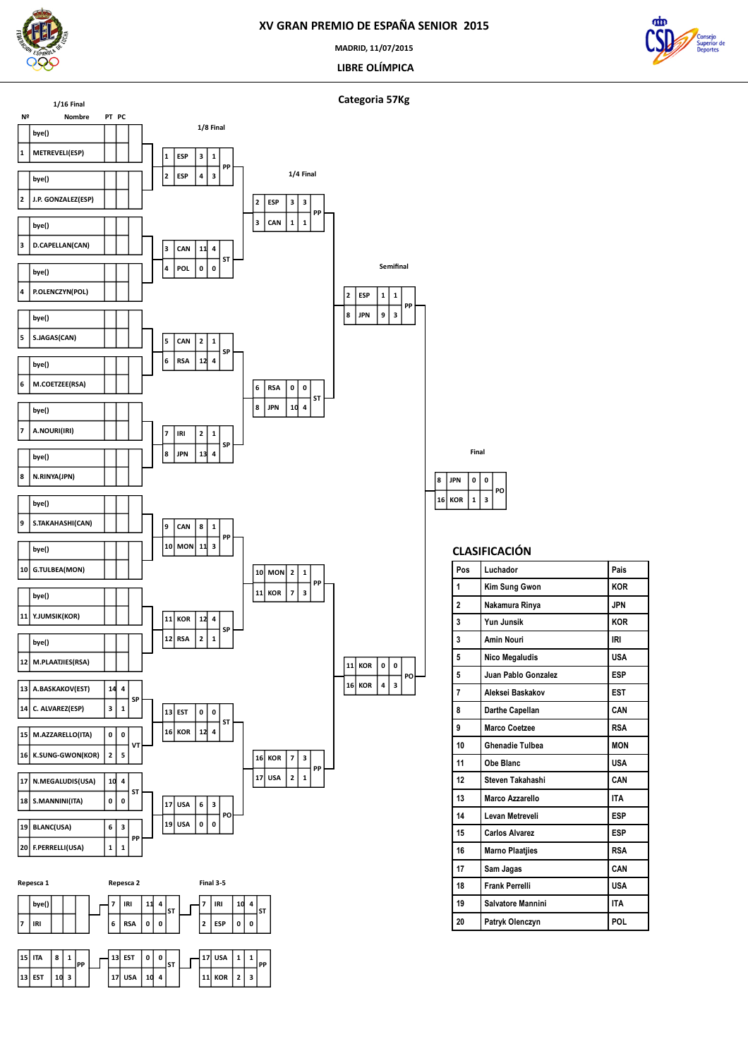

 **ITA EST 10 3**

 **1 PP** **EST**

 **USA 10 4 0 ST**

 **1 PP**

### **XV GRAN PREMIO DE ESPAÑA SENIOR 2015**

**MADRID, 11/07/2015**

 **LIBRE OLÍMPICA**



**Categoria 57Kg**

 **KOR JPN**

  $3$  **0 PO**

**CLASIFICACIÓN**

**Pos Luchador Pais Kim Sung Gwon KOR Nakamura Rinya JPN Yun Junsik KOR Amin Nouri IRI Nico Megaludis USA Juan Pablo Gonzalez ESP Aleksei Baskakov EST Darthe Capellan CAN Marco Coetzee RSA Ghenadie Tulbea MON Obe Blanc USA Steven Takahashi CAN Marco Azzarello ITA Levan Metreveli ESP Carlos Alvarez ESP Marno Plaatjies RSA Sam Jagas CAN Frank Perrelli USA Salvatore Mannini ITA Patryk Olenczyn POL**

**Final**

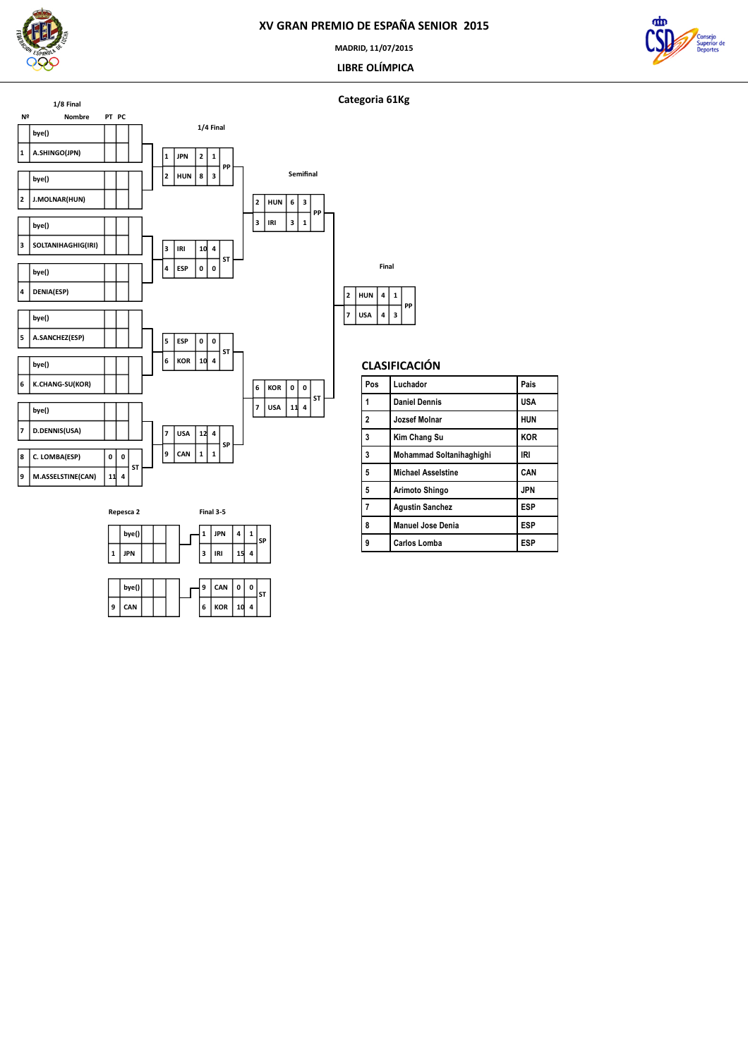

**MADRID, 11/07/2015**

 **LIBRE OLÍMPICA**



### **Categoria 61Kg**





| Pos            | Luchador                  | Pais       |
|----------------|---------------------------|------------|
| 1              | <b>Daniel Dennis</b>      | <b>USA</b> |
| $\overline{2}$ | Jozsef Molnar             | <b>HUN</b> |
| 3              | Kim Chang Su              | <b>KOR</b> |
| 3              | Mohammad Soltanihaghighi  | IRI        |
| 5              | <b>Michael Asselstine</b> | CAN        |
| 5              | Arimoto Shingo            | <b>JPN</b> |
| 7              | <b>Agustin Sanchez</b>    | <b>ESP</b> |
| 8              | <b>Manuel Jose Denia</b>  | <b>ESP</b> |
| 9              | <b>Carlos Lomba</b>       | <b>ESP</b> |
|                |                           |            |



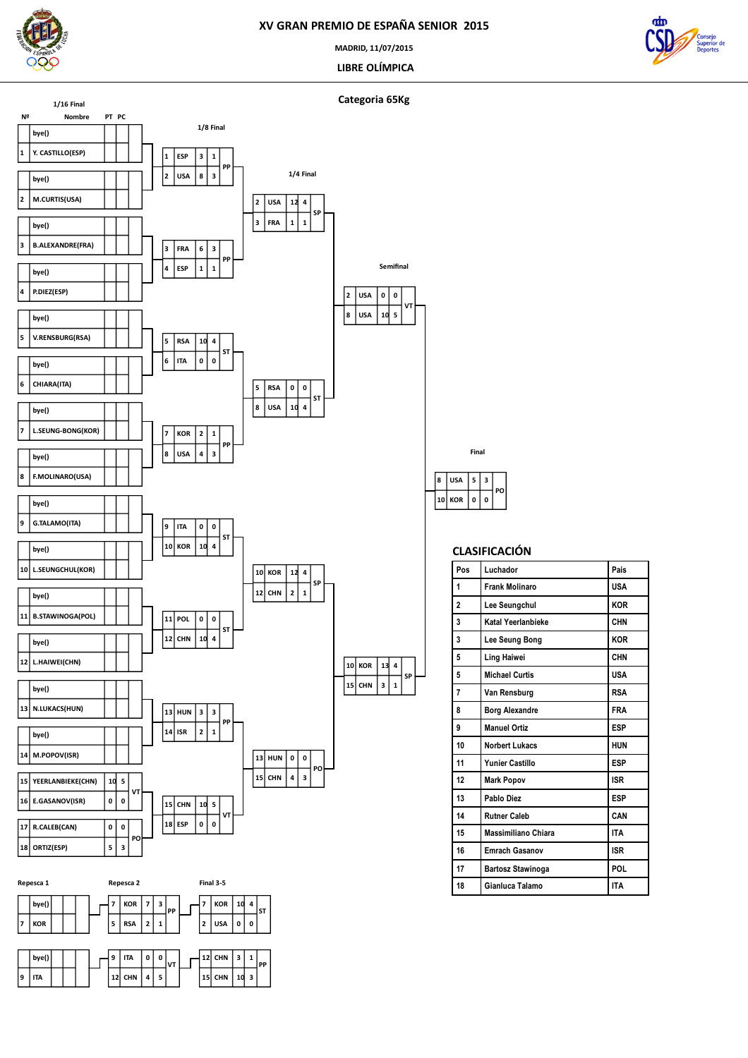

**MADRID, 11/07/2015**

 **LIBRE OLÍMPICA**



**Nº Nombre PT PC Y. CASTILLO(ESP) bye() M.CURTIS(USA) bye() B.ALEXANDRE(FRA) bye() P.DIEZ(ESP) bye() V.RENSBURG(RSA) bye() CHIARA(ITA) bye() L.SEUNG-BONG(KOR) bye() F.MOLINARO(USA) bye() G.TALAMO(ITA) bye() L.SEUNGCHUL(KOR) bye() B.STAWINOGA(POL) bye() L.HAIWEI(CHN) bye() N.LUKACS(HUN) bye() M.POPOV(ISR) bye() E.GASANOV(ISR) YEERLANBIEKE(CHN) 0 5 VT ORTIZ(ESP) R.CALEB(CAN) 3 0 PO 1/16 Final USA**  $\vert$ **1 ESP 3 1 PP ESP FRA**  $\frac{1}{1}$  **3 PP ITA RSA 0 4 ST USA KOR 3**  $\overline{\left| \frac{2}{1} \right|}$ **PP KOR ITA 4 0 ST CHN POL 4 0 ST ISR**  $\boxed{13}$  **HUN**  $2 \mid 1$  **3 PP ESP CHN 0 5 VT 1/8 Final FRA USA 1 4 SP**  $|8|$  USA  $\vert$ <sub>5</sub>  $\vert$  RSA **4 0 ST**  $\vert$ <sub>12</sub>  $\vert$  CHN **KOR**  $\frac{1}{2}$   $\frac{1}{2}$  **4 SP**  $\vert$ 15 $\vert$  CHN  $\vert$  **HUN 0 0 3 PO 1/4 Final USA USA 5 0 VT CHN KOR**  $\overline{\left| \cdot \right|}$   $\overline{\left| \cdot \right|}$  **4 SP Semifinal**



**Categoria 65Kg**

# **CLASIFICACIÓN**

 **0 3 PO**

**Final**

 **KOR USA**

| Pos            | Luchador                 | Pais       |
|----------------|--------------------------|------------|
| 1              | <b>Frank Molinaro</b>    | <b>USA</b> |
| $\overline{2}$ | Lee Seungchul            | <b>KOR</b> |
| 3              | Katal Yeerlanbieke       | CHN        |
| 3              | Lee Seung Bong           | <b>KOR</b> |
| 5              | Ling Haiwei              | <b>CHN</b> |
| 5              | <b>Michael Curtis</b>    | <b>USA</b> |
| 7              | Van Rensburg             | <b>RSA</b> |
| 8              | <b>Borg Alexandre</b>    | <b>FRA</b> |
| 9              | <b>Manuel Ortiz</b>      | <b>ESP</b> |
| 10             | <b>Norbert Lukacs</b>    | <b>HUN</b> |
| 11             | <b>Yunier Castillo</b>   | <b>ESP</b> |
| 12             | <b>Mark Popov</b>        | <b>ISR</b> |
| 13             | Pablo Diez               | <b>ESP</b> |
| 14             | <b>Rutner Caleb</b>      | CAN        |
| 15             | Massimiliano Chiara      | <b>ITA</b> |
| 16             | <b>Emrach Gasanov</b>    | <b>ISR</b> |
| 17             | <b>Bartosz Stawinoga</b> | POL.       |
| 18             | Gianluca Talamo          | <b>ITA</b> |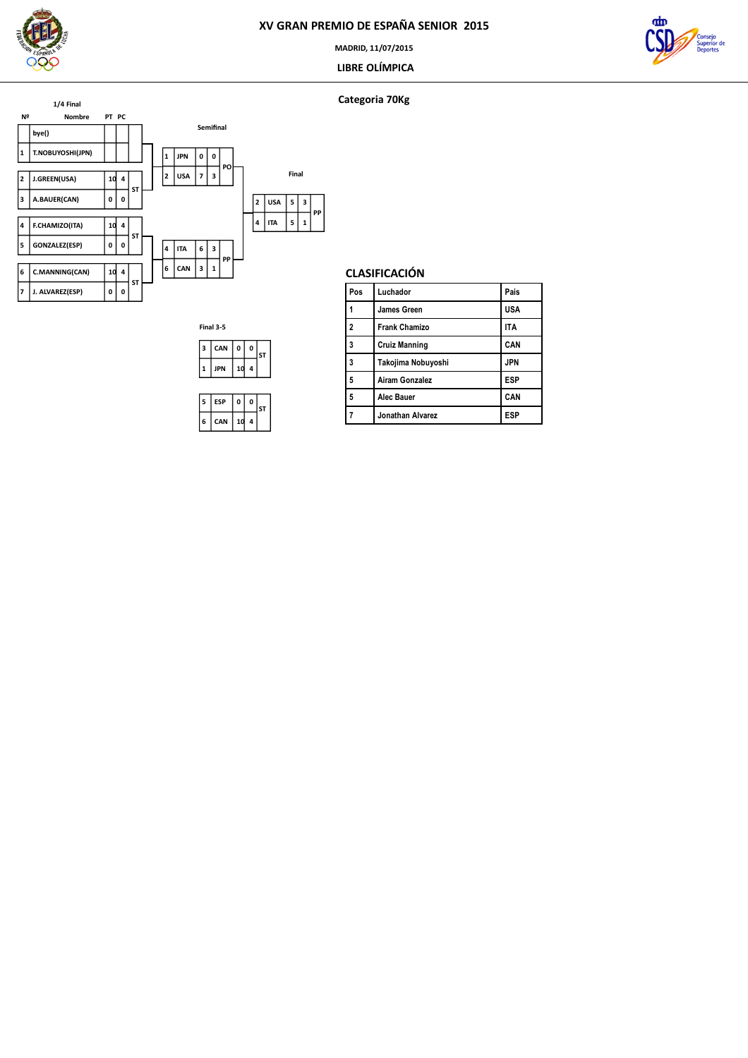

**MADRID, 11/07/2015**

### **LIBRE OLÍMPICA**



### **Categoria 70Kg**





| Pos | Luchador             | Pais       |
|-----|----------------------|------------|
|     | James Green          | <b>USA</b> |
| 2   | <b>Frank Chamizo</b> | <b>ITA</b> |
| 3   | <b>Cruiz Manning</b> | CAN        |
| 3   | Takojima Nobuyoshi   | <b>JPN</b> |
| 5   | Airam Gonzalez       | <b>ESP</b> |
| 5   | Alec Bauer           | CAN        |
|     | Jonathan Alvarez     | <b>ESP</b> |

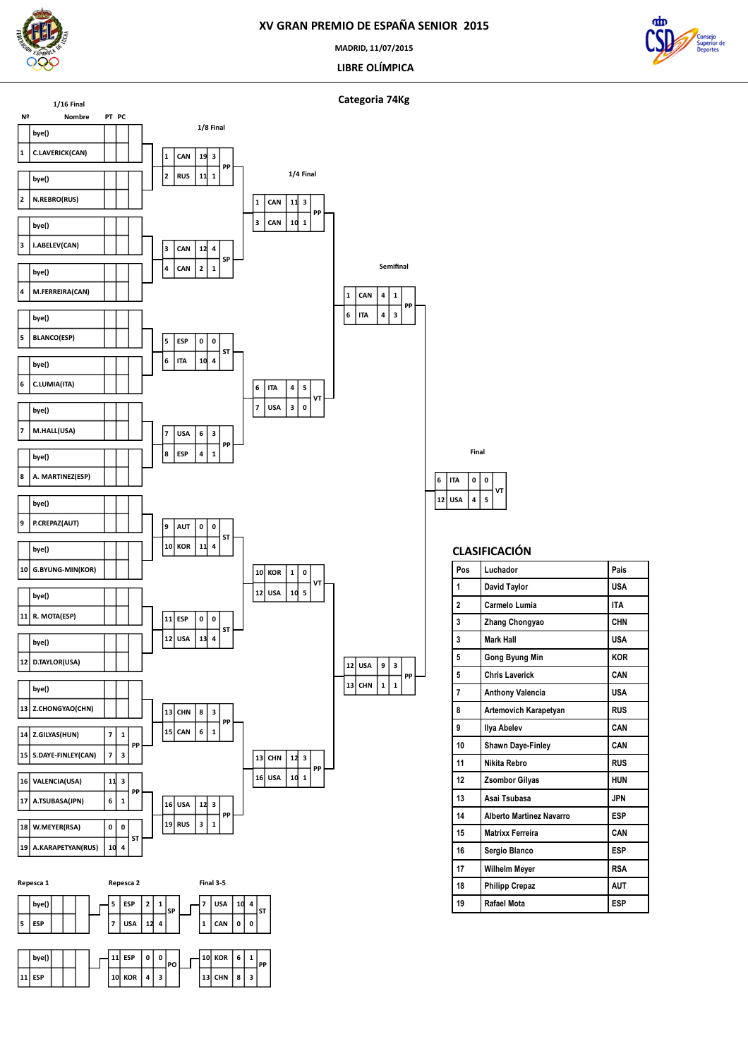

**Nº Nombre PT PC**

**1/16 Final**

 **C.LAVERICK(CAN) bye()**

 **N.REBRO(RUS) bye()**

 **I.ABELEV(CAN) bye()**

**bye()**

**M.FERREIRA(CAN)**

 **BLANCO(ESP) bye()**

 **C.LUMIA(ITA) bye()**

> **M.HALL(USA) bye()**

### **XV GRAN PREMIO DE ESPAÑA SENIOR 2015**

**MADRID, 11/07/2015**

 **LIBRE OLÍMPICA**

**PP**



**Categoria 74Kg RUS**  $\vert$ **1**  $\vert$  CAN **1 3 PP CAN CAN**  $\frac{2}{1}$  **4 SP ITA ESP 4 0 ST 1/8 Final CAN**  $\vert_1 \vert_{\text{CAN}}$  **1 3 PP**  $\vert$ <sub>7</sub>  $\vert$  USA **ITA 0 5 VT 1/4 Final ITA CAN 3 1 Semifinal**

**VT**

**PP**

 **CHN USA**  $\boxed{1}$  1 **3 PP**  **USA ITA 5 0 VT Final**

### **CLASIFICACIÓN**

| Pos            | Luchador                        | Pais       |
|----------------|---------------------------------|------------|
| 1              | David Taylor                    | <b>USA</b> |
| $\overline{a}$ | Carmelo Lumia                   | <b>ITA</b> |
| 3              | <b>Zhang Chongyao</b>           | CHN        |
| 3              | <b>Mark Hall</b>                | <b>USA</b> |
| 5              | Gong Byung Min                  | <b>KOR</b> |
| 5              | <b>Chris Laverick</b>           | CAN        |
| 7              | <b>Anthony Valencia</b>         | <b>USA</b> |
| 8              | Artemovich Karapetyan           | <b>RUS</b> |
| 9              | <b>Ilya Abelev</b>              | CAN        |
| 10             | <b>Shawn Daye-Finley</b>        | CAN        |
| 11             | Nikita Rebro                    | <b>RUS</b> |
| 12             | <b>Zsombor Gilyas</b>           | <b>HUN</b> |
| 13             | Asai Tsubasa                    | <b>JPN</b> |
| 14             | <b>Alberto Martinez Navarro</b> | <b>ESP</b> |
| 15             | <b>Matrixx Ferreira</b>         | CAN        |
| 16             | Sergio Blanco                   | <b>ESP</b> |
| 17             | <b>Wilhelm Meyer</b>            | <b>RSA</b> |
| 18             | <b>Philipp Crepaz</b>           | <b>AUT</b> |
| 19             | Rafael Mota                     | <b>ESP</b> |



**USA**

**3**

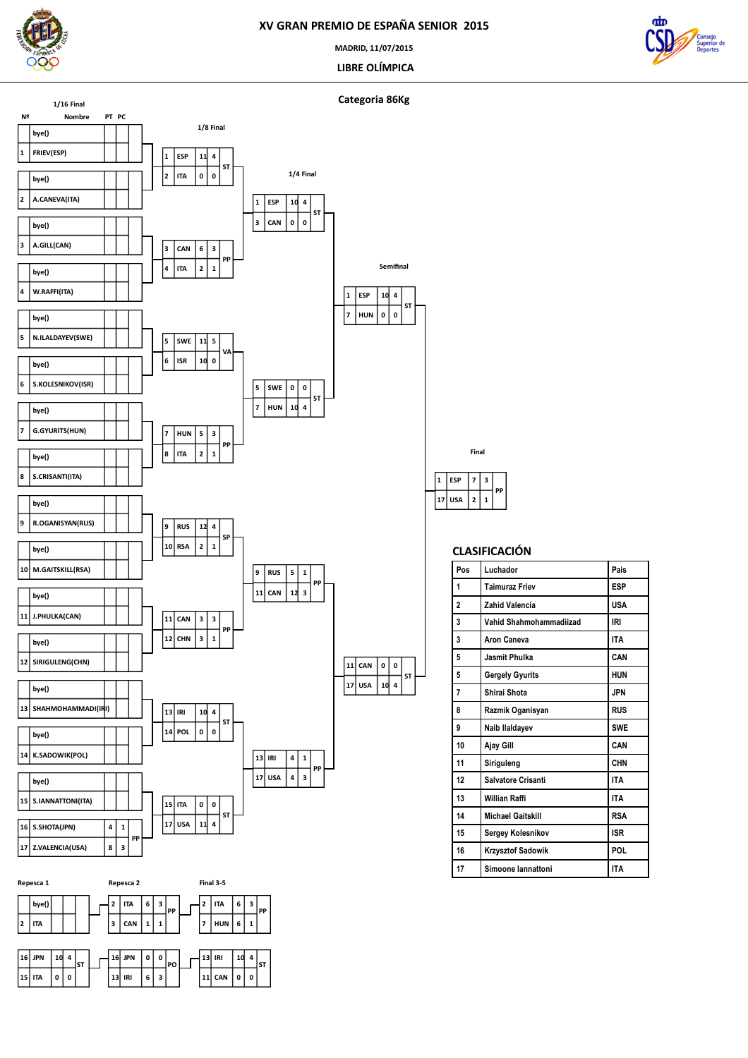

**bye() ITA**

 **JPN ITA 0 0**

 **4 ST**  **ITA CAN 1 1**

 **JPN IRI 6 3**

 **3 PP** **ITA**

 **IRI CAN 0 0**

 **HUN 6 1 3 PP**

> **4 ST**

 **0 PO**

### **XV GRAN PREMIO DE ESPAÑA SENIOR 2015**

**MADRID, 11/07/2015**

 **LIBRE OLÍMPICA**



**Categoria 86Kg**

 **USA ESP**

 $2 \mid 1$  **3 PP**

**CLASIFICACIÓN**

**Pos Luchador Pais Taimuraz Friev ESP Zahid Valencia USA Vahid Shahmohammadiizad IRI Aron Caneva ITA Jasmit Phulka CAN Gergely Gyurits HUN** Shirai Shota **JPN Razmik Oganisyan RUS Naib Ilaldayev SWE Ajay Gill CAN Siriguleng CHN Salvatore Crisanti ITA Willian Raffi ITA Michael Gaitskill RSA Sergey Kolesnikov ISR Krzysztof Sadowik POL Simoone Iannattoni ITA**

**Final**

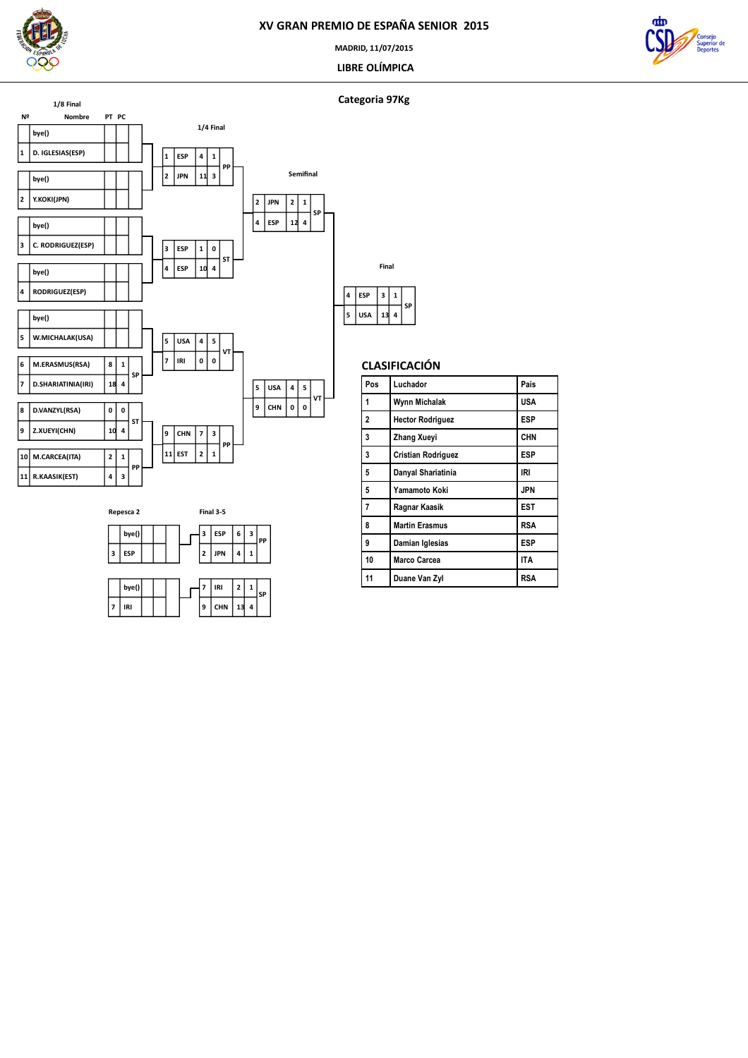

**MADRID, 11/07/2015**

 **LIBRE OLÍMPICA**



### **Categoria 97Kg**





| Final |            |    |              |    |  |  |
|-------|------------|----|--------------|----|--|--|
|       | <b>ESP</b> | 3  | $\mathbf{1}$ | SP |  |  |
| 5     | <b>USA</b> | 13 | 4            |    |  |  |

| Pos | Luchador                  | Pais       |  |  |
|-----|---------------------------|------------|--|--|
| 1   | Wynn Michalak             | <b>USA</b> |  |  |
| 2   | <b>Hector Rodriguez</b>   | <b>ESP</b> |  |  |
| 3   | <b>Zhang Xueyi</b>        | <b>CHN</b> |  |  |
| 3   | <b>Cristian Rodriguez</b> | <b>ESP</b> |  |  |
| 5   | Danyal Shariatinia        | IRI        |  |  |
| 5   | Yamamoto Koki             | <b>JPN</b> |  |  |
| 7   | Ragnar Kaasik             | <b>EST</b> |  |  |
| 8   | <b>Martin Erasmus</b>     | <b>RSA</b> |  |  |
| 9   | Damian Iglesias           | <b>ESP</b> |  |  |
| 10  | <b>Marco Carcea</b>       | <b>ITA</b> |  |  |
| 11  | Duane Van Zyl             | <b>RSA</b> |  |  |
|     |                           |            |  |  |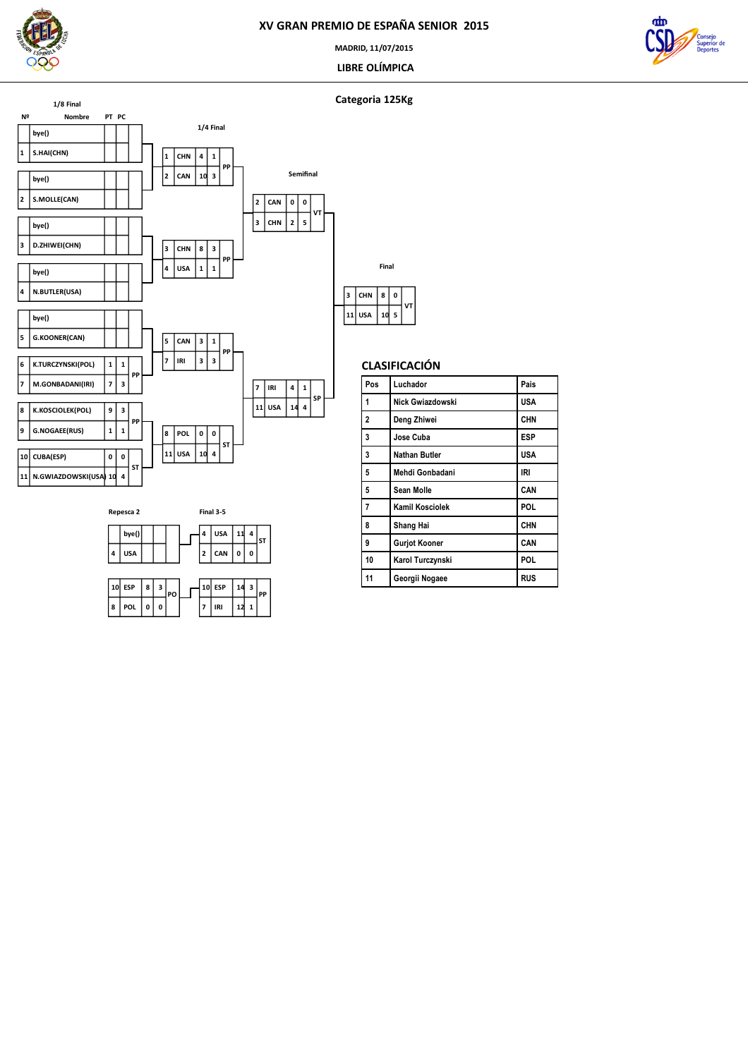

**MADRID, 11/07/2015**

 **LIBRE OLÍMPICA**



### **Categoria 125Kg**



 **USA CAN 0 0**

**ESP**

 **IRI 12 1 3 PP**

 **4 ST**

**bye() USA**

 **ESP POL 0 0 3 PO**

|  | CLASIFICACIÓN |
|--|---------------|
|  |               |

 **5 0 VT**

**Final**

| Pos            | Luchador             | Pais       |
|----------------|----------------------|------------|
| 1              | Nick Gwiazdowski     | <b>USA</b> |
| $\overline{2}$ | Deng Zhiwei          | <b>CHN</b> |
| 3              | Jose Cuba            | ESP        |
| 3              | Nathan Butler        | USA        |
| 5              | Mehdi Gonbadani      | IRI        |
| 5              | Sean Molle           | CAN        |
| $\overline{7}$ | Kamil Kosciolek      | POL        |
| 8              | Shang Hai            | <b>CHN</b> |
| 9              | <b>Gurjot Kooner</b> | CAN        |
| 10             | Karol Turczynski     | POL        |
| 11             | Georgii Nogaee       | <b>RUS</b> |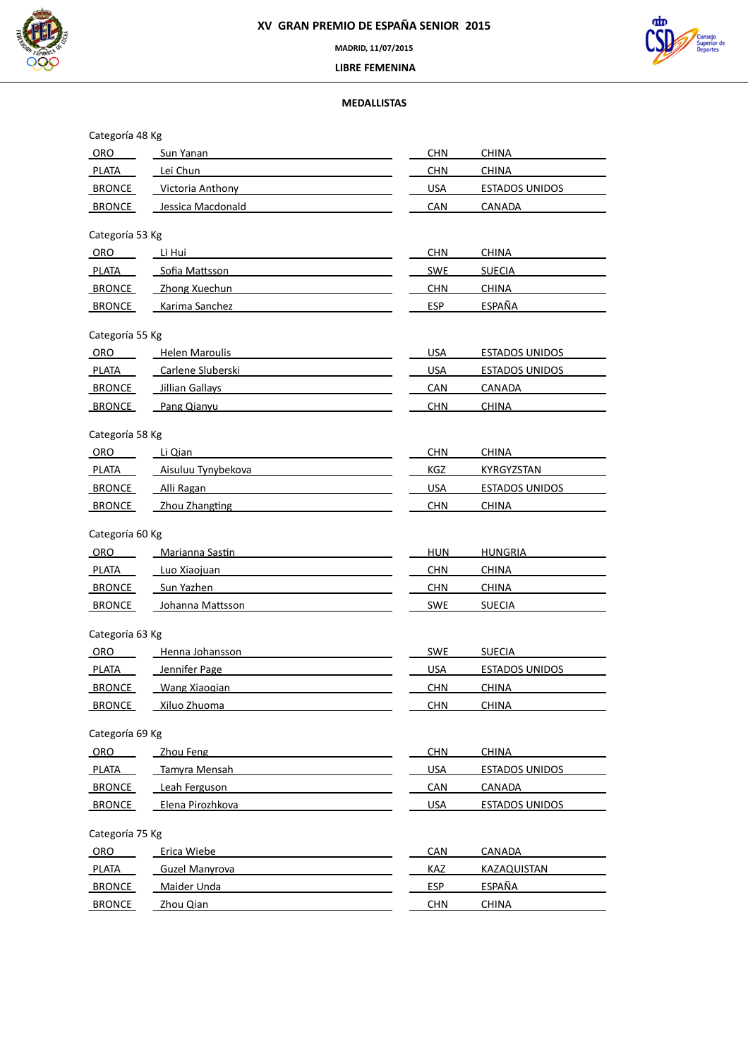



 **LIBRE FEMENINA**

# **MEDALLISTAS**

| Categoría 48 Kg |                        |            |                       |
|-----------------|------------------------|------------|-----------------------|
| ORO             | Sun Yanan              | <b>CHN</b> | <b>CHINA</b>          |
| <b>PLATA</b>    | Lei Chun               | <b>CHN</b> | <b>CHINA</b>          |
| BRONCE          | Victoria Anthony       | <b>USA</b> | ESTADOS UNIDOS        |
| <b>BRONCE</b>   | Jessica Macdonald      | CAN        | CANADA                |
| Categoría 53 Kg |                        |            |                       |
| ORO             | Li Hui                 | <b>CHN</b> | <b>CHINA</b>          |
| PLATA           | Sofia Mattsson         | <b>SWE</b> | <b>SUECIA</b>         |
| <b>BRONCE</b>   | Zhong Xuechun          | <b>CHN</b> | <b>CHINA</b>          |
| BRONCE          | Karima Sanchez         | <b>ESP</b> | ESPAÑA                |
| Categoría 55 Kg |                        |            |                       |
| <b>ORO</b>      | <b>Helen Maroulis</b>  | <b>USA</b> | <b>ESTADOS UNIDOS</b> |
| <b>PLATA</b>    | Carlene Sluberski      | <b>USA</b> | <b>ESTADOS UNIDOS</b> |
| <b>BRONCE</b>   | <b>Jillian Gallays</b> | CAN        | CANADA                |
| <b>BRONCE</b>   | Pang Qianyu            | <b>CHN</b> | CHINA                 |
|                 |                        |            |                       |
| Categoría 58 Kg |                        |            |                       |
| ORO             | Li Qian                | <b>CHN</b> | <b>CHINA</b>          |
| <b>PLATA</b>    | Aisuluu Tynybekova     | KGZ        | KYRGYZSTAN            |
| <b>BRONCE</b>   | Alli Ragan             | <b>USA</b> | ESTADOS UNIDOS        |
| <b>BRONCE</b>   | Zhou Zhangting         | <b>CHN</b> | <b>CHINA</b>          |
| Categoría 60 Kg |                        |            |                       |
| ORO             | Marianna Sastin        | <b>HUN</b> | <b>HUNGRIA</b>        |
| PLATA           | Luo Xiaojuan           | <b>CHN</b> | <b>CHINA</b>          |
| <b>BRONCE</b>   | Sun Yazhen             | <b>CHN</b> | <b>CHINA</b>          |
| BRONCE          | Johanna Mattsson       | <b>SWE</b> | <b>SUECIA</b>         |
| Categoría 63 Kg |                        |            |                       |
| ORO             | Henna Johansson        | <b>SWE</b> | <b>SUECIA</b>         |
| <b>PLATA</b>    | Jennifer Page          | <b>USA</b> | <b>ESTADOS UNIDOS</b> |
| <b>BRONCE</b>   | Wang Xiaogian          | <b>CHN</b> | <b>CHINA</b>          |
| <b>BRONCE</b>   | Xiluo Zhuoma           | <b>CHN</b> | <b>CHINA</b>          |
|                 |                        |            |                       |
| Categoría 69 Kg |                        |            |                       |
| ORO             | Zhou Feng              | <b>CHN</b> | <b>CHINA</b>          |
| PLATA           | Tamyra Mensah          | <b>USA</b> | <b>ESTADOS UNIDOS</b> |
| <b>BRONCE</b>   | Leah Ferguson          | <b>CAN</b> | <b>CANADA</b>         |
| <b>BRONCE</b>   | Elena Pirozhkova       | <b>USA</b> | <b>ESTADOS UNIDOS</b> |
| Categoría 75 Kg |                        |            |                       |
| ORO             | Erica Wiebe            | <b>CAN</b> | <b>CANADA</b>         |
| <b>PLATA</b>    | <b>Guzel Manyrova</b>  | <b>KAZ</b> | KAZAQUISTAN           |
| <b>BRONCE</b>   | Maider Unda            | <b>ESP</b> | <b>ESPAÑA</b>         |
| <b>BRONCE</b>   | Zhou Qian              | <b>CHN</b> | <b>CHINA</b>          |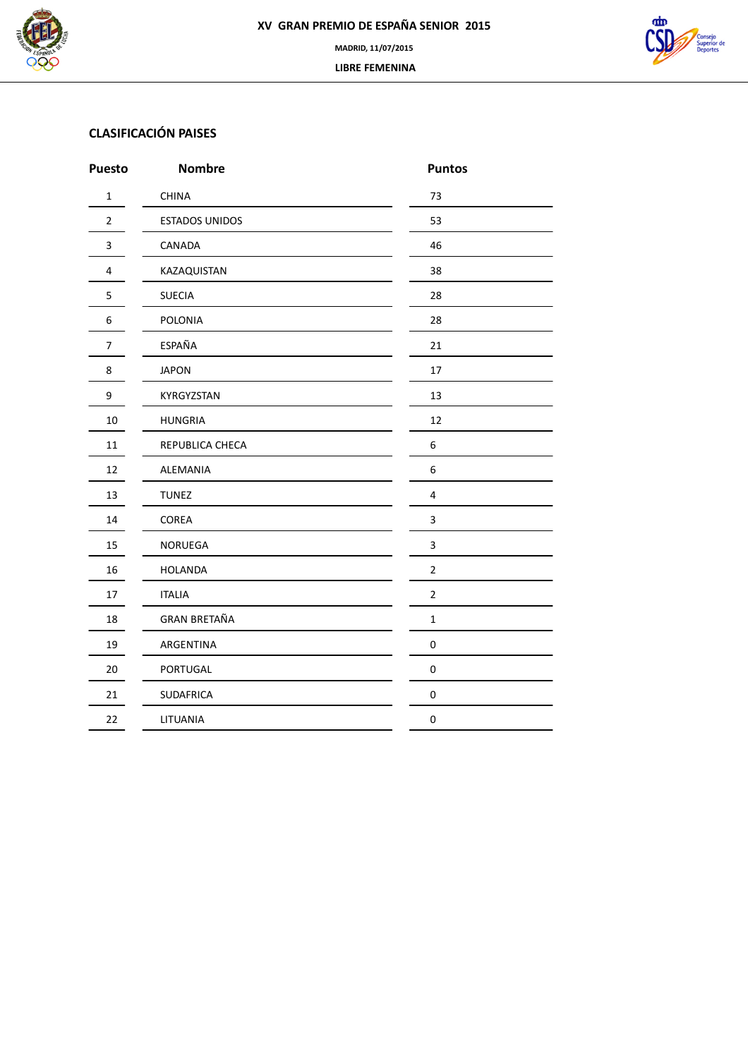



# **CLASIFICACIÓN PAISES**

| <b>Puesto</b>  | <b>Nombre</b>         | <b>Puntos</b>    |
|----------------|-----------------------|------------------|
| $\mathbf{1}$   | <b>CHINA</b>          | 73               |
| $\overline{2}$ | <b>ESTADOS UNIDOS</b> | 53               |
| 3              | CANADA                | 46               |
| $\overline{4}$ | KAZAQUISTAN           | 38               |
| 5              | <b>SUECIA</b>         | 28               |
| 6              | POLONIA               | 28               |
| $\overline{7}$ | ESPAÑA                | 21               |
| 8              | <b>JAPON</b>          | 17               |
| 9              | KYRGYZSTAN            | 13               |
| 10             | <b>HUNGRIA</b>        | 12               |
| $11\,$         | REPUBLICA CHECA       | 6                |
| 12             | ALEMANIA              | $\,6\,$          |
| 13             | <b>TUNEZ</b>          | $\sqrt{4}$       |
| 14             | COREA                 | 3                |
| 15             | NORUEGA               | $\mathsf 3$      |
| 16             | <b>HOLANDA</b>        | $\overline{2}$   |
| 17             | <b>ITALIA</b>         | $\overline{2}$   |
| 18             | <b>GRAN BRETAÑA</b>   | $\mathbf 1$      |
| 19             | ARGENTINA             | $\pmb{0}$        |
| 20             | PORTUGAL              | $\pmb{0}$        |
| 21             | <b>SUDAFRICA</b>      | $\pmb{0}$        |
| 22             | LITUANIA              | $\boldsymbol{0}$ |
|                |                       |                  |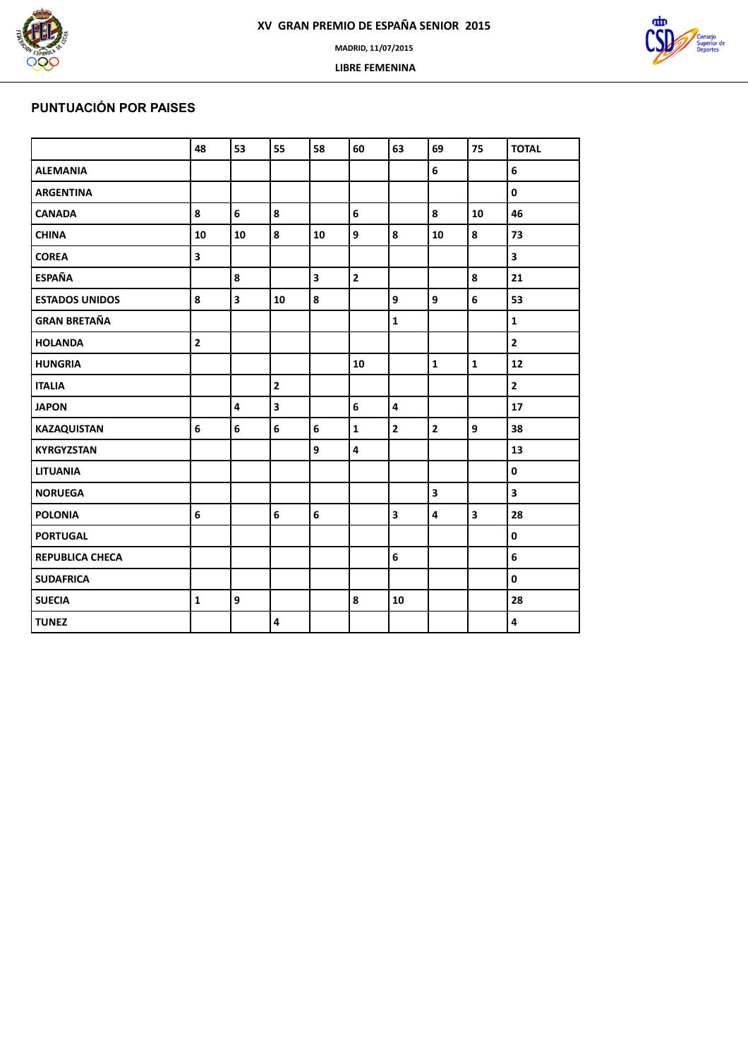

 **LIBRE FEMENINA**



# **PUNTUACIÓN POR PAISES**

|                       | 48                      | 53                      | 55                      | 58 | 60                      | 63                      | 69                      | 75                      | <b>TOTAL</b>            |
|-----------------------|-------------------------|-------------------------|-------------------------|----|-------------------------|-------------------------|-------------------------|-------------------------|-------------------------|
| <b>ALEMANIA</b>       |                         |                         |                         |    |                         |                         | 6                       |                         | 6                       |
| <b>ARGENTINA</b>      |                         |                         |                         |    |                         |                         |                         |                         | 0                       |
| <b>CANADA</b>         | 8                       | 6                       | 8                       |    | 6                       |                         | 8                       | 10                      | 46                      |
| <b>CHINA</b>          | 10                      | 10                      | 8                       | 10 | 9                       | 8                       | 10                      | 8                       | 73                      |
| <b>COREA</b>          | $\overline{\mathbf{3}}$ |                         |                         |    |                         |                         |                         |                         | $\overline{\mathbf{3}}$ |
| <b>ESPAÑA</b>         |                         | 8                       |                         | 3  | $\overline{2}$          |                         |                         | 8                       | 21                      |
| <b>ESTADOS UNIDOS</b> | 8                       | $\overline{\mathbf{3}}$ | 10                      | 8  |                         | 9                       | 9                       | $6\phantom{a}$          | 53                      |
| <b>GRAN BRETAÑA</b>   |                         |                         |                         |    |                         | $\mathbf{1}$            |                         |                         | $\mathbf{1}$            |
| <b>HOLANDA</b>        | $\overline{\mathbf{2}}$ |                         |                         |    |                         |                         |                         |                         | $\mathbf{2}$            |
| <b>HUNGRIA</b>        |                         |                         |                         |    | 10                      |                         | $\mathbf{1}$            | $\mathbf{1}$            | 12                      |
| <b>ITALIA</b>         |                         |                         | $\overline{2}$          |    |                         |                         |                         |                         | $\mathbf{2}$            |
| <b>JAPON</b>          |                         | $\overline{\mathbf{4}}$ | $\overline{\mathbf{3}}$ |    | 6                       | $\overline{\mathbf{4}}$ |                         |                         | 17                      |
| <b>KAZAQUISTAN</b>    | $6\overline{6}$         | $6\phantom{a}$          | $6\overline{6}$         | 6  | $\mathbf{1}$            | $\overline{2}$          | $\overline{2}$          | $\overline{9}$          | 38                      |
| <b>KYRGYZSTAN</b>     |                         |                         |                         | 9  | $\overline{\mathbf{4}}$ |                         |                         |                         | 13                      |
| <b>LITUANIA</b>       |                         |                         |                         |    |                         |                         |                         |                         | $\mathbf{0}$            |
| <b>NORUEGA</b>        |                         |                         |                         |    |                         |                         | $\overline{\mathbf{3}}$ |                         | $\overline{\mathbf{3}}$ |
| <b>POLONIA</b>        | 6                       |                         | $6\phantom{a}$          | 6  |                         | $\overline{\mathbf{3}}$ | 4                       | $\overline{\mathbf{3}}$ | 28                      |
| <b>PORTUGAL</b>       |                         |                         |                         |    |                         |                         |                         |                         | 0                       |
| REPUBLICA CHECA       |                         |                         |                         |    |                         | 6                       |                         |                         | 6                       |
| <b>SUDAFRICA</b>      |                         |                         |                         |    |                         |                         |                         |                         | 0                       |
| <b>SUECIA</b>         | $\mathbf{1}$            | 9                       |                         |    | 8                       | 10                      |                         |                         | 28                      |
| <b>TUNEZ</b>          |                         |                         | $\overline{\mathbf{4}}$ |    |                         |                         |                         |                         | 4                       |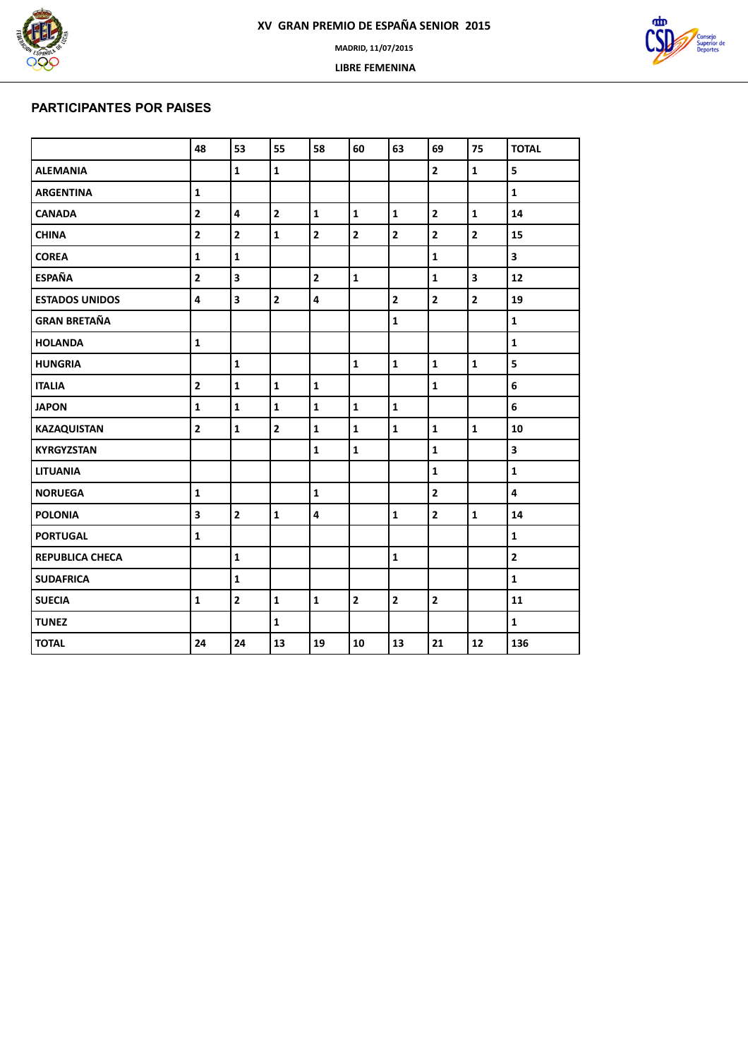

 **LIBRE FEMENINA**



### **PARTICIPANTES POR PAISES**

|                        | 48                      | 53                      | 55             | 58                      | 60                      | 63                      | 69                      | 75                      | <b>TOTAL</b>            |
|------------------------|-------------------------|-------------------------|----------------|-------------------------|-------------------------|-------------------------|-------------------------|-------------------------|-------------------------|
| <b>ALEMANIA</b>        |                         | $\mathbf{1}$            | $\mathbf{1}$   |                         |                         |                         | $\overline{2}$          | $\mathbf{1}$            | 5                       |
| <b>ARGENTINA</b>       | $\mathbf{1}$            |                         |                |                         |                         |                         |                         |                         | $\mathbf{1}$            |
| <b>CANADA</b>          | $\overline{\mathbf{2}}$ | $\overline{\mathbf{4}}$ | $\overline{2}$ | $\mathbf 1$             | $\mathbf 1$             | $\mathbf{1}$            | $\overline{\mathbf{2}}$ | $\mathbf 1$             | 14                      |
| <b>CHINA</b>           | $\overline{\mathbf{2}}$ | $\overline{\mathbf{c}}$ | $\mathbf{1}$   | $\mathbf{2}$            | $\overline{\mathbf{2}}$ | $\overline{\mathbf{2}}$ | $\overline{\mathbf{c}}$ | $\overline{2}$          | 15                      |
| <b>COREA</b>           | $\mathbf{1}$            | $\mathbf 1$             |                |                         |                         |                         | $\mathbf{1}$            |                         | $\overline{\mathbf{3}}$ |
| <b>ESPAÑA</b>          | $\mathbf{2}$            | $\overline{\mathbf{3}}$ |                | $\overline{2}$          | $\mathbf 1$             |                         | $\mathbf{1}$            | $\overline{\mathbf{3}}$ | 12                      |
| <b>ESTADOS UNIDOS</b>  | $\overline{\mathbf{4}}$ | $\overline{\mathbf{3}}$ | $\overline{2}$ | $\overline{\mathbf{4}}$ |                         | $\overline{\mathbf{2}}$ | $\overline{2}$          | $\overline{2}$          | 19                      |
| <b>GRAN BRETAÑA</b>    |                         |                         |                |                         |                         | $\mathbf{1}$            |                         |                         | $\mathbf{1}$            |
| <b>HOLANDA</b>         | $\mathbf{1}$            |                         |                |                         |                         |                         |                         |                         | $\mathbf{1}$            |
| <b>HUNGRIA</b>         |                         | $\mathbf{1}$            |                |                         | $\mathbf{1}$            | $\mathbf{1}$            | $\mathbf{1}$            | $\mathbf{1}$            | 5                       |
| <b>ITALIA</b>          | $\overline{2}$          | $\mathbf{1}$            | $\mathbf{1}$   | $\mathbf{1}$            |                         |                         | $\mathbf{1}$            |                         | 6                       |
| <b>JAPON</b>           | $\mathbf{1}$            | $\mathbf 1$             | $\mathbf{1}$   | $\mathbf{1}$            | $\mathbf 1$             | $\mathbf{1}$            |                         |                         | 6                       |
| <b>KAZAQUISTAN</b>     | $\overline{\mathbf{2}}$ | $\mathbf{1}$            | $\overline{2}$ | $\mathbf{1}$            | $\mathbf 1$             | $\mathbf{1}$            | $\mathbf{1}$            | $\mathbf{1}$            | 10                      |
| <b>KYRGYZSTAN</b>      |                         |                         |                | $\mathbf{1}$            | $\mathbf 1$             |                         | $\mathbf{1}$            |                         | 3                       |
| <b>LITUANIA</b>        |                         |                         |                |                         |                         |                         | $\mathbf{1}$            |                         | $\mathbf 1$             |
| <b>NORUEGA</b>         | $\mathbf{1}$            |                         |                | $\mathbf{1}$            |                         |                         | $\mathbf{2}$            |                         | 4                       |
| <b>POLONIA</b>         | $\overline{\mathbf{3}}$ | $\overline{2}$          | $\mathbf{1}$   | $\overline{\mathbf{4}}$ |                         | $\mathbf{1}$            | $\overline{2}$          | $\mathbf{1}$            | 14                      |
| <b>PORTUGAL</b>        | $\mathbf{1}$            |                         |                |                         |                         |                         |                         |                         | $\mathbf{1}$            |
| <b>REPUBLICA CHECA</b> |                         | $\mathbf{1}$            |                |                         |                         | $\mathbf{1}$            |                         |                         | $\mathbf{2}$            |
| <b>SUDAFRICA</b>       |                         | $\mathbf{1}$            |                |                         |                         |                         |                         |                         | $\mathbf{1}$            |
| <b>SUECIA</b>          | $\mathbf{1}$            | $\mathbf{2}$            | $\mathbf{1}$   | $\mathbf{1}$            | $\mathbf{2}$            | $\mathbf{2}$            | $\overline{\mathbf{2}}$ |                         | 11                      |
| <b>TUNEZ</b>           |                         |                         | $\mathbf{1}$   |                         |                         |                         |                         |                         | $\mathbf 1$             |
| <b>TOTAL</b>           | 24                      | 24                      | 13             | 19                      | 10                      | 13                      | 21                      | 12                      | 136                     |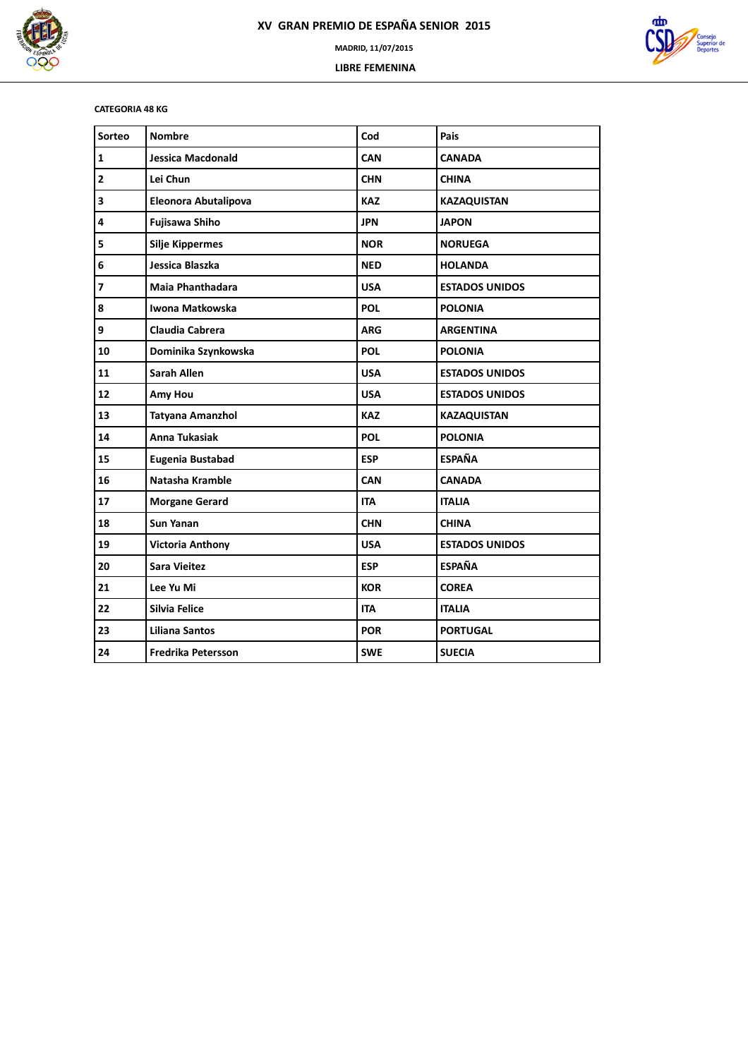



### **CATEGORIA 48 KG**

| Sorteo                   | <b>Nombre</b>             | Cod        | Pais                  |
|--------------------------|---------------------------|------------|-----------------------|
| $\mathbf{1}$             | <b>Jessica Macdonald</b>  | <b>CAN</b> | <b>CANADA</b>         |
| $\overline{\mathbf{2}}$  | Lei Chun                  | <b>CHN</b> | <b>CHINA</b>          |
| 3                        | Eleonora Abutalipova      | <b>KAZ</b> | <b>KAZAQUISTAN</b>    |
| 4                        | <b>Fujisawa Shiho</b>     | <b>JPN</b> | <b>JAPON</b>          |
| 5                        | <b>Silje Kippermes</b>    | <b>NOR</b> | <b>NORUEGA</b>        |
| 6                        | Jessica Blaszka           | <b>NED</b> | <b>HOLANDA</b>        |
| $\overline{\phantom{a}}$ | Maia Phanthadara          | <b>USA</b> | <b>ESTADOS UNIDOS</b> |
| 8                        | Iwona Matkowska           | <b>POL</b> | <b>POLONIA</b>        |
| 9                        | Claudia Cabrera           | <b>ARG</b> | <b>ARGENTINA</b>      |
| 10                       | Dominika Szynkowska       | <b>POL</b> | <b>POLONIA</b>        |
| 11                       | <b>Sarah Allen</b>        | <b>USA</b> | <b>ESTADOS UNIDOS</b> |
| 12                       | Amy Hou                   | <b>USA</b> | <b>ESTADOS UNIDOS</b> |
| 13                       | Tatyana Amanzhol          | <b>KAZ</b> | <b>KAZAQUISTAN</b>    |
| 14                       | <b>Anna Tukasiak</b>      | <b>POL</b> | <b>POLONIA</b>        |
| 15                       | <b>Eugenia Bustabad</b>   | <b>ESP</b> | <b>ESPAÑA</b>         |
| 16                       | Natasha Kramble           | <b>CAN</b> | <b>CANADA</b>         |
| 17                       | <b>Morgane Gerard</b>     | <b>ITA</b> | <b>ITALIA</b>         |
| 18                       | <b>Sun Yanan</b>          | <b>CHN</b> | <b>CHINA</b>          |
| 19                       | <b>Victoria Anthony</b>   | <b>USA</b> | <b>ESTADOS UNIDOS</b> |
| 20                       | Sara Vieitez              | <b>ESP</b> | <b>ESPAÑA</b>         |
| 21                       | Lee Yu Mi                 | <b>KOR</b> | <b>COREA</b>          |
| 22                       | Silvia Felice             | <b>ITA</b> | <b>ITALIA</b>         |
| 23                       | <b>Liliana Santos</b>     | <b>POR</b> | <b>PORTUGAL</b>       |
| 24                       | <b>Fredrika Petersson</b> | <b>SWE</b> | <b>SUECIA</b>         |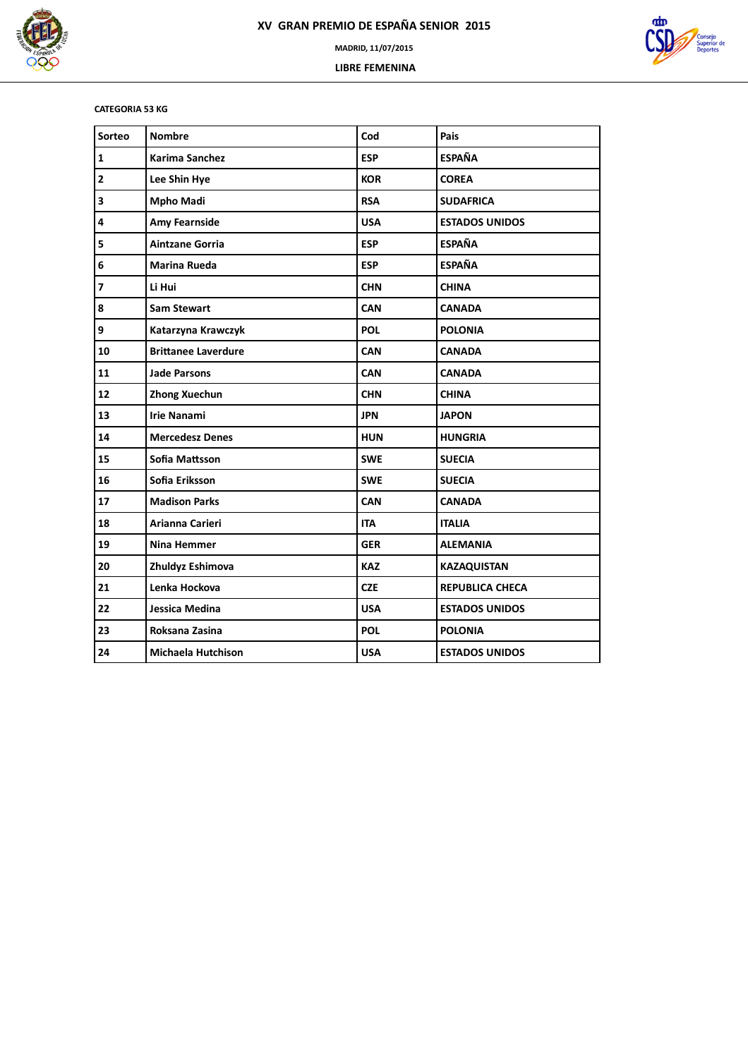



### **CATEGORIA 53 KG**

| Sorteo                  | <b>Nombre</b>              | Cod        | Pais                   |
|-------------------------|----------------------------|------------|------------------------|
| $\mathbf 1$             | <b>Karima Sanchez</b>      | <b>ESP</b> | <b>ESPAÑA</b>          |
| $\mathbf{2}$            | Lee Shin Hye               | <b>KOR</b> | <b>COREA</b>           |
| 3                       | <b>Mpho Madi</b>           | <b>RSA</b> | <b>SUDAFRICA</b>       |
| 4                       | Amy Fearnside              | <b>USA</b> | <b>ESTADOS UNIDOS</b>  |
| 5                       | <b>Aintzane Gorria</b>     | <b>ESP</b> | <b>ESPAÑA</b>          |
| 6                       | <b>Marina Rueda</b>        | <b>ESP</b> | <b>ESPAÑA</b>          |
| $\overline{\mathbf{z}}$ | Li Hui                     | <b>CHN</b> | <b>CHINA</b>           |
| 8                       | <b>Sam Stewart</b>         | <b>CAN</b> | <b>CANADA</b>          |
| 9                       | Katarzyna Krawczyk         | <b>POL</b> | <b>POLONIA</b>         |
| 10                      | <b>Brittanee Laverdure</b> | <b>CAN</b> | <b>CANADA</b>          |
| 11                      | <b>Jade Parsons</b>        | <b>CAN</b> | <b>CANADA</b>          |
| 12                      | <b>Zhong Xuechun</b>       | <b>CHN</b> | <b>CHINA</b>           |
| 13                      | <b>Irie Nanami</b>         | <b>JPN</b> | <b>JAPON</b>           |
| 14                      | <b>Mercedesz Denes</b>     | <b>HUN</b> | <b>HUNGRIA</b>         |
| 15                      | Sofia Mattsson             | <b>SWE</b> | <b>SUECIA</b>          |
| 16                      | Sofia Eriksson             | <b>SWE</b> | <b>SUECIA</b>          |
| 17                      | <b>Madison Parks</b>       | <b>CAN</b> | <b>CANADA</b>          |
| 18                      | Arianna Carieri            | <b>ITA</b> | <b>ITALIA</b>          |
| 19                      | <b>Nina Hemmer</b>         | <b>GER</b> | <b>ALEMANIA</b>        |
| 20                      | Zhuldyz Eshimova           | <b>KAZ</b> | <b>KAZAQUISTAN</b>     |
| 21                      | Lenka Hockova              | <b>CZE</b> | <b>REPUBLICA CHECA</b> |
| 22                      | Jessica Medina             | <b>USA</b> | <b>ESTADOS UNIDOS</b>  |
| 23                      | Roksana Zasina             | <b>POL</b> | <b>POLONIA</b>         |
| 24                      | <b>Michaela Hutchison</b>  | <b>USA</b> | <b>ESTADOS UNIDOS</b>  |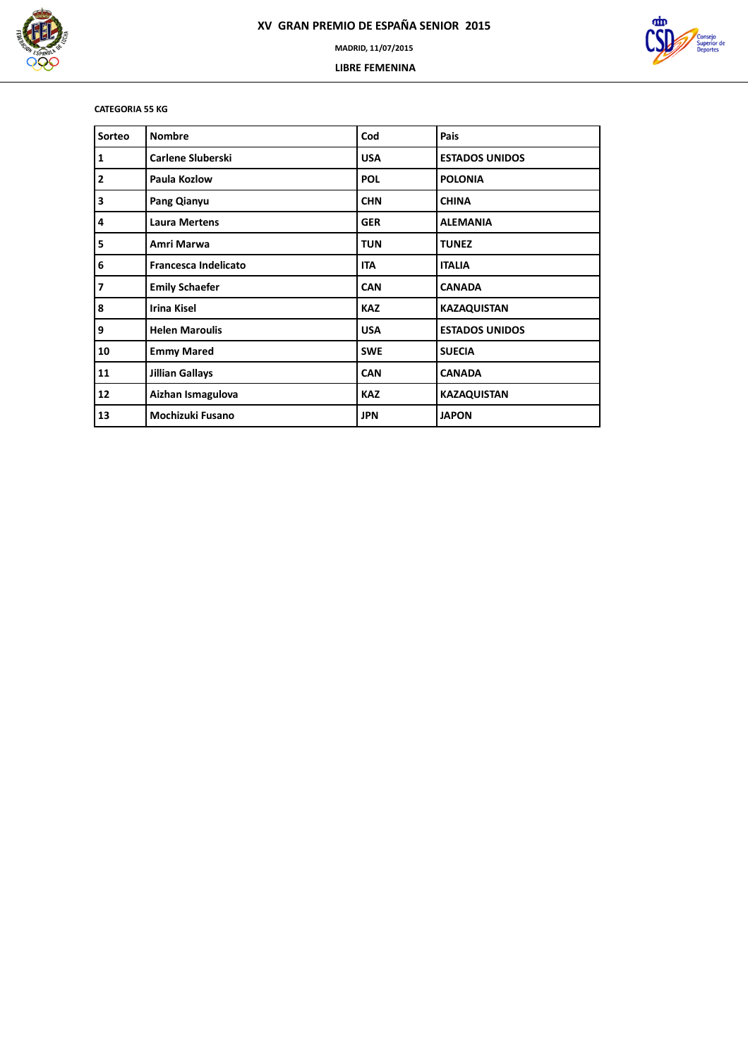



### **CATEGORIA 55 KG**

| Sorteo         | <b>Nombre</b>               | Cod        | Pais                  |
|----------------|-----------------------------|------------|-----------------------|
| $\mathbf{1}$   | <b>Carlene Sluberski</b>    | <b>USA</b> | <b>ESTADOS UNIDOS</b> |
| $\overline{2}$ | Paula Kozlow                | <b>POL</b> | <b>POLONIA</b>        |
| 3              | Pang Qianyu                 | <b>CHN</b> | <b>CHINA</b>          |
| 4              | <b>Laura Mertens</b>        | <b>GER</b> | <b>ALEMANIA</b>       |
| 5              | Amri Marwa                  | <b>TUN</b> | <b>TUNEZ</b>          |
| 6              | <b>Francesca Indelicato</b> | <b>ITA</b> | <b>ITALIA</b>         |
| $\overline{7}$ | <b>Emily Schaefer</b>       | <b>CAN</b> | <b>CANADA</b>         |
| 8              | <b>Irina Kisel</b>          | <b>KAZ</b> | <b>KAZAQUISTAN</b>    |
| 9              | <b>Helen Maroulis</b>       | <b>USA</b> | <b>ESTADOS UNIDOS</b> |
| 10             | <b>Emmy Mared</b>           | <b>SWE</b> | <b>SUECIA</b>         |
| 11             | <b>Jillian Gallays</b>      | <b>CAN</b> | <b>CANADA</b>         |
| 12             | Aizhan Ismagulova           | <b>KAZ</b> | <b>KAZAQUISTAN</b>    |
| 13             | Mochizuki Fusano            | <b>JPN</b> | <b>JAPON</b>          |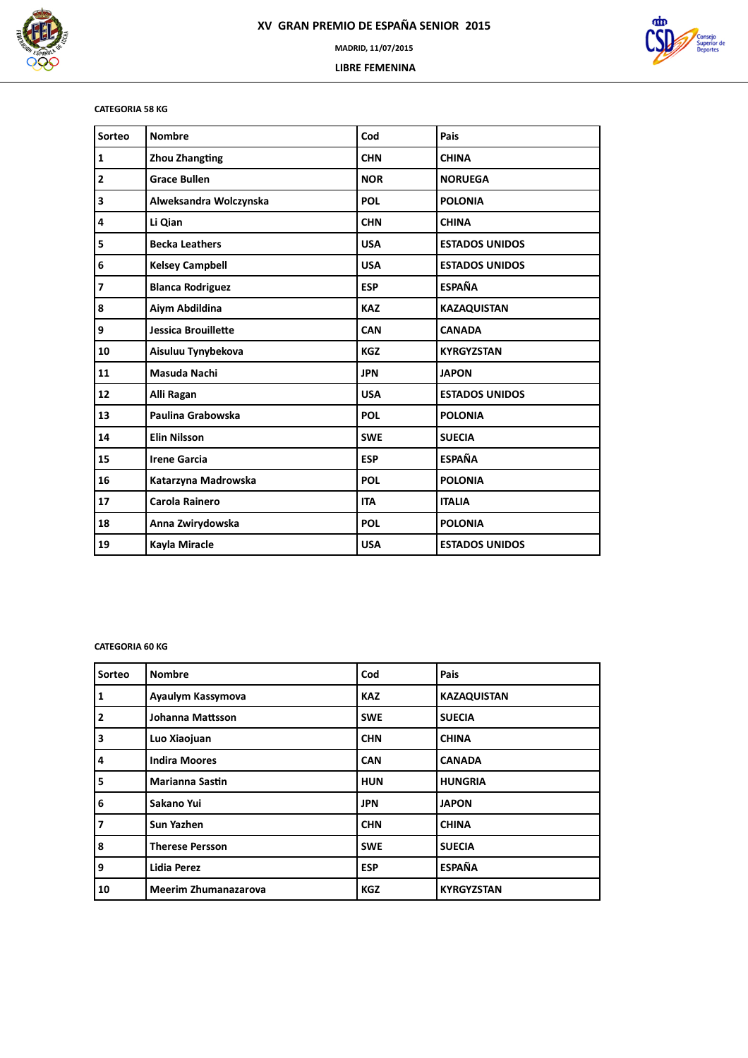



### **CATEGORIA 58 KG**

| Sorteo         | <b>Nombre</b>              | Cod        | Pais                  |
|----------------|----------------------------|------------|-----------------------|
| 1              | <b>Zhou Zhangting</b>      | <b>CHN</b> | <b>CHINA</b>          |
| $\mathbf{2}$   | <b>Grace Bullen</b>        | <b>NOR</b> | <b>NORUEGA</b>        |
| 3              | Alweksandra Wolczynska     | <b>POL</b> | <b>POLONIA</b>        |
| 4              | Li Qian                    | <b>CHN</b> | <b>CHINA</b>          |
| 5              | <b>Becka Leathers</b>      | <b>USA</b> | <b>ESTADOS UNIDOS</b> |
| 6              | <b>Kelsey Campbell</b>     | <b>USA</b> | <b>ESTADOS UNIDOS</b> |
| $\overline{7}$ | <b>Blanca Rodriguez</b>    | <b>ESP</b> | <b>ESPAÑA</b>         |
| 8              | Aiym Abdildina             | <b>KAZ</b> | <b>KAZAQUISTAN</b>    |
| 9              | <b>Jessica Brouillette</b> | CAN        | <b>CANADA</b>         |
| 10             | Aisuluu Tynybekova         | <b>KGZ</b> | <b>KYRGYZSTAN</b>     |
| 11             | Masuda Nachi               | <b>JPN</b> | <b>JAPON</b>          |
| 12             | Alli Ragan                 | <b>USA</b> | <b>ESTADOS UNIDOS</b> |
| 13             | Paulina Grabowska          | <b>POL</b> | <b>POLONIA</b>        |
| 14             | <b>Elin Nilsson</b>        | <b>SWE</b> | <b>SUECIA</b>         |
| 15             | <b>Irene Garcia</b>        | <b>ESP</b> | <b>ESPAÑA</b>         |
| 16             | Katarzyna Madrowska        | <b>POL</b> | <b>POLONIA</b>        |
| 17             | Carola Rainero             | <b>ITA</b> | <b>ITALIA</b>         |
| 18             | Anna Zwirydowska           | <b>POL</b> | <b>POLONIA</b>        |
| 19             | Kayla Miracle              | <b>USA</b> | <b>ESTADOS UNIDOS</b> |

### **CATEGORIA 60 KG**

| Sorteo         | <b>Nombre</b>               | Cod        | <b>Pais</b>        |
|----------------|-----------------------------|------------|--------------------|
| 1              | Ayaulym Kassymova           | <b>KAZ</b> | <b>KAZAQUISTAN</b> |
| $\overline{2}$ | Johanna Mattsson            | <b>SWE</b> | <b>SUECIA</b>      |
| 3              | Luo Xiaojuan                | <b>CHN</b> | <b>CHINA</b>       |
| 4              | <b>Indira Moores</b>        | <b>CAN</b> | <b>CANADA</b>      |
| 5              | <b>Marianna Sastin</b>      | <b>HUN</b> | <b>HUNGRIA</b>     |
| 6              | Sakano Yui                  | <b>JPN</b> | <b>JAPON</b>       |
| 7              | Sun Yazhen                  | <b>CHN</b> | <b>CHINA</b>       |
| 8              | <b>Therese Persson</b>      | <b>SWE</b> | <b>SUECIA</b>      |
| 9              | <b>Lidia Perez</b>          | <b>ESP</b> | <b>ESPAÑA</b>      |
| 10             | <b>Meerim Zhumanazarova</b> | <b>KGZ</b> | <b>KYRGYZSTAN</b>  |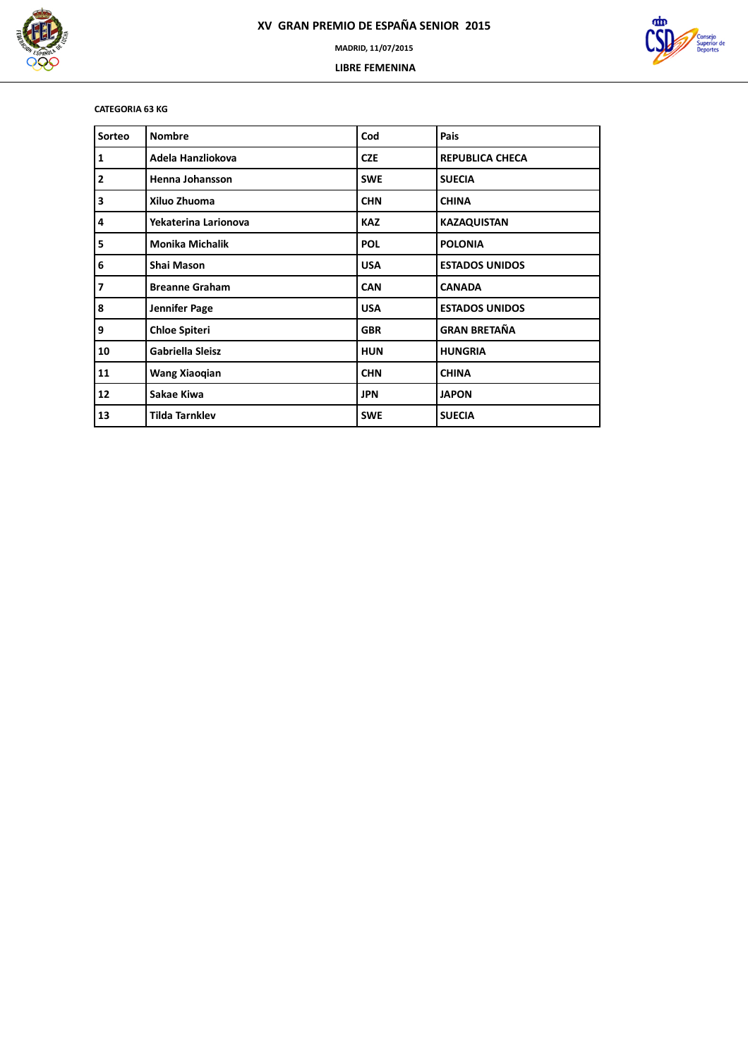



**CATEGORIA 63 KG**

| Sorteo         | <b>Nombre</b>           | Cod        | Pais                   |
|----------------|-------------------------|------------|------------------------|
| $\mathbf{1}$   | Adela Hanzliokova       | <b>CZE</b> | <b>REPUBLICA CHECA</b> |
| $\overline{2}$ | Henna Johansson         | <b>SWE</b> | <b>SUECIA</b>          |
| 3              | Xiluo Zhuoma            | <b>CHN</b> | <b>CHINA</b>           |
| 4              | Yekaterina Larionova    | <b>KAZ</b> | <b>KAZAQUISTAN</b>     |
| 5              | <b>Monika Michalik</b>  | <b>POL</b> | <b>POLONIA</b>         |
| 6              | <b>Shai Mason</b>       | <b>USA</b> | <b>ESTADOS UNIDOS</b>  |
| $\overline{7}$ | <b>Breanne Graham</b>   | <b>CAN</b> | <b>CANADA</b>          |
| 8              | Jennifer Page           | <b>USA</b> | <b>ESTADOS UNIDOS</b>  |
| 9              | <b>Chloe Spiteri</b>    | <b>GBR</b> | <b>GRAN BRETAÑA</b>    |
| 10             | <b>Gabriella Sleisz</b> | <b>HUN</b> | <b>HUNGRIA</b>         |
| 11             | Wang Xiaoqian           | <b>CHN</b> | <b>CHINA</b>           |
| 12             | Sakae Kiwa              | <b>JPN</b> | <b>JAPON</b>           |
| 13             | <b>Tilda Tarnklev</b>   | <b>SWE</b> | <b>SUECIA</b>          |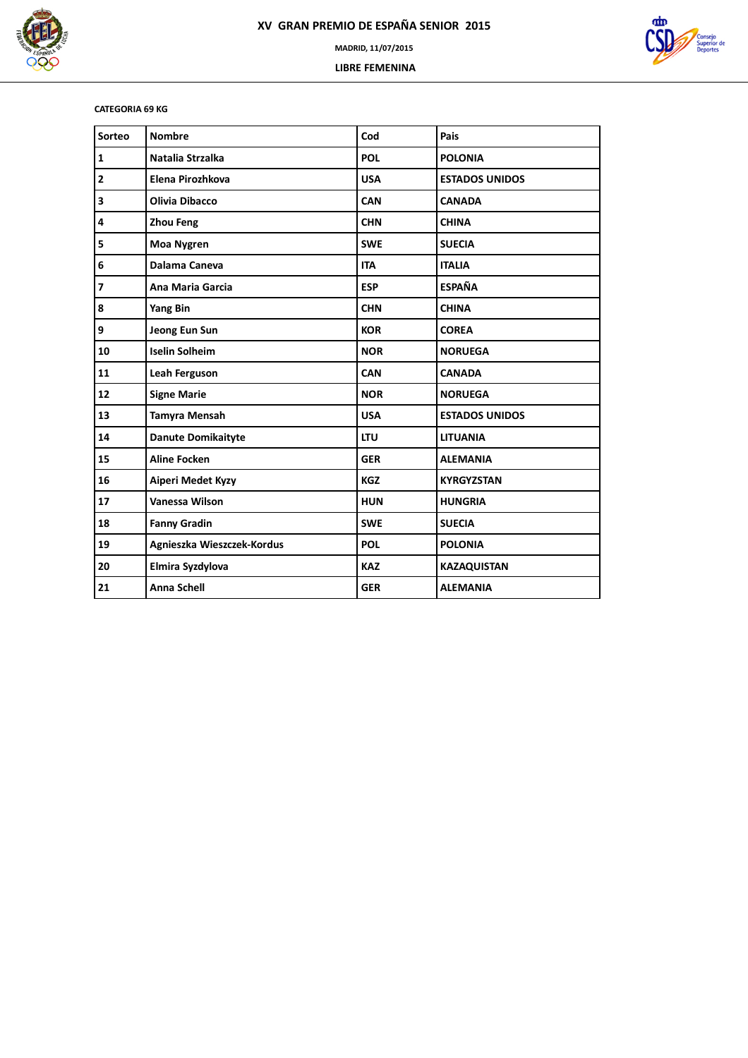



### **CATEGORIA 69 KG**

| Sorteo                  | <b>Nombre</b>              | Cod        | Pais                  |
|-------------------------|----------------------------|------------|-----------------------|
| 1                       | Natalia Strzalka           | <b>POL</b> | <b>POLONIA</b>        |
| $\mathbf{2}$            | Elena Pirozhkova           | <b>USA</b> | <b>ESTADOS UNIDOS</b> |
| 3                       | <b>Olivia Dibacco</b>      | CAN        | <b>CANADA</b>         |
| 4                       | <b>Zhou Feng</b>           | <b>CHN</b> | <b>CHINA</b>          |
| 5                       | <b>Moa Nygren</b>          | <b>SWE</b> | <b>SUECIA</b>         |
| 6                       | Dalama Caneva              | <b>ITA</b> | <b>ITALIA</b>         |
| $\overline{\mathbf{z}}$ | Ana Maria Garcia           | <b>ESP</b> | <b>ESPAÑA</b>         |
| 8                       | <b>Yang Bin</b>            | <b>CHN</b> | <b>CHINA</b>          |
| 9                       | Jeong Eun Sun              | <b>KOR</b> | <b>COREA</b>          |
| 10                      | <b>Iselin Solheim</b>      | <b>NOR</b> | <b>NORUEGA</b>        |
| 11                      | Leah Ferguson              | <b>CAN</b> | <b>CANADA</b>         |
| 12                      | <b>Signe Marie</b>         | <b>NOR</b> | <b>NORUEGA</b>        |
| 13                      | <b>Tamyra Mensah</b>       | <b>USA</b> | <b>ESTADOS UNIDOS</b> |
| 14                      | <b>Danute Domikaityte</b>  | <b>LTU</b> | <b>LITUANIA</b>       |
| 15                      | <b>Aline Focken</b>        | <b>GER</b> | <b>ALEMANIA</b>       |
| 16                      | Aiperi Medet Kyzy          | <b>KGZ</b> | <b>KYRGYZSTAN</b>     |
| 17                      | Vanessa Wilson             | <b>HUN</b> | <b>HUNGRIA</b>        |
| 18                      | <b>Fanny Gradin</b>        | <b>SWE</b> | <b>SUECIA</b>         |
| 19                      | Agnieszka Wieszczek-Kordus | <b>POL</b> | <b>POLONIA</b>        |
| 20                      | Elmira Syzdylova           | <b>KAZ</b> | <b>KAZAQUISTAN</b>    |
| 21                      | <b>Anna Schell</b>         | <b>GER</b> | <b>ALEMANIA</b>       |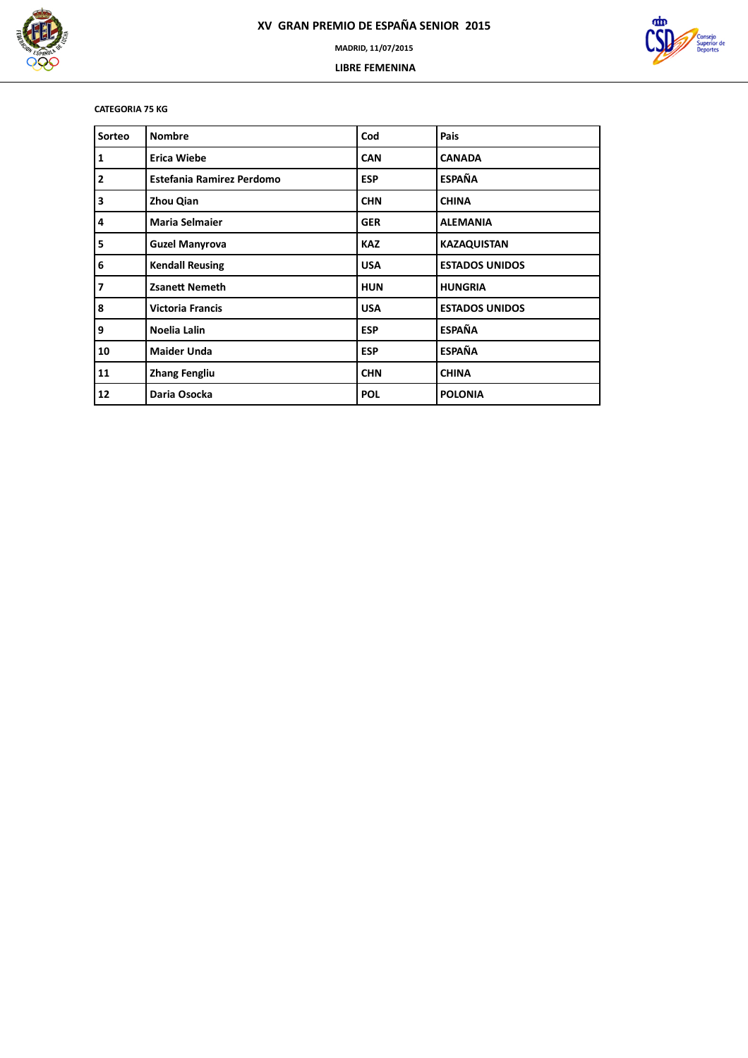



### **CATEGORIA 75 KG**

| Sorteo                  | <b>Nombre</b>                    | Cod        | Pais                  |
|-------------------------|----------------------------------|------------|-----------------------|
| $\mathbf{1}$            | <b>Erica Wiebe</b>               | <b>CAN</b> | <b>CANADA</b>         |
| $\overline{2}$          | <b>Estefania Ramirez Perdomo</b> | <b>ESP</b> | <b>ESPAÑA</b>         |
| 3                       | Zhou Qian                        | <b>CHN</b> | <b>CHINA</b>          |
| 4                       | <b>Maria Selmaier</b>            | <b>GER</b> | <b>ALEMANIA</b>       |
| 5                       | <b>Guzel Manyrova</b>            | <b>KAZ</b> | <b>KAZAQUISTAN</b>    |
| 6                       | <b>Kendall Reusing</b>           | <b>USA</b> | <b>ESTADOS UNIDOS</b> |
| $\overline{\mathbf{z}}$ | <b>Zsanett Nemeth</b>            | <b>HUN</b> | <b>HUNGRIA</b>        |
| 8                       | <b>Victoria Francis</b>          | <b>USA</b> | <b>ESTADOS UNIDOS</b> |
| 9                       | Noelia Lalin                     | <b>ESP</b> | <b>ESPAÑA</b>         |
| 10                      | <b>Maider Unda</b>               | <b>ESP</b> | <b>ESPAÑA</b>         |
| 11                      | <b>Zhang Fengliu</b>             | <b>CHN</b> | <b>CHINA</b>          |
| 12                      | Daria Osocka                     | <b>POL</b> | <b>POLONIA</b>        |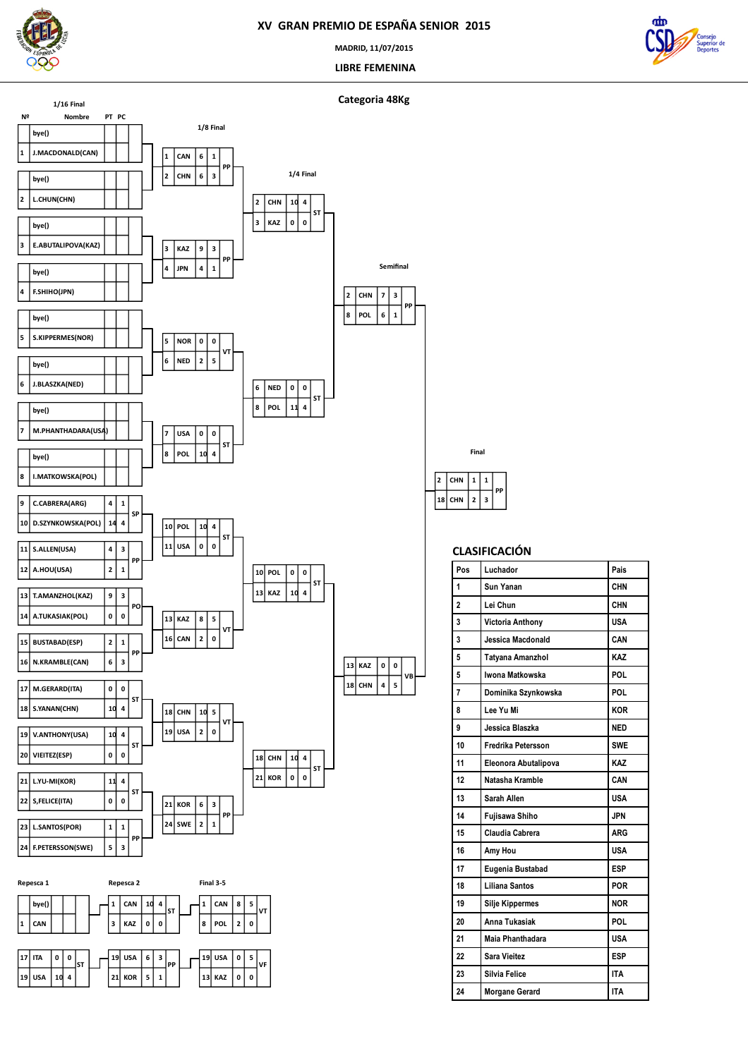

**USA 10 4**

**ST**

 $\mathsf I$ 

**KOR 5 1**

**PP**

**KAZ 0 0**

**VF**

### **XV GRAN PREMIO DE ESPAÑA SENIOR 2015**

**MADRID, 11/07/2015**

 **LIBRE FEMENINA**







| Pos | Luchador               | Pais       |
|-----|------------------------|------------|
| 1   | Sun Yanan              | CHN        |
| 2   | Lei Chun               | CHN        |
| 3   | Victoria Anthony       | <b>USA</b> |
| 3   | Jessica Macdonald      | CAN        |
| 5   | Tatyana Amanzhol       | KAZ        |
| 5   | Iwona Matkowska        | POL        |
| 7   | Dominika Szynkowska    | POL        |
| 8   | Lee Yu Mi              | <b>KOR</b> |
| 9   | Jessica Blaszka        | <b>NED</b> |
| 10  | Fredrika Petersson     | <b>SWE</b> |
| 11  | Eleonora Abutalipova   | KA7        |
| 12  | Natasha Kramble        | CAN        |
| 13  | Sarah Allen            | <b>USA</b> |
| 14  | Fujisawa Shiho         | <b>JPN</b> |
| 15  | Claudia Cabrera        | <b>ARG</b> |
| 16  | Amy Hou                | <b>USA</b> |
| 17  | Eugenia Bustabad       | <b>ESP</b> |
| 18  | Liliana Santos         | <b>POR</b> |
| 19  | <b>Silje Kippermes</b> | <b>NOR</b> |
| 20  | Anna Tukasiak          | POL        |
| 21  | Maia Phanthadara       | <b>USA</b> |
| 22  | Sara Vieitez           | <b>ESP</b> |
| 23  | Silvia Felice          | <b>ITA</b> |
| 24  | <b>Morgane Gerard</b>  | <b>ITA</b> |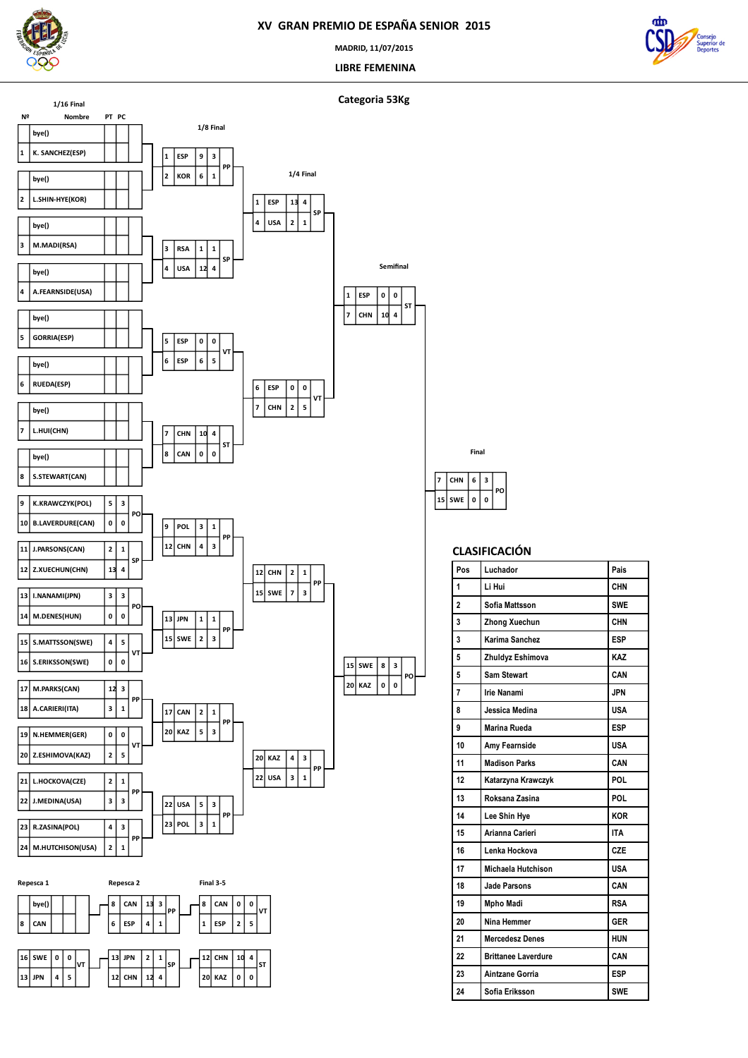

**JPN 4 5**

**CHN 12 4**

**KAZ 0 0**

### **XV GRAN PREMIO DE ESPAÑA SENIOR 2015**

**MADRID, 11/07/2015**

 **LIBRE FEMENINA**

 **SWE CHN**

 **0 3 PO**

**CLASIFICACIÓN**

**Pos Luchador Pais Li Hui CHN Sofia Mattsson SWE Zhong Xuechun CHN Karima Sanchez ESP Zhuldyz Eshimova KAZ Sam Stewart CAN Irie Nanami JPN Jessica Medina USA Marina Rueda ESP Amy Fearnside USA Madison Parks CAN Katarzyna Krawczyk POL Roksana Zasina POL Lee Shin Hye KOR Arianna Carieri ITA Lenka Hockova CZE Michaela Hutchison USA Jade Parsons CAN Mpho Madi RSA Nina Hemmer GER Mercedesz Denes HUN Brittanee Laverdure CAN Aintzane Gorria ESP Sofia Eriksson SWE** 

**Final**



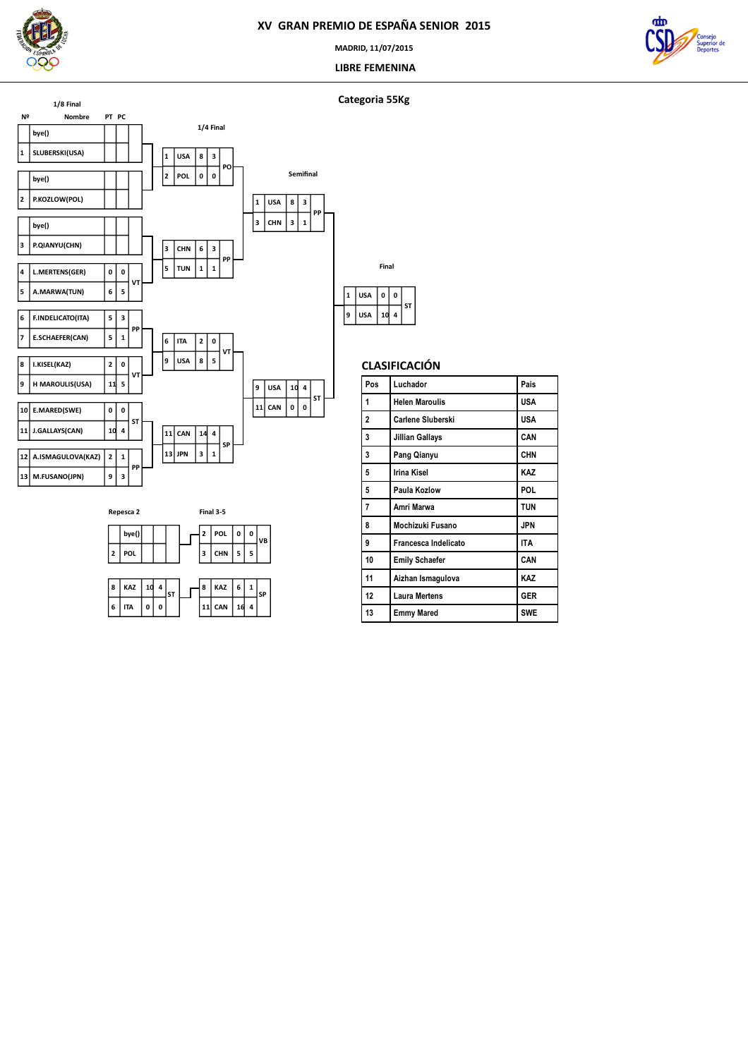

**MADRID, 11/07/2015**

 **LIBRE FEMENINA**



### **Categoria 55Kg**





|   |            | Final |   |    |
|---|------------|-------|---|----|
| 1 | <b>USA</b> | 0     | 0 |    |
|   | <b>USA</b> | 1d    | 4 | ST |

| Pos | Luchador              | Pais       |
|-----|-----------------------|------------|
| 1   | <b>Helen Maroulis</b> | USA        |
| 2   | Carlene Sluberski     | USA        |
| 3   | Jillian Gallays       | CAN        |
| 3   | Pang Qianyu           | <b>CHN</b> |
| 5   | Irina Kisel           | KAZ        |
| 5   | Paula Kozlow          | POL.       |
| 7   | Amri Marwa            | <b>TUN</b> |
| 8   | Mochizuki Fusano      | <b>JPN</b> |
| 9   | Francesca Indelicato  | <b>ITA</b> |
| 10  | <b>Emily Schaefer</b> | CAN        |
| 11  | Aizhan Ismagulova     | KAZ        |
| 12  | <b>Laura Mertens</b>  | <b>GER</b> |
| 13  | <b>Emmy Mared</b>     | <b>SWE</b> |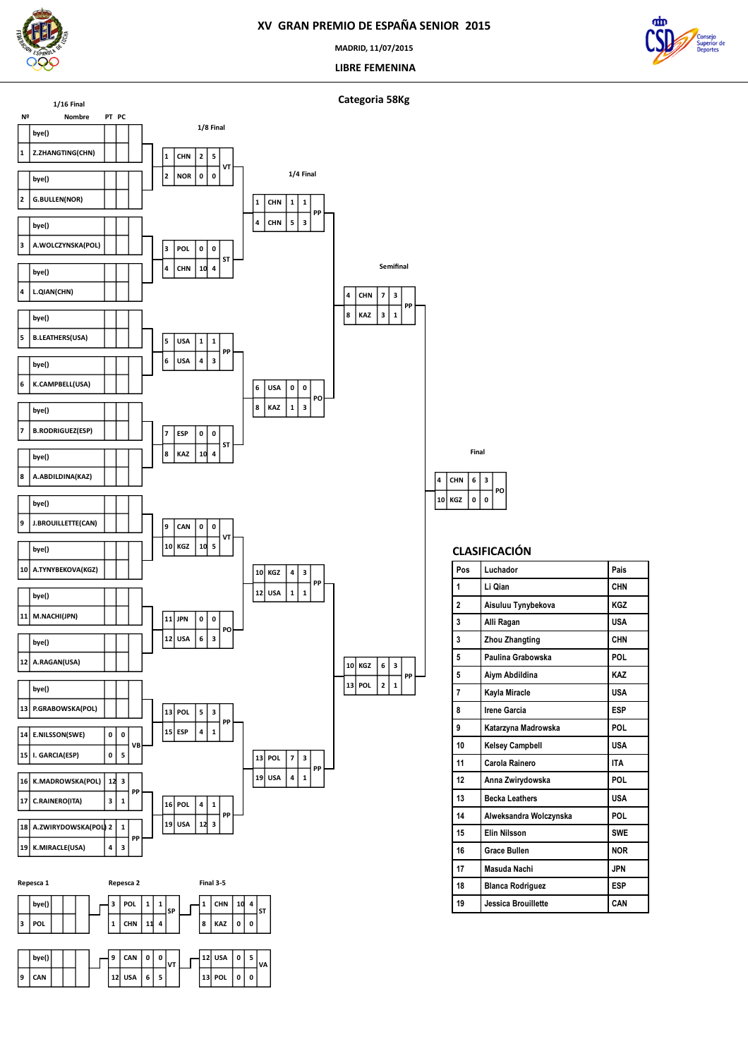

**MADRID, 11/07/2015**

 **LIBRE FEMENINA**









**POL**

**bye() CAN**



**PP**

| Pos            | Luchador                | Pais       |
|----------------|-------------------------|------------|
| 1              | Li Qian                 | <b>CHN</b> |
| $\overline{a}$ | Aisuluu Tynybekova      | <b>KGZ</b> |
| 3              | Alli Ragan              | <b>USA</b> |
| 3              | Zhou Zhangting          | CHN        |
| 5              | Paulina Grabowska       | POL        |
| 5              | Aiym Abdildina          | KA7        |
| 7              | Kayla Miracle           | <b>USA</b> |
| 8              | Irene Garcia            | <b>FSP</b> |
| 9              | Katarzyna Madrowska     | POL        |
| 10             | <b>Kelsey Campbell</b>  | <b>USA</b> |
| 11             | Carola Rainero          | <b>ITA</b> |
| 12             | Anna Zwirydowska        | POL        |
| 13             | <b>Becka Leathers</b>   | <b>USA</b> |
| 14             | Alweksandra Wolczynska  | POL        |
| 15             | <b>Elin Nilsson</b>     | <b>SWE</b> |
| 16             | <b>Grace Bullen</b>     | <b>NOR</b> |
| 17             | Masuda Nachi            | <b>JPN</b> |
| 18             | <b>Blanca Rodriguez</b> | <b>ESP</b> |
| 19             | Jessica Brouillette     | CAN        |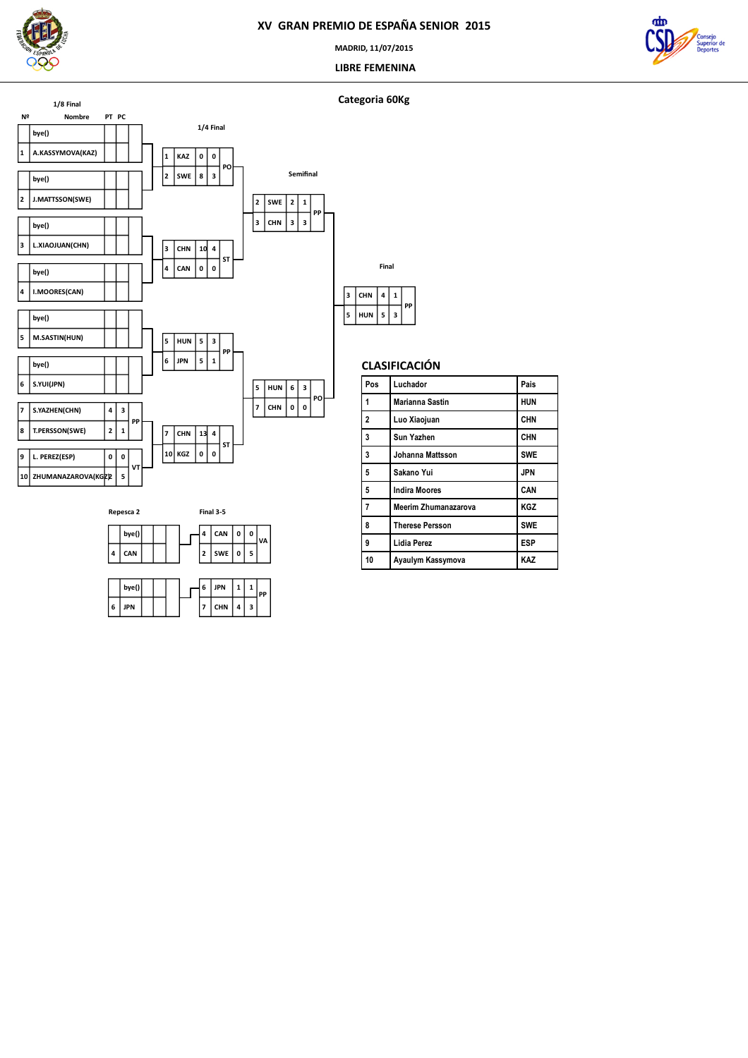

**MADRID, 11/07/2015**

 **LIBRE FEMENINA**



### **Categoria 60Kg**





|   | bve() |  |  | 6 | JPN        |   |  |
|---|-------|--|--|---|------------|---|--|
| 6 | JPN   |  |  |   | <b>CHN</b> | з |  |

| ٦ | CHN        | 4 | 1 | PP |
|---|------------|---|---|----|
| 5 | <b>HUN</b> | 5 | 3 |    |
|   |            |   |   |    |

**Final**

| Pos            | Luchador                    | Pais       |
|----------------|-----------------------------|------------|
| 1              | Marianna Sastin             | <b>HUN</b> |
| $\overline{2}$ | Luo Xiaojuan                | <b>CHN</b> |
| 3              | Sun Yazhen                  | <b>CHN</b> |
| 3              | Johanna Mattsson            | <b>SWE</b> |
| 5              | Sakano Yui                  | <b>JPN</b> |
| 5              | <b>Indira Moores</b>        | CAN        |
| $\overline{7}$ | <b>Meerim Zhumanazarova</b> | <b>KGZ</b> |
| 8              | <b>Therese Persson</b>      | <b>SWE</b> |
| 9              | <b>Lidia Perez</b>          | <b>ESP</b> |
| 10             | Ayaulym Kassymova           | KAZ        |
|                |                             |            |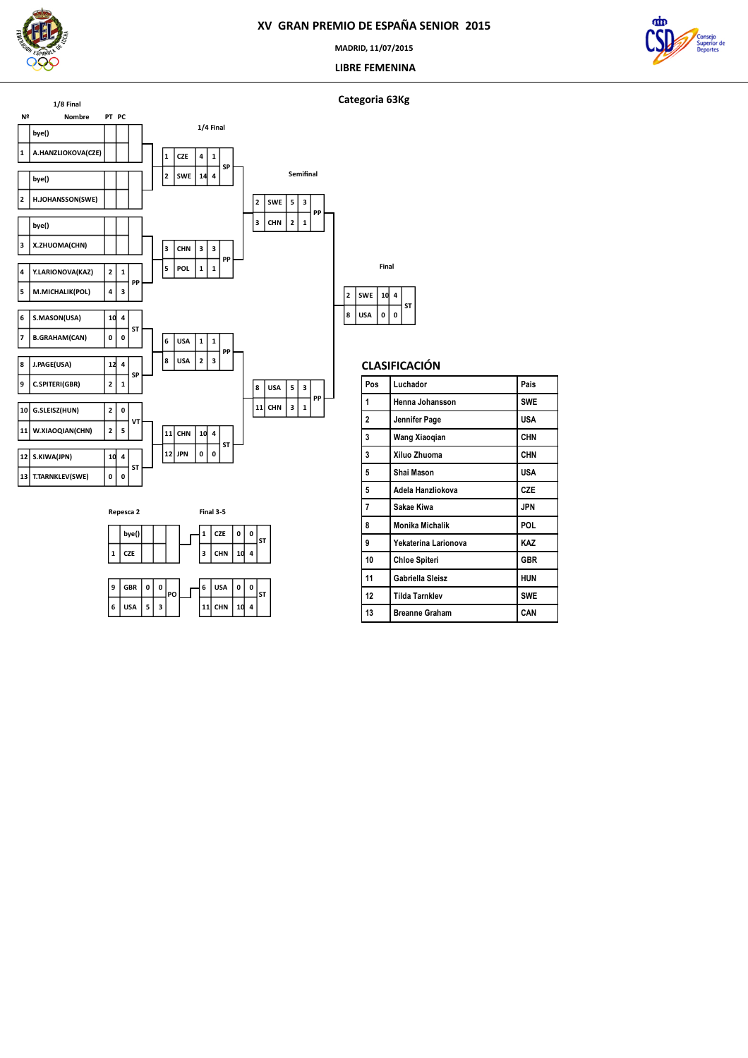

**MADRID, 11/07/2015**

 **LIBRE FEMENINA**



### **Categoria 63Kg**





|   |            | Final |   |    |
|---|------------|-------|---|----|
| 2 | <b>SWE</b> | 1d    | 4 | ST |
| 8 | <b>USA</b> | 0     | 0 |    |



| Pos | Luchador              | Pais       |
|-----|-----------------------|------------|
| 1   | Henna Johansson       | <b>SWE</b> |
| 2   | Jennifer Page         | USA        |
| 3   | Wang Xiaoqian         | <b>CHN</b> |
| 3   | Xiluo Zhuoma          | <b>CHN</b> |
| 5   | Shai Mason            | <b>USA</b> |
| 5   | Adela Hanzliokova     | <b>CZE</b> |
| 7   | Sakae Kiwa            | JPN        |
| 8   | Monika Michalik       | POL.       |
| 9   | Yekaterina Larionova  | KAZ        |
| 10  | <b>Chloe Spiteri</b>  | <b>GBR</b> |
| 11  | Gabriella Sleisz      | <b>HUN</b> |
| 12  | <b>Tilda Tarnklev</b> | <b>SWE</b> |
| 13  | <b>Breanne Graham</b> | CAN        |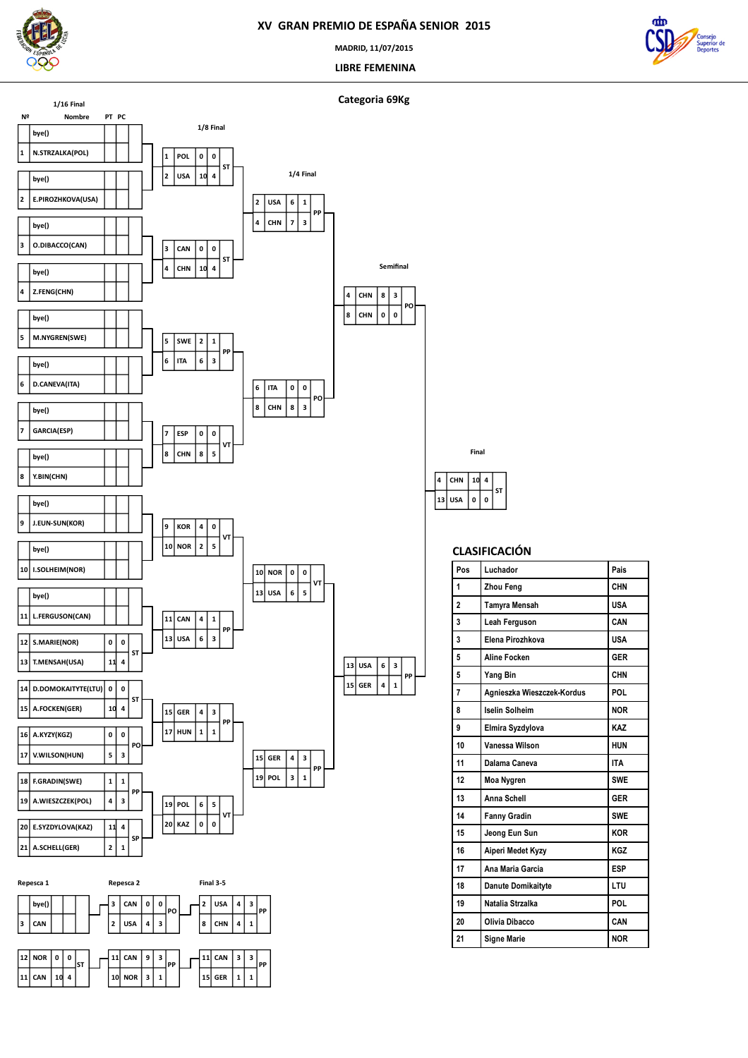

 **N.STRZALKA(POL) bye()**

**1/16 Final**

**bye()**

**E.PIROZHKOVA(USA)**

 **O.DIBACCO(CAN) bye()**

 **Z.FENG(CHN) bye()**

 **M.NYGREN(SWE) bye()**

 **D.CANEVA(ITA) bye()**

> **GARCIA(ESP) bye()**

 **J.EUN-SUN(KOR) bye()**

 **I.SOLHEIM(NOR) bye()**

 **L.FERGUSON(CAN) bye()**

 **T.MENSAH(USA) S.MARIE(NOR)**

 **A.FOCKEN(GER) D.DOMOKAITYTE(LTU)**

**A.KYZY(KGZ)**

 **NOR KOR**

 **USA CAN**

 **HUN GER**

 $|2|5$  **0 VT**

 **3 1 PP**

 $\vert$ 13 $\vert$  USA **NOR**

 **5 0 VT**

**PP**

 **GER USA**

 **1 3 PP**

 $1 \mid 1$  **3 PP**

 **4 0 ST**

**0**

 **Y.BIN(CHN) bye()**

### **XV GRAN PREMIO DE ESPAÑA SENIOR 2015**

**MADRID, 11/07/2015**

 **LIBRE FEMENINA**

 **0 3 PO**

**Semifinal**





 **USA CHN 0 4 ST Final**

| Pos            | Luchador                   | Pais       |
|----------------|----------------------------|------------|
| 1              | Zhou Feng                  | CHN        |
| $\overline{a}$ | Tamyra Mensah              | <b>USA</b> |
| 3              | Leah Ferguson              | CAN        |
| 3              | Elena Pirozhkova           | <b>USA</b> |
| 5              | <b>Aline Focken</b>        | <b>GER</b> |
| 5              | Yang Bin                   | CHN        |
| 7              | Agnieszka Wieszczek-Kordus | POL        |
| 8              | <b>Iselin Solheim</b>      | <b>NOR</b> |
| 9              | Elmira Syzdylova           | KA7        |
| 10             | Vanessa Wilson             | <b>HUN</b> |
| 11             | Dalama Caneva              | <b>ITA</b> |
| 12             | Moa Nygren                 | <b>SWE</b> |
| 13             | <b>Anna Schell</b>         | <b>GFR</b> |
| 14             | <b>Fanny Gradin</b>        | <b>SWE</b> |
| 15             | Jeong Eun Sun              | <b>KOR</b> |
| 16             | Aiperi Medet Kyzy          | KGZ        |
| 17             | Ana Maria Garcia           | ESP        |
| 18             | Danute Domikaityte         | LTU        |
| 19             | Natalia Strzalka           | POL        |
| 20             | Olivia Dibacco             | CAN        |
| 21             | <b>Signe Marie</b>         | <b>NOR</b> |

| Pos            | Luchador                   | Pais       |
|----------------|----------------------------|------------|
| 1              | Zhou Feng                  | <b>CHN</b> |
| $\overline{a}$ | Tamyra Mensah              | <b>USA</b> |
| 3              | Leah Ferguson              | CAN        |
| 3              | Elena Pirozhkova           | <b>USA</b> |
| 5              | <b>Aline Focken</b>        | <b>GER</b> |
| 5              | Yang Bin                   | <b>CHN</b> |
| 7              | Agnieszka Wieszczek-Kordus | POL        |
| 8              | <b>Iselin Solheim</b>      | <b>NOR</b> |
| 9              | Elmira Syzdylova           | KA7        |
| 10             | Vanessa Wilson             | <b>HUN</b> |
| 11             | Dalama Caneva              | <b>ITA</b> |
| 12             | Moa Nygren                 | <b>SWF</b> |
| 13             | Anna Schell                | <b>GER</b> |
| 14             | <b>Fanny Gradin</b>        | <b>SWE</b> |
| 15             | Jeong Eun Sun              | <b>KOR</b> |
| 16             | Aiperi Medet Kyzy          | KGZ        |
| 17             | Ana Maria Garcia           | <b>ESP</b> |
| 18             | <b>Danute Domikaityte</b>  | LTU        |
| 19             | Natalia Strzalka           | POL        |
| 20             | Olivia Dibacco             | CAN        |
| 04             | Ciana Maria                | םחו        |